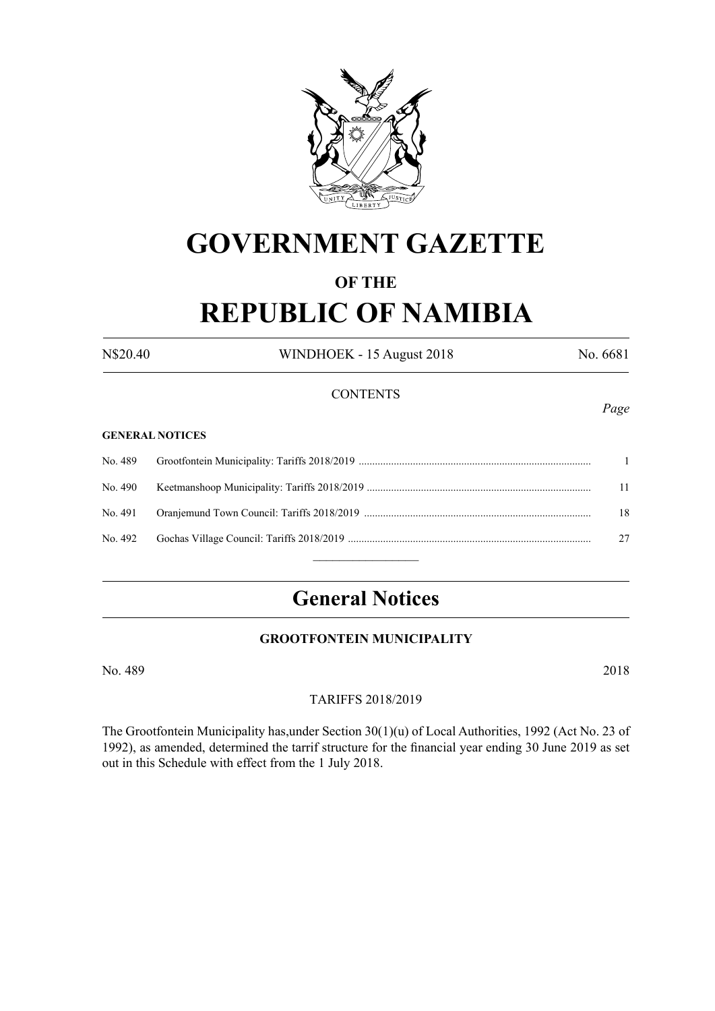

# **GOVERNMENT GAZETTE**

# **OF THE REPUBLIC OF NAMIBIA**

N\$20.40 WINDHOEK - 15 August 2018 No. 6681

#### **CONTENTS**

#### **GENERAL NOTICES**

|  | 18 |
|--|----|
|  |    |
|  |    |

# **General Notices**

### **Grootfontein Municipality**

No. 489 2018

#### Tariffs 2018/2019

The Grootfontein Municipality has,under Section 30(1)(u) of Local Authorities, 1992 (Act No. 23 of 1992), as amended, determined the tarrif structure for the financial year ending 30 June 2019 as set out in this Schedule with effect from the 1 July 2018.

*Page*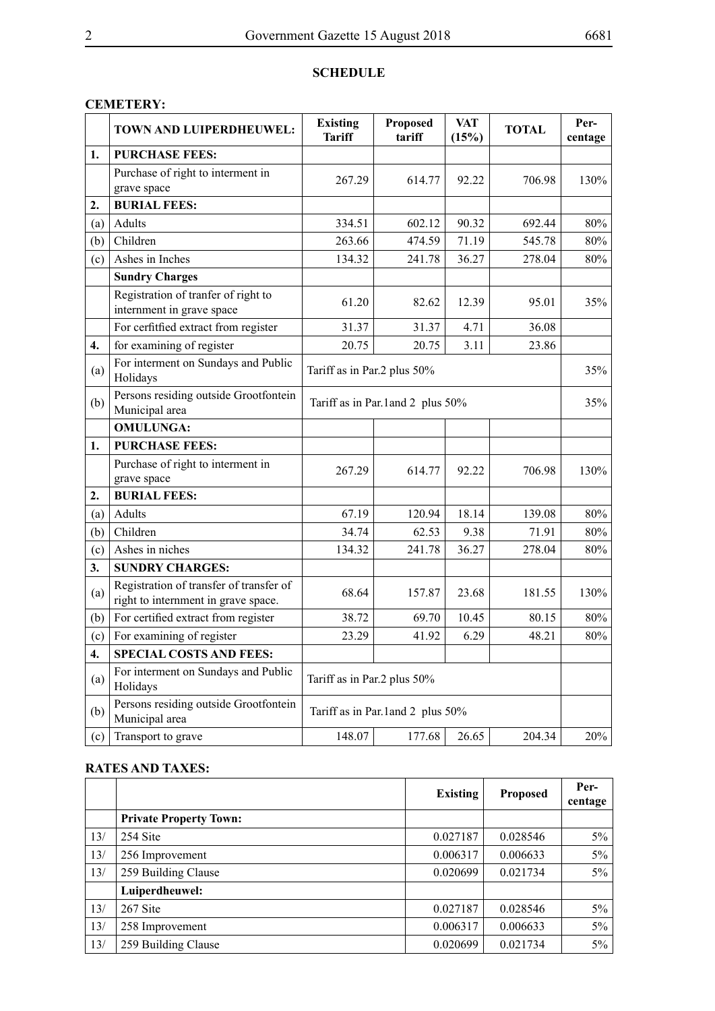# **Schedule**

# **CEMETERY:**

|     | TOWN AND LUIPERDHEUWEL:                                                        | <b>Existing</b><br><b>Tariff</b>  | Proposed<br>tariff                | <b>VAT</b><br>(15%) | <b>TOTAL</b> | Per-<br>centage |
|-----|--------------------------------------------------------------------------------|-----------------------------------|-----------------------------------|---------------------|--------------|-----------------|
| 1.  | <b>PURCHASE FEES:</b>                                                          |                                   |                                   |                     |              |                 |
|     | Purchase of right to interment in<br>grave space                               | 267.29                            | 614.77                            | 92.22               | 706.98       | 130%            |
| 2.  | <b>BURIAL FEES:</b>                                                            |                                   |                                   |                     |              |                 |
| (a) | Adults                                                                         | 334.51                            | 602.12                            | 90.32               | 692.44       | 80%             |
| (b) | Children                                                                       | 263.66                            | 474.59                            | 71.19               | 545.78       | 80%             |
| (c) | Ashes in Inches                                                                | 134.32                            | 241.78                            | 36.27               | 278.04       | 80%             |
|     | <b>Sundry Charges</b>                                                          |                                   |                                   |                     |              |                 |
|     | Registration of tranfer of right to<br>internment in grave space               | 61.20                             | 82.62                             | 12.39               | 95.01        | 35%             |
|     | For cerfitfied extract from register                                           | 31.37                             | 31.37                             | 4.71                | 36.08        |                 |
| 4.  | for examining of register                                                      | 20.75                             | 20.75                             | 3.11                | 23.86        |                 |
| (a) | For interment on Sundays and Public<br>Holidays                                | Tariff as in Par.2 plus 50%       |                                   |                     |              | 35%             |
| (b) | Persons residing outside Grootfontein<br>Municipal area                        | Tariff as in Par.1 and 2 plus 50% |                                   |                     |              | 35%             |
|     | <b>OMULUNGA:</b>                                                               |                                   |                                   |                     |              |                 |
| 1.  | <b>PURCHASE FEES:</b>                                                          |                                   |                                   |                     |              |                 |
|     | Purchase of right to interment in<br>grave space                               | 267.29                            | 614.77                            | 92.22               | 706.98       | 130%            |
| 2.  | <b>BURIAL FEES:</b>                                                            |                                   |                                   |                     |              |                 |
| (a) | Adults                                                                         | 67.19                             | 120.94                            | 18.14               | 139.08       | 80%             |
| (b) | Children                                                                       | 34.74                             | 62.53                             | 9.38                | 71.91        | 80%             |
| (c) | Ashes in niches                                                                | 134.32                            | 241.78                            | 36.27               | 278.04       | 80%             |
| 3.  | <b>SUNDRY CHARGES:</b>                                                         |                                   |                                   |                     |              |                 |
| (a) | Registration of transfer of transfer of<br>right to internment in grave space. | 68.64                             | 157.87                            | 23.68               | 181.55       | 130%            |
| (b) | For certified extract from register                                            | 38.72                             | 69.70                             | 10.45               | 80.15        | 80%             |
| (c) | For examining of register                                                      | 23.29                             | 41.92                             | 6.29                | 48.21        | 80%             |
| 4.  | <b>SPECIAL COSTS AND FEES:</b>                                                 |                                   |                                   |                     |              |                 |
| (a) | For interment on Sundays and Public<br>Holidays                                | Tariff as in Par.2 plus 50%       |                                   |                     |              |                 |
| (b) | Persons residing outside Grootfontein<br>Municipal area                        |                                   | Tariff as in Par.1 and 2 plus 50% |                     |              |                 |
| (c) | Transport to grave                                                             | 148.07                            | 177.68                            | 26.65               | 204.34       | 20%             |

### **RATES AND TAXES:**

|     |                               | Existing | <b>Proposed</b> | Per-<br>centage |
|-----|-------------------------------|----------|-----------------|-----------------|
|     | <b>Private Property Town:</b> |          |                 |                 |
| 13/ | 254 Site                      | 0.027187 | 0.028546        | $5\%$           |
| 13/ | 256 Improvement               | 0.006317 | 0.006633        | $5\%$           |
| 13/ | 259 Building Clause           | 0.020699 | 0.021734        | $5\%$           |
|     | Luiperdheuwel:                |          |                 |                 |
| 13/ | 267 Site                      | 0.027187 | 0.028546        | $5\%$           |
| 13/ | 258 Improvement               | 0.006317 | 0.006633        | $5\%$           |
| 13/ | 259 Building Clause           | 0.020699 | 0.021734        | $5\%$           |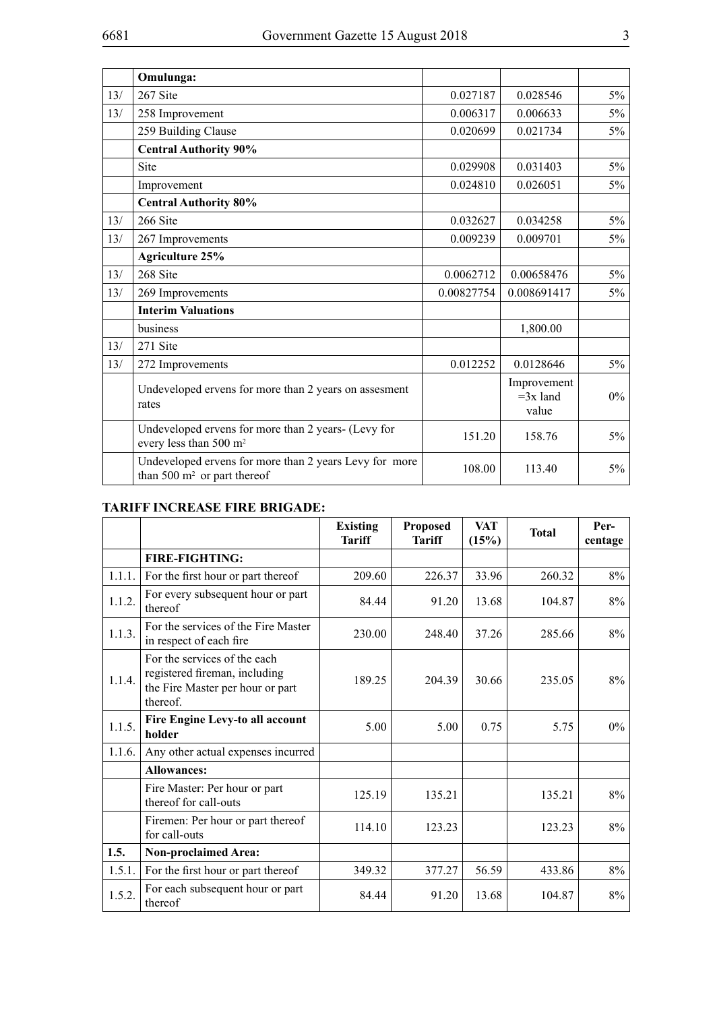|     | Omulunga:                                                                                 |            |                                    |       |
|-----|-------------------------------------------------------------------------------------------|------------|------------------------------------|-------|
| 13/ | 267 Site                                                                                  | 0.027187   | 0.028546                           | $5\%$ |
| 13/ | 258 Improvement                                                                           | 0.006317   | 0.006633                           | $5\%$ |
|     | 259 Building Clause                                                                       | 0.020699   | 0.021734                           | 5%    |
|     | <b>Central Authority 90%</b>                                                              |            |                                    |       |
|     | Site                                                                                      | 0.029908   | 0.031403                           | $5\%$ |
|     | Improvement                                                                               | 0.024810   | 0.026051                           | $5\%$ |
|     | <b>Central Authority 80%</b>                                                              |            |                                    |       |
| 13/ | 266 Site                                                                                  | 0.032627   | 0.034258                           | $5\%$ |
| 13/ | 267 Improvements                                                                          | 0.009239   | 0.009701                           | $5\%$ |
|     | <b>Agriculture 25%</b>                                                                    |            |                                    |       |
| 13/ | 268 Site                                                                                  | 0.0062712  | 0.00658476                         | $5\%$ |
| 13/ | 269 Improvements                                                                          | 0.00827754 | 0.008691417                        | $5\%$ |
|     | <b>Interim Valuations</b>                                                                 |            |                                    |       |
|     | business                                                                                  |            | 1,800.00                           |       |
| 13/ | 271 Site                                                                                  |            |                                    |       |
| 13/ | 272 Improvements                                                                          | 0.012252   | 0.0128646                          | $5\%$ |
|     | Undeveloped ervens for more than 2 years on assesment<br>rates                            |            | Improvement<br>$=3x$ land<br>value | $0\%$ |
|     | Undeveloped ervens for more than 2 years- (Levy for<br>every less than 500 m <sup>2</sup> | 151.20     | 158.76                             | $5\%$ |
|     | Undeveloped ervens for more than 2 years Levy for more<br>than 500 $m2$ or part thereof   | 108.00     | 113.40                             | $5\%$ |

### **TARIFF INCREASE FIRE BRIGADE:**

|        |                                                                                                               | <b>Existing</b><br><b>Tariff</b> | <b>Proposed</b><br><b>Tariff</b> | <b>VAT</b><br>(15%) | <b>Total</b> | Per-<br>centage |
|--------|---------------------------------------------------------------------------------------------------------------|----------------------------------|----------------------------------|---------------------|--------------|-----------------|
|        | <b>FIRE-FIGHTING:</b>                                                                                         |                                  |                                  |                     |              |                 |
| 1.1.1. | For the first hour or part thereof                                                                            | 209.60                           | 226.37                           | 33.96               | 260.32       | $8\%$           |
| 1.1.2. | For every subsequent hour or part<br>thereof                                                                  | 84.44                            | 91.20                            | 13.68               | 104.87       | 8%              |
| 1.1.3. | For the services of the Fire Master<br>in respect of each fire                                                | 230.00                           | 248.40                           | 37.26               | 285.66       | $8\%$           |
| 1.1.4. | For the services of the each<br>registered fireman, including<br>the Fire Master per hour or part<br>thereof. | 189.25                           | 204.39                           | 30.66               | 235.05       | 8%              |
| 1.1.5. | Fire Engine Levy-to all account<br>holder                                                                     | 5.00                             | 5.00                             | 0.75                | 5.75         | $0\%$           |
| 1.1.6. | Any other actual expenses incurred                                                                            |                                  |                                  |                     |              |                 |
|        | <b>Allowances:</b>                                                                                            |                                  |                                  |                     |              |                 |
|        | Fire Master: Per hour or part<br>thereof for call-outs                                                        | 125.19                           | 135.21                           |                     | 135.21       | 8%              |
|        | Firemen: Per hour or part thereof<br>for call-outs                                                            | 114.10                           | 123.23                           |                     | 123.23       | 8%              |
| 1.5.   | <b>Non-proclaimed Area:</b>                                                                                   |                                  |                                  |                     |              |                 |
| 1.5.1. | For the first hour or part thereof                                                                            | 349.32                           | 377.27                           | 56.59               | 433.86       | $8\%$           |
| 1.5.2. | For each subsequent hour or part<br>thereof                                                                   | 84.44                            | 91.20                            | 13.68               | 104.87       | 8%              |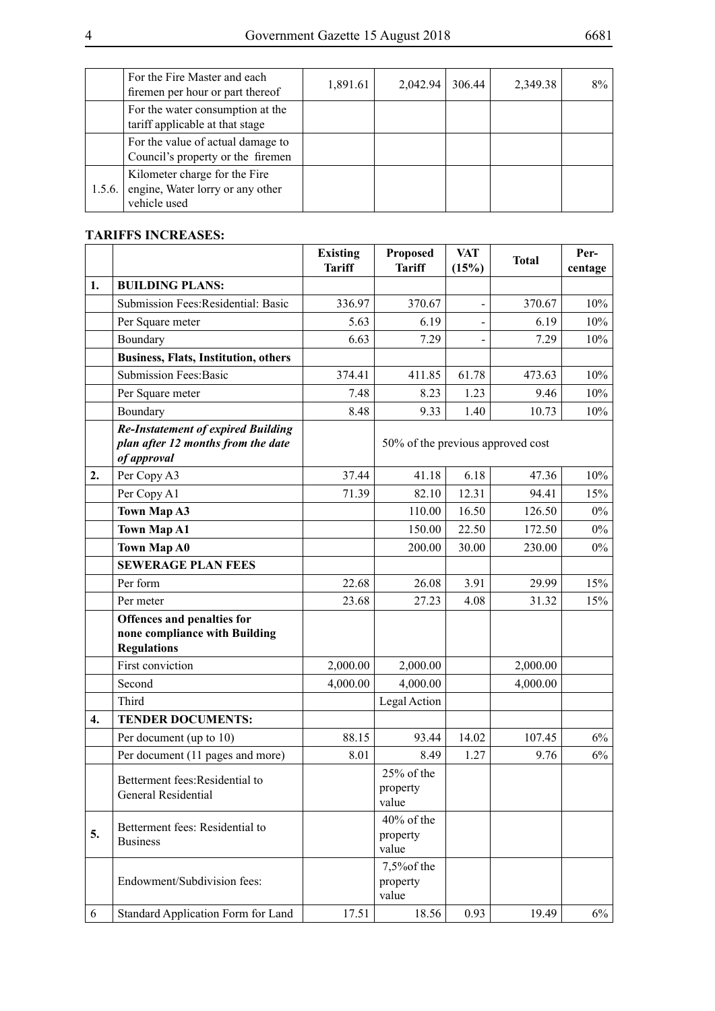|        | For the Fire Master and each<br>firemen per hour or part thereof                  | 1,891.61 | 2,042.94 | 306.44 | 2,349.38 | 8% |
|--------|-----------------------------------------------------------------------------------|----------|----------|--------|----------|----|
|        | For the water consumption at the<br>tariff applicable at that stage               |          |          |        |          |    |
|        | For the value of actual damage to<br>Council's property or the firemen            |          |          |        |          |    |
| 1.5.6. | Kilometer charge for the Fire<br>engine, Water lorry or any other<br>vehicle used |          |          |        |          |    |

# **TARIFFS INCREASES:**

|    |                                                                                                | <b>Existing</b><br><b>Tariff</b> | <b>Proposed</b><br><b>Tariff</b>  | <b>VAT</b><br>(15%)          | <b>Total</b> | Per-<br>centage |
|----|------------------------------------------------------------------------------------------------|----------------------------------|-----------------------------------|------------------------------|--------------|-----------------|
| 1. | <b>BUILDING PLANS:</b>                                                                         |                                  |                                   |                              |              |                 |
|    | Submission Fees: Residential: Basic                                                            | 336.97                           | 370.67                            | $\qquad \qquad \blacksquare$ | 370.67       | 10%             |
|    | Per Square meter                                                                               | 5.63                             | 6.19                              |                              | 6.19         | 10%             |
|    | Boundary                                                                                       | 6.63                             | 7.29                              |                              | 7.29         | 10%             |
|    | <b>Business, Flats, Institution, others</b>                                                    |                                  |                                   |                              |              |                 |
|    | <b>Submission Fees: Basic</b>                                                                  | 374.41                           | 411.85                            | 61.78                        | 473.63       | 10%             |
|    | Per Square meter                                                                               | 7.48                             | 8.23                              | 1.23                         | 9.46         | 10%             |
|    | Boundary                                                                                       | 8.48                             | 9.33                              | 1.40                         | 10.73        | 10%             |
|    | <b>Re-Instatement of expired Building</b><br>plan after 12 months from the date<br>of approval |                                  | 50% of the previous approved cost |                              |              |                 |
| 2. | Per Copy A3                                                                                    | 37.44                            | 41.18                             | 6.18                         | 47.36        | 10%             |
|    | Per Copy A1                                                                                    | 71.39                            | 82.10                             | 12.31                        | 94.41        | 15%             |
|    | <b>Town Map A3</b>                                                                             |                                  | 110.00                            | 16.50                        | 126.50       | $0\%$           |
|    | <b>Town Map A1</b>                                                                             |                                  | 150.00                            | 22.50                        | 172.50       | $0\%$           |
|    | <b>Town Map A0</b>                                                                             |                                  | 200.00                            | 30.00                        | 230.00       | $0\%$           |
|    | <b>SEWERAGE PLAN FEES</b>                                                                      |                                  |                                   |                              |              |                 |
|    | Per form                                                                                       | 22.68                            | 26.08                             | 3.91                         | 29.99        | 15%             |
|    | Per meter                                                                                      | 23.68                            | 27.23                             | 4.08                         | 31.32        | 15%             |
|    | Offences and penalties for<br>none compliance with Building<br><b>Regulations</b>              |                                  |                                   |                              |              |                 |
|    | First conviction                                                                               | 2,000.00                         | 2,000.00                          |                              | 2,000.00     |                 |
|    | Second                                                                                         | 4,000.00                         | 4,000.00                          |                              | 4,000.00     |                 |
|    | Third                                                                                          |                                  | Legal Action                      |                              |              |                 |
| 4. | <b>TENDER DOCUMENTS:</b>                                                                       |                                  |                                   |                              |              |                 |
|    | Per document (up to 10)                                                                        | 88.15                            | 93.44                             | 14.02                        | 107.45       | $6\%$           |
|    | Per document (11 pages and more)                                                               | 8.01                             | 8.49                              | 1.27                         | 9.76         | 6%              |
|    | Betterment fees: Residential to<br>General Residential                                         |                                  | 25% of the<br>property<br>value   |                              |              |                 |
| 5. | Betterment fees: Residential to<br><b>Business</b>                                             |                                  | 40% of the<br>property<br>value   |                              |              |                 |
|    | Endowment/Subdivision fees:                                                                    |                                  | 7,5% of the<br>property<br>value  |                              |              |                 |
| 6  | Standard Application Form for Land                                                             | 17.51                            | 18.56                             | 0.93                         | 19.49        | $6\%$           |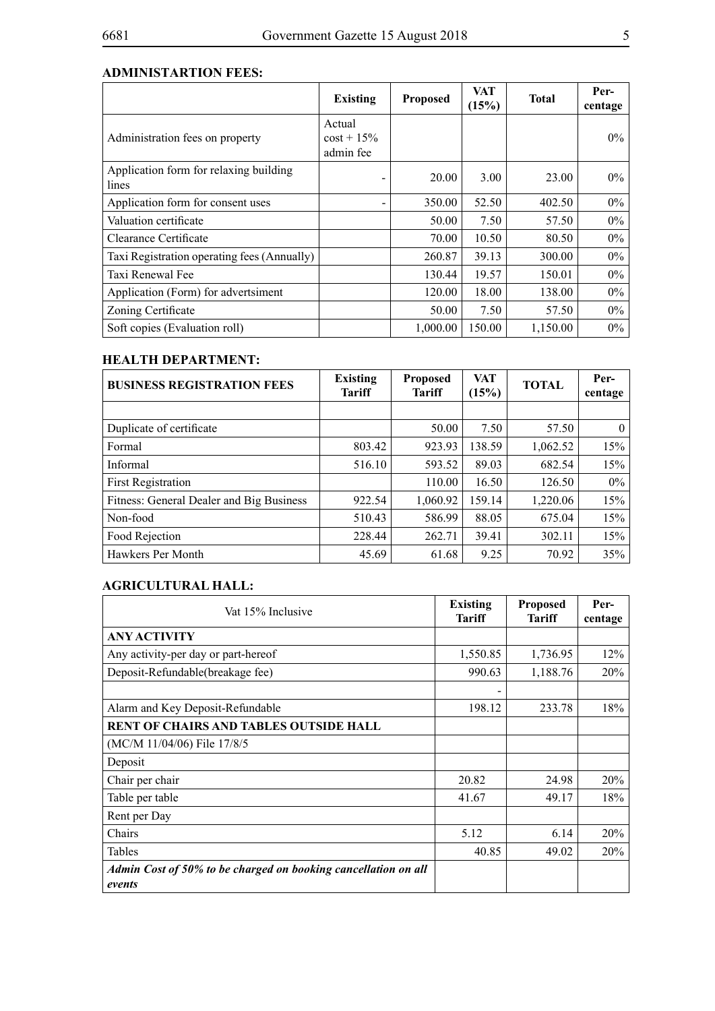#### **Administartion Fees:**

|                                                 | <b>Existing</b>                        | <b>Proposed</b> | VAT<br>(15%) | <b>Total</b> | Per-<br>centage |
|-------------------------------------------------|----------------------------------------|-----------------|--------------|--------------|-----------------|
| Administration fees on property                 | Actual<br>$\cos t + 15\%$<br>admin fee |                 |              |              | $0\%$           |
| Application form for relaxing building<br>lines |                                        | 20.00           | 3.00         | 23.00        | $0\%$           |
| Application form for consent uses               |                                        | 350.00          | 52.50        | 402.50       | $0\%$           |
| Valuation certificate                           |                                        | 50.00           | 7.50         | 57.50        | $0\%$           |
| Clearance Certificate                           |                                        | 70.00           | 10.50        | 80.50        | $0\%$           |
| Taxi Registration operating fees (Annually)     |                                        | 260.87          | 39.13        | 300.00       | $0\%$           |
| Taxi Renewal Fee                                |                                        | 130.44          | 19.57        | 150.01       | $0\%$           |
| Application (Form) for advertsiment             |                                        | 120.00          | 18.00        | 138.00       | $0\%$           |
| Zoning Certificate                              |                                        | 50.00           | 7.50         | 57.50        | $0\%$           |
| Soft copies (Evaluation roll)                   |                                        | 1,000.00        | 150.00       | 1,150.00     | $0\%$           |

#### **HEALTH DEPARTMENT:**

| <b>BUSINESS REGISTRATION FEES</b>        | <b>Existing</b><br><b>Tariff</b> | <b>Proposed</b><br><b>Tariff</b> | VAT<br>(15%) | <b>TOTAL</b> | Per-<br>centage |
|------------------------------------------|----------------------------------|----------------------------------|--------------|--------------|-----------------|
|                                          |                                  |                                  |              |              |                 |
| Duplicate of certificate                 |                                  | 50.00                            | 7.50         | 57.50        | $\theta$        |
| Formal                                   | 803.42                           | 923.93                           | 138.59       | 1,062.52     | 15%             |
| Informal                                 | 516.10                           | 593.52                           | 89.03        | 682.54       | 15%             |
| <b>First Registration</b>                |                                  | 110.00                           | 16.50        | 126.50       | 0%              |
| Fitness: General Dealer and Big Business | 922.54                           | 1,060.92                         | 159.14       | 1,220.06     | 15%             |
| Non-food                                 | 510.43                           | 586.99                           | 88.05        | 675.04       | 15%             |
| Food Rejection                           | 228.44                           | 262.71                           | 39.41        | 302.11       | 15%             |
| Hawkers Per Month                        | 45.69                            | 61.68                            | 9.25         | 70.92        | 35%             |

### **AGRICULTURAL HALL:**

| Vat 15% Inclusive                                                        | <b>Existing</b><br><b>Tariff</b> | <b>Proposed</b><br><b>Tariff</b> | Per-<br>centage |
|--------------------------------------------------------------------------|----------------------------------|----------------------------------|-----------------|
| <b>ANY ACTIVITY</b>                                                      |                                  |                                  |                 |
| Any activity-per day or part-hereof                                      | 1,550.85                         | 1,736.95                         | $12\%$          |
| Deposit-Refundable(breakage fee)                                         | 990.63                           | 1,188.76                         | 20%             |
|                                                                          |                                  |                                  |                 |
| Alarm and Key Deposit-Refundable                                         | 198.12                           | 233.78                           | 18%             |
| <b>RENT OF CHAIRS AND TABLES OUTSIDE HALL</b>                            |                                  |                                  |                 |
| (MC/M 11/04/06) File 17/8/5                                              |                                  |                                  |                 |
| Deposit                                                                  |                                  |                                  |                 |
| Chair per chair                                                          | 20.82                            | 24.98                            | 20%             |
| Table per table                                                          | 41.67                            | 49.17                            | 18%             |
| Rent per Day                                                             |                                  |                                  |                 |
| Chairs                                                                   | 5.12                             | 6.14                             | 20%             |
| Tables                                                                   | 40.85                            | 49.02                            | 20%             |
| Admin Cost of 50% to be charged on booking cancellation on all<br>events |                                  |                                  |                 |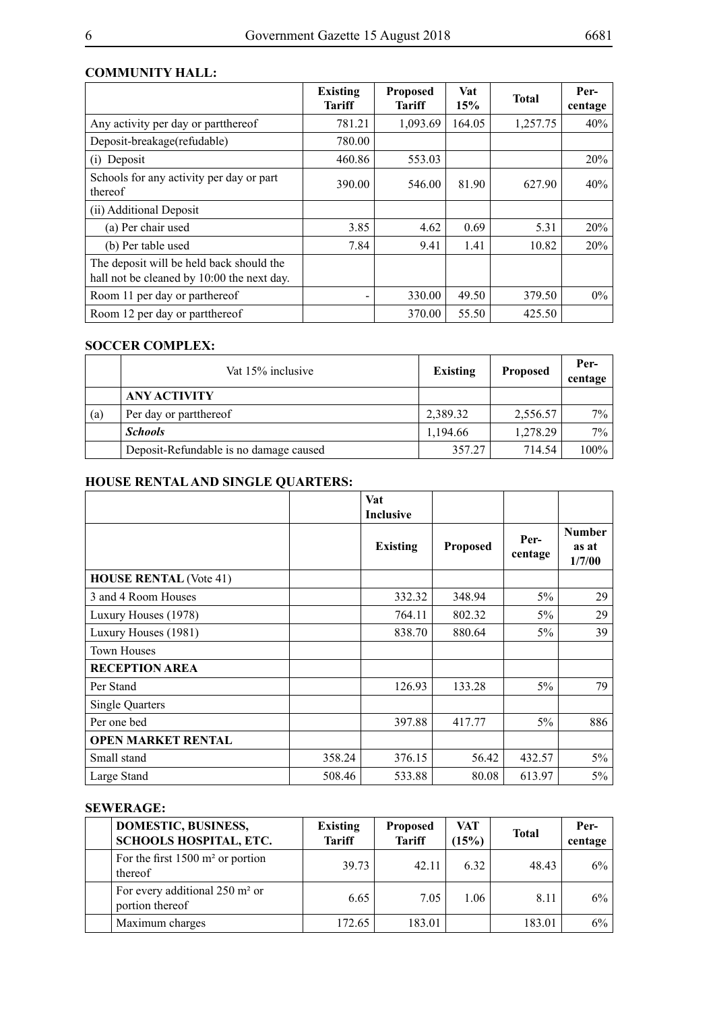#### **COMMUNITY HALL:**

|                                                                                        | <b>Existing</b><br><b>Tariff</b> | <b>Proposed</b><br><b>Tariff</b> | Vat<br>15% | <b>Total</b> | Per-<br>centage |
|----------------------------------------------------------------------------------------|----------------------------------|----------------------------------|------------|--------------|-----------------|
| Any activity per day or partthereof                                                    | 781.21                           | 1,093.69                         | 164.05     | 1,257.75     | 40%             |
| Deposit-breakage(refudable)                                                            | 780.00                           |                                  |            |              |                 |
| (i) Deposit                                                                            | 460.86                           | 553.03                           |            |              | 20%             |
| Schools for any activity per day or part<br>thereof                                    | 390.00                           | 546.00                           | 81.90      | 627.90       | 40%             |
| (ii) Additional Deposit                                                                |                                  |                                  |            |              |                 |
| (a) Per chair used                                                                     | 3.85                             | 4.62                             | 0.69       | 5.31         | 20%             |
| (b) Per table used                                                                     | 7.84                             | 9.41                             | 1.41       | 10.82        | 20%             |
| The deposit will be held back should the<br>hall not be cleaned by 10:00 the next day. |                                  |                                  |            |              |                 |
| Room 11 per day or parthereof                                                          |                                  | 330.00                           | 49.50      | 379.50       | $0\%$           |
| Room 12 per day or partthereof                                                         |                                  | 370.00                           | 55.50      | 425.50       |                 |

#### **SOCCER COMPLEX:**

|     | Vat 15% inclusive                      | <b>Existing</b> | <b>Proposed</b> | Per-<br>centage |
|-----|----------------------------------------|-----------------|-----------------|-----------------|
|     | <b>ANY ACTIVITY</b>                    |                 |                 |                 |
| (a) | Per day or partthereof                 | 2,389.32        | 2,556.57        | $7\%$           |
|     | <b>Schools</b>                         | 1,194.66        | 1,278.29        | $7\%$           |
|     | Deposit-Refundable is no damage caused | 357.27          | 714.54          | $100\%$         |

# **HOUSE RENTAL AND SINGLE QUARTERS:**

|                               |        | Vat<br><b>Inclusive</b> |                 |                 |                                  |
|-------------------------------|--------|-------------------------|-----------------|-----------------|----------------------------------|
|                               |        | <b>Existing</b>         | <b>Proposed</b> | Per-<br>centage | <b>Number</b><br>as at<br>1/7/00 |
| <b>HOUSE RENTAL (Vote 41)</b> |        |                         |                 |                 |                                  |
| 3 and 4 Room Houses           |        | 332.32                  | 348.94          | 5%              | 29                               |
| Luxury Houses (1978)          |        | 764.11                  | 802.32          | 5%              | 29                               |
| Luxury Houses (1981)          |        | 838.70                  | 880.64          | 5%              | 39                               |
| <b>Town Houses</b>            |        |                         |                 |                 |                                  |
| <b>RECEPTION AREA</b>         |        |                         |                 |                 |                                  |
| Per Stand                     |        | 126.93                  | 133.28          | 5%              | 79                               |
| <b>Single Quarters</b>        |        |                         |                 |                 |                                  |
| Per one bed                   |        | 397.88                  | 417.77          | $5\%$           | 886                              |
| <b>OPEN MARKET RENTAL</b>     |        |                         |                 |                 |                                  |
| Small stand                   | 358.24 | 376.15                  | 56.42           | 432.57          | $5\%$                            |
| Large Stand                   | 508.46 | 533.88                  | 80.08           | 613.97          | $5\%$                            |

#### **SEWERAGE:**

| DOMESTIC, BUSINESS,<br><b>SCHOOLS HOSPITAL, ETC.</b>         | <b>Existing</b><br><b>Tariff</b> | <b>Proposed</b><br><b>Tariff</b> | <b>VAT</b><br>(15%) | <b>Total</b> | Per-<br>centage |
|--------------------------------------------------------------|----------------------------------|----------------------------------|---------------------|--------------|-----------------|
| For the first $1500 \text{ m}^2$ or portion<br>thereof       | 39.73                            | 42.11                            | 6.32                | 48.43        | $6\%$           |
| For every additional $250 \text{ m}^2$ or<br>portion thereof | 6.65                             | 7.05                             | 1.06                | 8.11         | $6\%$           |
| Maximum charges                                              | 172.65                           | 183.01                           |                     | 183.01       | $6\%$           |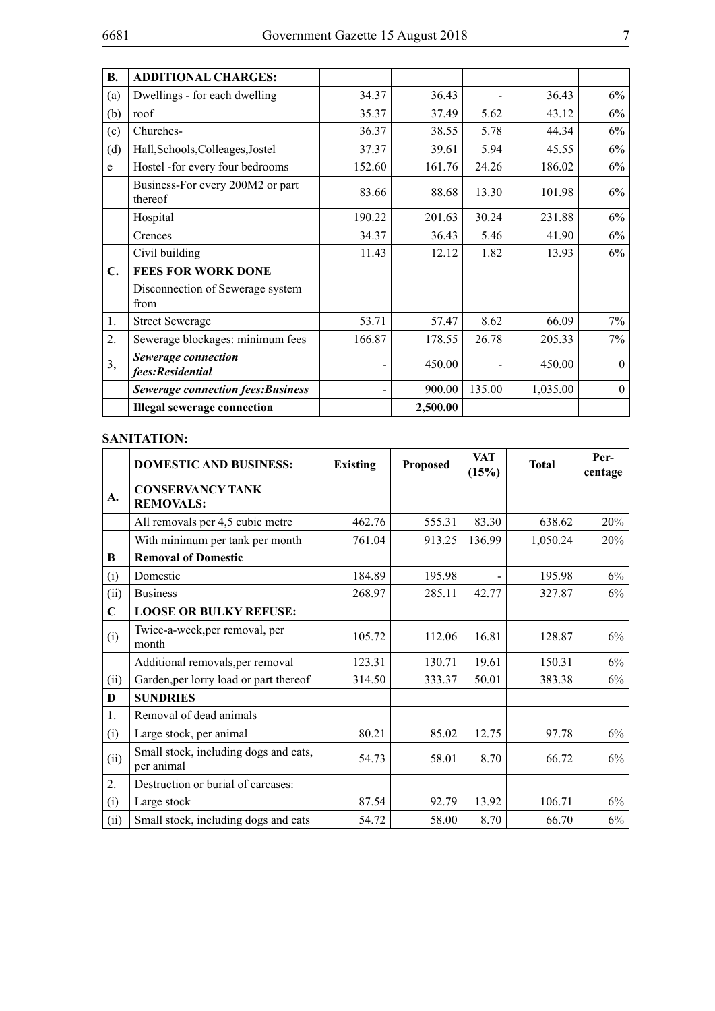| <b>B.</b> | <b>ADDITIONAL CHARGES:</b>                  |        |          |                |          |          |
|-----------|---------------------------------------------|--------|----------|----------------|----------|----------|
| (a)       | Dwellings - for each dwelling               | 34.37  | 36.43    | $\blacksquare$ | 36.43    | 6%       |
| (b)       | roof                                        | 35.37  | 37.49    | 5.62           | 43.12    | 6%       |
| (c)       | Churches-                                   | 36.37  | 38.55    | 5.78           | 44.34    | 6%       |
| (d)       | Hall, Schools, Colleages, Jostel            | 37.37  | 39.61    | 5.94           | 45.55    | 6%       |
| e         | Hostel -for every four bedrooms             | 152.60 | 161.76   | 24.26          | 186.02   | 6%       |
|           | Business-For every 200M2 or part<br>thereof | 83.66  | 88.68    | 13.30          | 101.98   | 6%       |
|           | Hospital                                    | 190.22 | 201.63   | 30.24          | 231.88   | 6%       |
|           | Crences                                     | 34.37  | 36.43    | 5.46           | 41.90    | 6%       |
|           | Civil building                              | 11.43  | 12.12    | 1.82           | 13.93    | 6%       |
| C.        | <b>FEES FOR WORK DONE</b>                   |        |          |                |          |          |
|           | Disconnection of Sewerage system<br>from    |        |          |                |          |          |
| 1.        | <b>Street Sewerage</b>                      | 53.71  | 57.47    | 8.62           | 66.09    | 7%       |
| 2.        | Sewerage blockages: minimum fees            | 166.87 | 178.55   | 26.78          | 205.33   | 7%       |
| 3,        | Sewerage connection<br>fees:Residential     |        | 450.00   |                | 450.00   | $\theta$ |
|           | <b>Sewerage connection fees: Business</b>   |        | 900.00   | 135.00         | 1,035.00 | $\theta$ |
|           | <b>Illegal sewerage connection</b>          |        | 2,500.00 |                |          |          |

#### **SANITATION:**

|             | <b>DOMESTIC AND BUSINESS:</b>                       | <b>Existing</b> | <b>Proposed</b> | <b>VAT</b><br>(15%) | <b>Total</b> | Per-<br>centage |
|-------------|-----------------------------------------------------|-----------------|-----------------|---------------------|--------------|-----------------|
| A.          | <b>CONSERVANCY TANK</b><br><b>REMOVALS:</b>         |                 |                 |                     |              |                 |
|             | All removals per 4,5 cubic metre                    | 462.76          | 555.31          | 83.30               | 638.62       | 20%             |
|             | With minimum per tank per month                     | 761.04          | 913.25          | 136.99              | 1,050.24     | 20%             |
| B           | <b>Removal of Domestic</b>                          |                 |                 |                     |              |                 |
| (i)         | Domestic                                            | 184.89          | 195.98          | $\overline{a}$      | 195.98       | 6%              |
| (ii)        | <b>Business</b>                                     | 268.97          | 285.11          | 42.77               | 327.87       | 6%              |
| $\mathbf C$ | <b>LOOSE OR BULKY REFUSE:</b>                       |                 |                 |                     |              |                 |
| (i)         | Twice-a-week, per removal, per<br>month             | 105.72          | 112.06          | 16.81               | 128.87       | $6\%$           |
|             | Additional removals, per removal                    | 123.31          | 130.71          | 19.61               | 150.31       | 6%              |
| (ii)        | Garden, per lorry load or part thereof              | 314.50          | 333.37          | 50.01               | 383.38       | 6%              |
| D           | <b>SUNDRIES</b>                                     |                 |                 |                     |              |                 |
| 1.          | Removal of dead animals                             |                 |                 |                     |              |                 |
| (i)         | Large stock, per animal                             | 80.21           | 85.02           | 12.75               | 97.78        | $6\%$           |
| (ii)        | Small stock, including dogs and cats,<br>per animal | 54.73           | 58.01           | 8.70                | 66.72        | $6\%$           |
| 2.          | Destruction or burial of carcases:                  |                 |                 |                     |              |                 |
| (i)         | Large stock                                         | 87.54           | 92.79           | 13.92               | 106.71       | $6\%$           |
| (ii)        | Small stock, including dogs and cats                | 54.72           | 58.00           | 8.70                | 66.70        | $6\%$           |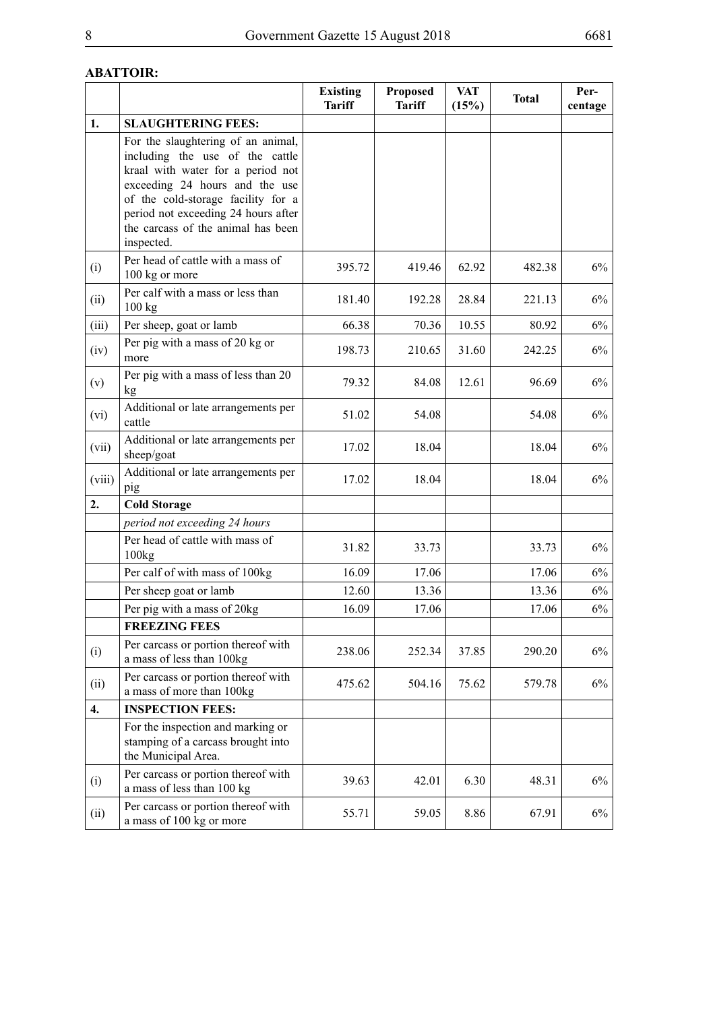# **ABATTOIR:**

|        |                                                                                                                                                                                                                                                                               | <b>Existing</b><br><b>Tariff</b> | <b>Proposed</b><br><b>Tariff</b> | <b>VAT</b><br>(15%) | <b>Total</b> | Per-<br>centage |
|--------|-------------------------------------------------------------------------------------------------------------------------------------------------------------------------------------------------------------------------------------------------------------------------------|----------------------------------|----------------------------------|---------------------|--------------|-----------------|
| 1.     | <b>SLAUGHTERING FEES:</b>                                                                                                                                                                                                                                                     |                                  |                                  |                     |              |                 |
|        | For the slaughtering of an animal,<br>including the use of the cattle<br>kraal with water for a period not<br>exceeding 24 hours and the use<br>of the cold-storage facility for a<br>period not exceeding 24 hours after<br>the carcass of the animal has been<br>inspected. |                                  |                                  |                     |              |                 |
| (i)    | Per head of cattle with a mass of<br>100 kg or more                                                                                                                                                                                                                           | 395.72                           | 419.46                           | 62.92               | 482.38       | 6%              |
| (ii)   | Per calf with a mass or less than<br>100 kg                                                                                                                                                                                                                                   | 181.40                           | 192.28                           | 28.84               | 221.13       | 6%              |
| (iii)  | Per sheep, goat or lamb                                                                                                                                                                                                                                                       | 66.38                            | 70.36                            | 10.55               | 80.92        | 6%              |
| (iv)   | Per pig with a mass of 20 kg or<br>more                                                                                                                                                                                                                                       | 198.73                           | 210.65                           | 31.60               | 242.25       | 6%              |
| (v)    | Per pig with a mass of less than 20<br>kg                                                                                                                                                                                                                                     | 79.32                            | 84.08                            | 12.61               | 96.69        | 6%              |
| (vi)   | Additional or late arrangements per<br>cattle                                                                                                                                                                                                                                 | 51.02                            | 54.08                            |                     | 54.08        | 6%              |
| (vii)  | Additional or late arrangements per<br>sheep/goat                                                                                                                                                                                                                             | 17.02                            | 18.04                            |                     | 18.04        | 6%              |
| (viii) | Additional or late arrangements per<br>pig                                                                                                                                                                                                                                    | 17.02                            | 18.04                            |                     | 18.04        | 6%              |
| 2.     | <b>Cold Storage</b>                                                                                                                                                                                                                                                           |                                  |                                  |                     |              |                 |
|        | period not exceeding 24 hours                                                                                                                                                                                                                                                 |                                  |                                  |                     |              |                 |
|        | Per head of cattle with mass of<br>100kg                                                                                                                                                                                                                                      | 31.82                            | 33.73                            |                     | 33.73        | 6%              |
|        | Per calf of with mass of 100kg                                                                                                                                                                                                                                                | 16.09                            | 17.06                            |                     | 17.06        | 6%              |
|        | Per sheep goat or lamb                                                                                                                                                                                                                                                        | 12.60                            | 13.36                            |                     | 13.36        | 6%              |
|        | Per pig with a mass of 20kg                                                                                                                                                                                                                                                   | 16.09                            | 17.06                            |                     | 17.06        | 6%              |
|        | <b>FREEZING FEES</b>                                                                                                                                                                                                                                                          |                                  |                                  |                     |              |                 |
| (i)    | Per carcass or portion thereof with<br>a mass of less than 100kg                                                                                                                                                                                                              | 238.06                           | 252.34                           | 37.85               | 290.20       | 6%              |
| (ii)   | Per carcass or portion thereof with<br>a mass of more than 100kg                                                                                                                                                                                                              | 475.62                           | 504.16                           | 75.62               | 579.78       | 6%              |
| 4.     | <b>INSPECTION FEES:</b>                                                                                                                                                                                                                                                       |                                  |                                  |                     |              |                 |
|        | For the inspection and marking or<br>stamping of a carcass brought into<br>the Municipal Area.                                                                                                                                                                                |                                  |                                  |                     |              |                 |
| (i)    | Per carcass or portion thereof with<br>a mass of less than 100 kg                                                                                                                                                                                                             | 39.63                            | 42.01                            | 6.30                | 48.31        | 6%              |
| (ii)   | Per carcass or portion thereof with<br>a mass of 100 kg or more                                                                                                                                                                                                               | 55.71                            | 59.05                            | 8.86                | 67.91        | 6%              |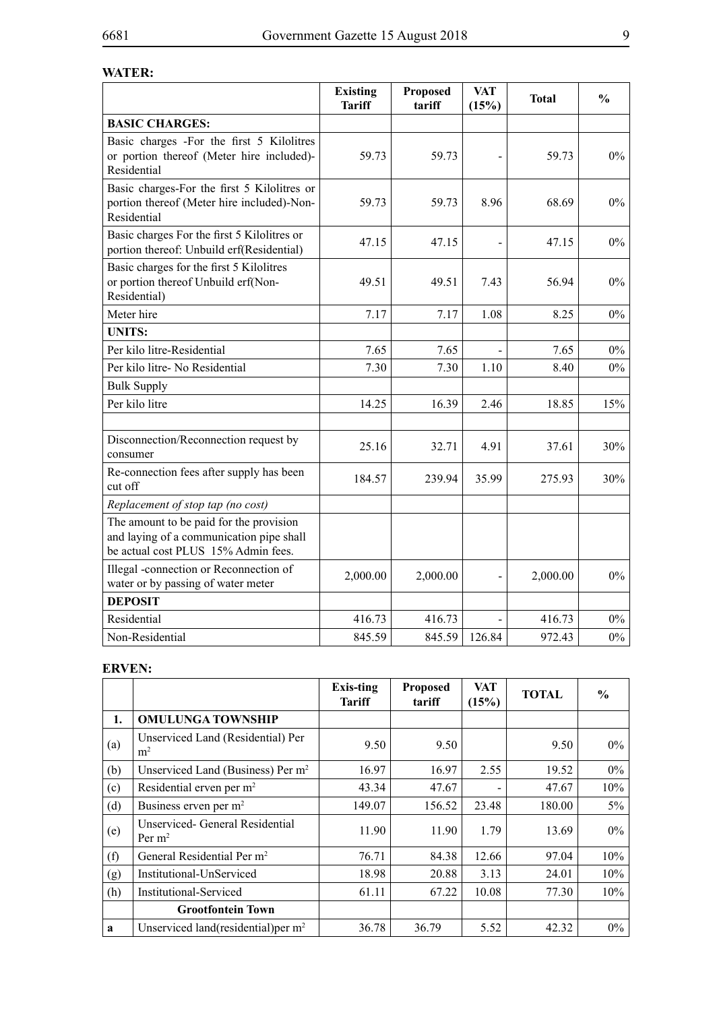# **WATER:**

|                                                                                                                            | <b>Existing</b><br><b>Tariff</b> | <b>Proposed</b><br>tariff | <b>VAT</b><br>(15%)      | <b>Total</b> | $\frac{0}{0}$ |
|----------------------------------------------------------------------------------------------------------------------------|----------------------------------|---------------------------|--------------------------|--------------|---------------|
| <b>BASIC CHARGES:</b>                                                                                                      |                                  |                           |                          |              |               |
| Basic charges -For the first 5 Kilolitres<br>or portion thereof (Meter hire included)-<br>Residential                      | 59.73                            | 59.73                     | $\overline{a}$           | 59.73        | $0\%$         |
| Basic charges-For the first 5 Kilolitres or<br>portion thereof (Meter hire included)-Non-<br>Residential                   | 59.73                            | 59.73                     | 8.96                     | 68.69        | $0\%$         |
| Basic charges For the first 5 Kilolitres or<br>portion thereof: Unbuild erf(Residential)                                   | 47.15                            | 47.15                     | $\overline{a}$           | 47.15        | $0\%$         |
| Basic charges for the first 5 Kilolitres<br>or portion thereof Unbuild erf(Non-<br>Residential)                            | 49.51                            | 49.51                     | 7.43                     | 56.94        | $0\%$         |
| Meter hire                                                                                                                 | 7.17                             | 7.17                      | 1.08                     | 8.25         | $0\%$         |
| <b>UNITS:</b>                                                                                                              |                                  |                           |                          |              |               |
| Per kilo litre-Residential                                                                                                 | 7.65                             | 7.65                      |                          | 7.65         | $0\%$         |
| Per kilo litre- No Residential                                                                                             | 7.30                             | 7.30                      | 1.10                     | 8.40         | $0\%$         |
| <b>Bulk Supply</b>                                                                                                         |                                  |                           |                          |              |               |
| Per kilo litre                                                                                                             | 14.25                            | 16.39                     | 2.46                     | 18.85        | 15%           |
|                                                                                                                            |                                  |                           |                          |              |               |
| Disconnection/Reconnection request by<br>consumer                                                                          | 25.16                            | 32.71                     | 4.91                     | 37.61        | 30%           |
| Re-connection fees after supply has been<br>cut off                                                                        | 184.57                           | 239.94                    | 35.99                    | 275.93       | 30%           |
| Replacement of stop tap (no cost)                                                                                          |                                  |                           |                          |              |               |
| The amount to be paid for the provision<br>and laying of a communication pipe shall<br>be actual cost PLUS 15% Admin fees. |                                  |                           |                          |              |               |
| Illegal -connection or Reconnection of<br>water or by passing of water meter                                               | 2,000.00                         | 2,000.00                  | $\overline{\phantom{a}}$ | 2,000.00     | $0\%$         |
| <b>DEPOSIT</b>                                                                                                             |                                  |                           |                          |              |               |
| Residential                                                                                                                | 416.73                           | 416.73                    |                          | 416.73       | $0\%$         |
| Non-Residential                                                                                                            | 845.59                           | 845.59                    | 126.84                   | 972.43       | $0\%$         |

# **ERVEN:**

|     |                                                     | <b>Exis-ting</b><br><b>Tariff</b> | <b>Proposed</b><br>tariff | VAT<br>(15%)                 | <b>TOTAL</b> | $\frac{6}{6}$ |
|-----|-----------------------------------------------------|-----------------------------------|---------------------------|------------------------------|--------------|---------------|
| 1.  | <b>OMULUNGA TOWNSHIP</b>                            |                                   |                           |                              |              |               |
| (a) | Unserviced Land (Residential) Per<br>m <sup>2</sup> | 9.50                              | 9.50                      |                              | 9.50         | $0\%$         |
| (b) | Unserviced Land (Business) Per m <sup>2</sup>       | 16.97                             | 16.97                     | 2.55                         | 19.52        | $0\%$         |
| (c) | Residential erven per m <sup>2</sup>                | 43.34                             | 47.67                     | $\qquad \qquad \blacksquare$ | 47.67        | 10%           |
| (d) | Business erven per m <sup>2</sup>                   | 149.07                            | 156.52                    | 23.48                        | 180.00       | $5\%$         |
| (e) | Unserviced- General Residential<br>Per $m2$         | 11.90                             | 11.90                     | 1.79                         | 13.69        | $0\%$         |
| (f) | General Residential Per m <sup>2</sup>              | 76.71                             | 84.38                     | 12.66                        | 97.04        | 10%           |
| (g) | Institutional-UnServiced                            | 18.98                             | 20.88                     | 3.13                         | 24.01        | 10%           |
| (h) | <b>Institutional-Serviced</b>                       | 61.11                             | 67.22                     | 10.08                        | 77.30        | $10\%$        |
|     | <b>Grootfontein Town</b>                            |                                   |                           |                              |              |               |
| a   | Unserviced land(residential) per $m2$               | 36.78                             | 36.79                     | 5.52                         | 42.32        | $0\%$         |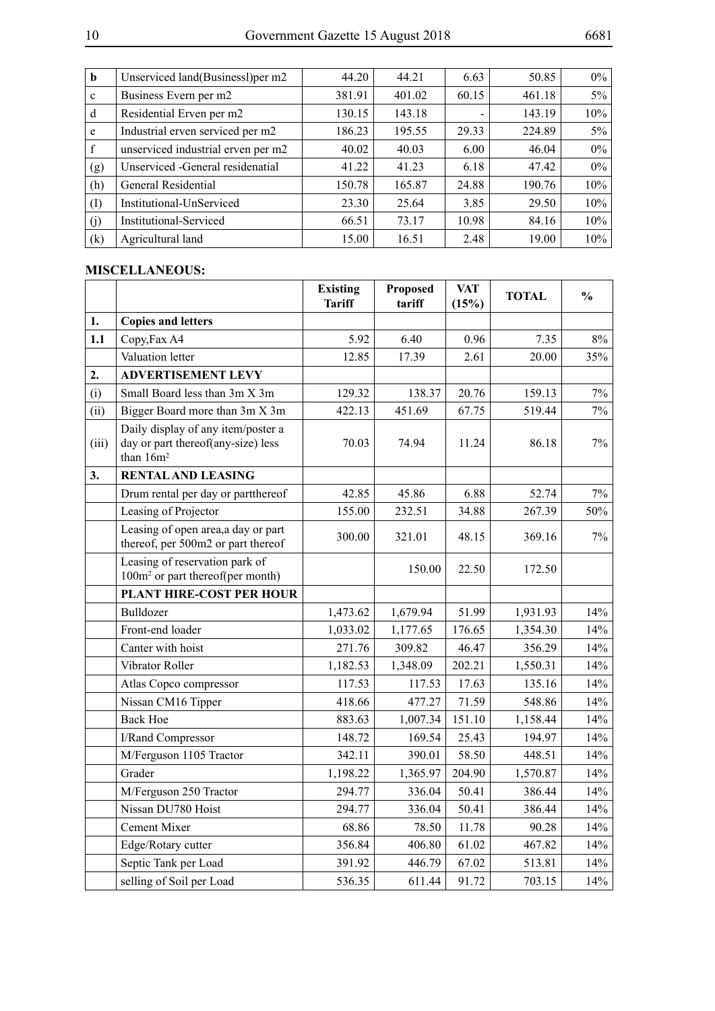| $\mathbf b$  | Unserviced land(Businessl) per m2  | 44.20  | 44.21  | 6.63                     | 50.85  | $0\%$ |
|--------------|------------------------------------|--------|--------|--------------------------|--------|-------|
| $\mathbf{c}$ | Business Evern per m2              | 381.91 | 401.02 | 60.15                    | 461.18 | $5\%$ |
| d            | Residential Erven per m2           | 130.15 | 143.18 | $\overline{\phantom{a}}$ | 143.19 | 10%   |
| e            | Industrial erven serviced per m2   | 186.23 | 195.55 | 29.33                    | 224.89 | $5\%$ |
| $\mathbf f$  | unserviced industrial erven per m2 | 40.02  | 40.03  | 6.00                     | 46.04  | $0\%$ |
| (g)          | Unserviced -General residenatial   | 41.22  | 41.23  | 6.18                     | 47.42  | $0\%$ |
| (h)          | General Residential                | 150.78 | 165.87 | 24.88                    | 190.76 | 10%   |
| (I)          | Institutional-UnServiced           | 23.30  | 25.64  | 3.85                     | 29.50  | 10%   |
| (i)          | <b>Institutional-Serviced</b>      | 66.51  | 73.17  | 10.98                    | 84.16  | 10%   |
| (k)          | Agricultural land                  | 15.00  | 16.51  | 2.48                     | 19.00  | 10%   |

#### **MISCELLANEOUS:**

|       |                                                                                         | <b>Existing</b><br><b>Tariff</b> | Proposed<br>tariff | <b>VAT</b><br>(15%) | <b>TOTAL</b> | $\frac{0}{0}$ |
|-------|-----------------------------------------------------------------------------------------|----------------------------------|--------------------|---------------------|--------------|---------------|
| 1.    | <b>Copies and letters</b>                                                               |                                  |                    |                     |              |               |
| 1.1   | Copy, Fax A4                                                                            | 5.92                             | 6.40               | 0.96                | 7.35         | 8%            |
|       | Valuation letter                                                                        | 12.85                            | 17.39              | 2.61                | 20.00        | 35%           |
| 2.    | <b>ADVERTISEMENT LEVY</b>                                                               |                                  |                    |                     |              |               |
| (i)   | Small Board less than 3m X 3m                                                           | 129.32                           | 138.37             | 20.76               | 159.13       | $7\%$         |
| (ii)  | Bigger Board more than 3m X 3m                                                          | 422.13                           | 451.69             | 67.75               | 519.44       | 7%            |
| (iii) | Daily display of any item/poster a<br>day or part thereof(any-size) less<br>than $16m2$ | 70.03                            | 74.94              | 11.24               | 86.18        | $7\%$         |
| 3.    | <b>RENTAL AND LEASING</b>                                                               |                                  |                    |                     |              |               |
|       | Drum rental per day or partthereof                                                      | 42.85                            | 45.86              | 6.88                | 52.74        | $7\%$         |
|       | Leasing of Projector                                                                    | 155.00                           | 232.51             | 34.88               | 267.39       | 50%           |
|       | Leasing of open area, a day or part<br>thereof, per 500m2 or part thereof               | 300.00                           | 321.01             | 48.15               | 369.16       | $7\%$         |
|       | Leasing of reservation park of<br>100m <sup>2</sup> or part thereof(per month)          |                                  | 150.00             | 22.50               | 172.50       |               |
|       | PLANT HIRE-COST PER HOUR                                                                |                                  |                    |                     |              |               |
|       | Bulldozer                                                                               | 1,473.62                         | 1,679.94           | 51.99               | 1,931.93     | 14%           |
|       | Front-end loader                                                                        | 1,033.02                         | 1,177.65           | 176.65              | 1,354.30     | 14%           |
|       | Canter with hoist                                                                       | 271.76                           | 309.82             | 46.47               | 356.29       | 14%           |
|       | Vibrator Roller                                                                         | 1,182.53                         | 1,348.09           | 202.21              | 1,550.31     | 14%           |
|       | Atlas Copco compressor                                                                  | 117.53                           | 117.53             | 17.63               | 135.16       | 14%           |
|       | Nissan CM16 Tipper                                                                      | 418.66                           | 477.27             | 71.59               | 548.86       | 14%           |
|       | <b>Back Hoe</b>                                                                         | 883.63                           | 1,007.34           | 151.10              | 1,158.44     | 14%           |
|       | I/Rand Compressor                                                                       | 148.72                           | 169.54             | 25.43               | 194.97       | 14%           |
|       | M/Ferguson 1105 Tractor                                                                 | 342.11                           | 390.01             | 58.50               | 448.51       | 14%           |
|       | Grader                                                                                  | 1,198.22                         | 1,365.97           | 204.90              | 1,570.87     | 14%           |
|       | M/Ferguson 250 Tractor                                                                  | 294.77                           | 336.04             | 50.41               | 386.44       | 14%           |
|       | Nissan DU780 Hoist                                                                      | 294.77                           | 336.04             | 50.41               | 386.44       | 14%           |
|       | <b>Cement Mixer</b>                                                                     | 68.86                            | 78.50              | 11.78               | 90.28        | 14%           |
|       | Edge/Rotary cutter                                                                      | 356.84                           | 406.80             | 61.02               | 467.82       | 14%           |
|       | Septic Tank per Load                                                                    | 391.92                           | 446.79             | 67.02               | 513.81       | 14%           |
|       | selling of Soil per Load                                                                | 536.35                           | 611.44             | 91.72               | 703.15       | 14%           |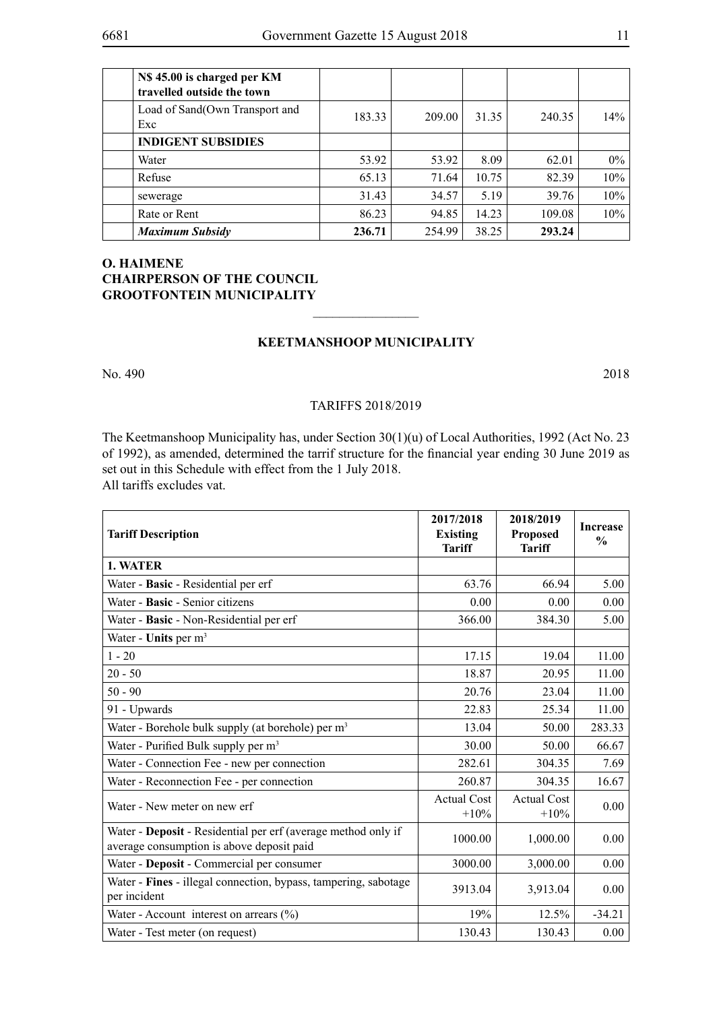| N\$45.00 is charged per KM<br>travelled outside the town |        |        |       |        |       |
|----------------------------------------------------------|--------|--------|-------|--------|-------|
| Load of Sand(Own Transport and<br>Exc                    | 183.33 | 209.00 | 31.35 | 240.35 | 14%   |
| <b>INDIGENT SUBSIDIES</b>                                |        |        |       |        |       |
| Water                                                    | 53.92  | 53.92  | 8.09  | 62.01  | $0\%$ |
| Refuse                                                   | 65.13  | 71.64  | 10.75 | 82.39  | 10%   |
| sewerage                                                 | 31.43  | 34.57  | 5.19  | 39.76  | 10%   |
| Rate or Rent                                             | 86.23  | 94.85  | 14.23 | 109.08 | 10%   |
| Maximum Subsidy                                          | 236.71 | 254.99 | 38.25 | 293.24 |       |

### **O. HAIMENE CHAIRPERSON OF THE COUNCIL GROOTFONTEIN MUNICIPALITY**

#### **KEETMANSHOOP MUNICIPALITY**

 $\overline{\phantom{a}}$  , where  $\overline{\phantom{a}}$ 

No. 490 2018

#### TARIFFS 2018/2019

The Keetmanshoop Municipality has, under Section 30(1)(u) of Local Authorities, 1992 (Act No. 23 of 1992), as amended, determined the tarrif structure for the financial year ending 30 June 2019 as set out in this Schedule with effect from the 1 July 2018. All tariffs excludes vat.

| <b>Tariff Description</b>                                                                                  | 2017/2018<br><b>Existing</b><br><b>Tariff</b> | 2018/2019<br><b>Proposed</b><br><b>Tariff</b> | <b>Increase</b><br>$\frac{0}{0}$ |
|------------------------------------------------------------------------------------------------------------|-----------------------------------------------|-----------------------------------------------|----------------------------------|
| 1. WATER                                                                                                   |                                               |                                               |                                  |
| Water - Basic - Residential per erf                                                                        | 63.76                                         | 66.94                                         | 5.00                             |
| Water - Basic - Senior citizens                                                                            | 0.00                                          | 0.00                                          | 0.00                             |
| Water - Basic - Non-Residential per erf                                                                    | 366.00                                        | 384.30                                        | 5.00                             |
| Water - Units per $m3$                                                                                     |                                               |                                               |                                  |
| $1 - 20$                                                                                                   | 17.15                                         | 19.04                                         | 11.00                            |
| $20 - 50$                                                                                                  | 18.87                                         | 20.95                                         | 11.00                            |
| $50 - 90$                                                                                                  | 20.76                                         | 23.04                                         | 11.00                            |
| 91 - Upwards                                                                                               | 22.83                                         | 25.34                                         | 11.00                            |
| Water - Borehole bulk supply (at borehole) per m <sup>3</sup>                                              | 13.04                                         | 50.00                                         | 283.33                           |
| Water - Purified Bulk supply per m <sup>3</sup>                                                            | 30.00                                         | 50.00                                         | 66.67                            |
| Water - Connection Fee - new per connection                                                                | 282.61                                        | 304.35                                        | 7.69                             |
| Water - Reconnection Fee - per connection                                                                  | 260.87                                        | 304.35                                        | 16.67                            |
| Water - New meter on new erf                                                                               | <b>Actual Cost</b><br>$+10%$                  | <b>Actual Cost</b><br>$+10%$                  | 0.00                             |
| Water - Deposit - Residential per erf (average method only if<br>average consumption is above deposit paid | 1000.00                                       | 1,000.00                                      | 0.00                             |
| Water - Deposit - Commercial per consumer                                                                  | 3000.00                                       | 3,000.00                                      | 0.00                             |
| Water - Fines - illegal connection, bypass, tampering, sabotage<br>per incident                            | 3913.04                                       | 3,913.04                                      | 0.00                             |
| Water - Account interest on arrears $(\%)$                                                                 | 19%                                           | 12.5%                                         | $-34.21$                         |
| Water - Test meter (on request)                                                                            | 130.43                                        | 130.43                                        | 0.00                             |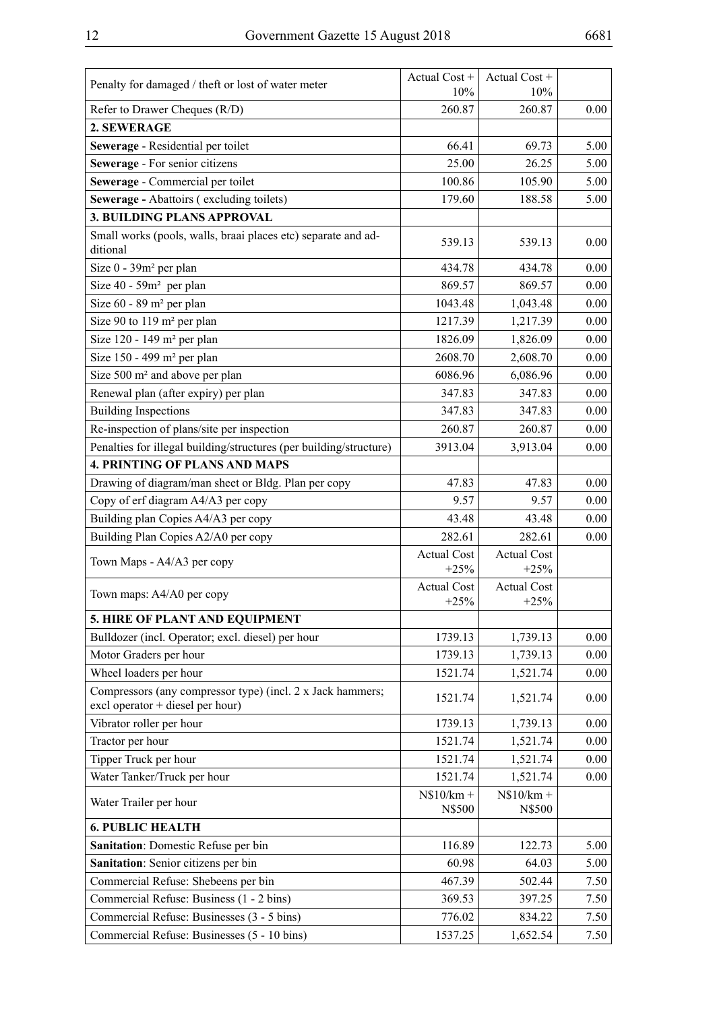$\overline{\phantom{a}}$ 

| Penalty for damaged / theft or lost of water meter                                             | Actual Cost +<br>10%         | Actual Cost +<br>10%         |          |
|------------------------------------------------------------------------------------------------|------------------------------|------------------------------|----------|
| Refer to Drawer Cheques (R/D)                                                                  | 260.87                       | 260.87                       | 0.00     |
| 2. SEWERAGE                                                                                    |                              |                              |          |
| Sewerage - Residential per toilet                                                              | 66.41                        | 69.73                        | 5.00     |
| Sewerage - For senior citizens                                                                 | 25.00                        | 26.25                        | 5.00     |
| Sewerage - Commercial per toilet                                                               | 100.86                       | 105.90                       | 5.00     |
| <b>Sewerage - Abattoirs (excluding toilets)</b>                                                | 179.60                       | 188.58                       | 5.00     |
| 3. BUILDING PLANS APPROVAL                                                                     |                              |                              |          |
| Small works (pools, walls, braai places etc) separate and ad-<br>ditional                      | 539.13                       | 539.13                       | 0.00     |
| Size $0 - 39m^2$ per plan                                                                      | 434.78                       | 434.78                       | 0.00     |
| Size $40 - 59m^2$ per plan                                                                     | 869.57                       | 869.57                       | 0.00     |
| Size $60 - 89$ m <sup>2</sup> per plan                                                         | 1043.48                      | 1,043.48                     | 0.00     |
| Size 90 to 119 m <sup>2</sup> per plan                                                         | 1217.39                      | 1,217.39                     | 0.00     |
| Size $120 - 149$ m <sup>2</sup> per plan                                                       | 1826.09                      | 1,826.09                     | 0.00     |
| Size 150 - 499 m <sup>2</sup> per plan                                                         | 2608.70                      | 2,608.70                     | 0.00     |
| Size 500 m <sup>2</sup> and above per plan                                                     | 6086.96                      | 6,086.96                     | 0.00     |
| Renewal plan (after expiry) per plan                                                           | 347.83                       | 347.83                       | 0.00     |
| <b>Building Inspections</b>                                                                    | 347.83                       | 347.83                       | 0.00     |
| Re-inspection of plans/site per inspection                                                     | 260.87                       | 260.87                       | 0.00     |
| Penalties for illegal building/structures (per building/structure)                             | 3913.04                      | 3,913.04                     | 0.00     |
| <b>4. PRINTING OF PLANS AND MAPS</b>                                                           |                              |                              |          |
| Drawing of diagram/man sheet or Bldg. Plan per copy                                            | 47.83                        | 47.83                        | $0.00\,$ |
| Copy of erf diagram A4/A3 per copy                                                             | 9.57                         | 9.57                         | 0.00     |
| Building plan Copies A4/A3 per copy                                                            | 43.48                        | 43.48                        | 0.00     |
| Building Plan Copies A2/A0 per copy                                                            | 282.61                       | 282.61                       | 0.00     |
| Town Maps - A4/A3 per copy                                                                     | <b>Actual Cost</b><br>$+25%$ | <b>Actual Cost</b><br>$+25%$ |          |
| Town maps: A4/A0 per copy                                                                      | <b>Actual Cost</b><br>$+25%$ | <b>Actual Cost</b><br>$+25%$ |          |
| 5. HIRE OF PLANT AND EQUIPMENT                                                                 |                              |                              |          |
| Bulldozer (incl. Operator; excl. diesel) per hour                                              | 1739.13                      | 1,739.13                     | 0.00     |
| Motor Graders per hour                                                                         | 1739.13                      | 1,739.13                     | 0.00     |
| Wheel loaders per hour                                                                         | 1521.74                      | 1,521.74                     | 0.00     |
| Compressors (any compressor type) (incl. 2 x Jack hammers;<br>excl operator + diesel per hour) | 1521.74                      | 1,521.74                     | 0.00     |
| Vibrator roller per hour                                                                       | 1739.13                      | 1,739.13                     | 0.00     |
| Tractor per hour                                                                               | 1521.74                      | 1,521.74                     | 0.00     |
| Tipper Truck per hour                                                                          | 1521.74                      | 1,521.74                     | 0.00     |
| Water Tanker/Truck per hour                                                                    | 1521.74                      | 1,521.74                     | 0.00     |
| Water Trailer per hour                                                                         | $N$10/km +$<br>N\$500        | $N$10/km +$<br>N\$500        |          |
| <b>6. PUBLIC HEALTH</b>                                                                        |                              |                              |          |
| Sanitation: Domestic Refuse per bin                                                            | 116.89                       | 122.73                       | 5.00     |
| Sanitation: Senior citizens per bin                                                            | 60.98                        | 64.03                        | 5.00     |
| Commercial Refuse: Shebeens per bin                                                            | 467.39                       | 502.44                       | 7.50     |
| Commercial Refuse: Business (1 - 2 bins)                                                       | 369.53                       | 397.25                       | 7.50     |
| Commercial Refuse: Businesses (3 - 5 bins)                                                     | 776.02                       | 834.22                       | 7.50     |
| Commercial Refuse: Businesses (5 - 10 bins)                                                    | 1537.25                      | 1,652.54                     | 7.50     |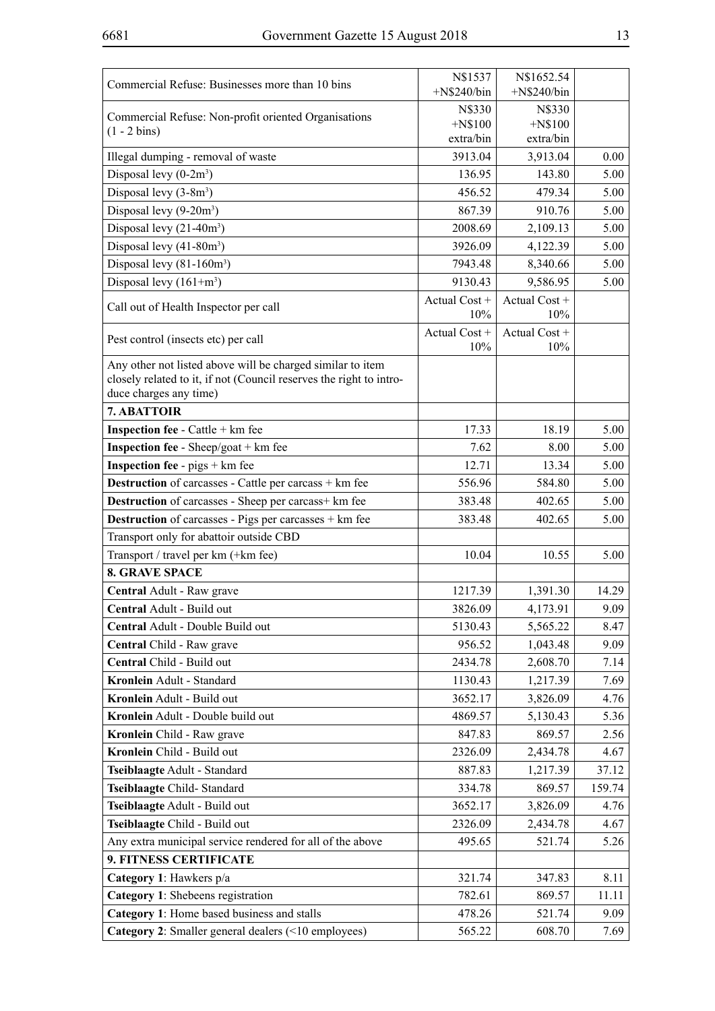| Commercial Refuse: Businesses more than 10 bins                                                                                                             | N\$1537              | N\$1652.54           |        |
|-------------------------------------------------------------------------------------------------------------------------------------------------------------|----------------------|----------------------|--------|
|                                                                                                                                                             | $+N$240/bin$         | $+N$240/bin$         |        |
| Commercial Refuse: Non-profit oriented Organisations                                                                                                        | N\$330<br>$+$ N\$100 | N\$330<br>$+$ N\$100 |        |
| $(1 - 2 \text{ bins})$                                                                                                                                      | extra/bin            | extra/bin            |        |
| Illegal dumping - removal of waste                                                                                                                          | 3913.04              | 3,913.04             | 0.00   |
| Disposal levy $(0-2m^3)$                                                                                                                                    | 136.95               | 143.80               | 5.00   |
| Disposal levy $(3-8m^3)$                                                                                                                                    | 456.52               | 479.34               | 5.00   |
| Disposal levy $(9-20m^3)$                                                                                                                                   | 867.39               | 910.76               | 5.00   |
| Disposal levy $(21-40m^3)$                                                                                                                                  | 2008.69              | 2,109.13             | 5.00   |
| Disposal levy $(41-80m^3)$                                                                                                                                  | 3926.09              | 4,122.39             | 5.00   |
| Disposal levy $(81-160m^3)$                                                                                                                                 | 7943.48              | 8,340.66             | 5.00   |
| Disposal levy $(161+m^3)$                                                                                                                                   | 9130.43              | 9,586.95             | 5.00   |
| Call out of Health Inspector per call                                                                                                                       | Actual Cost +<br>10% | Actual Cost +<br>10% |        |
| Pest control (insects etc) per call                                                                                                                         | Actual Cost +<br>10% | Actual Cost +<br>10% |        |
| Any other not listed above will be charged similar to item<br>closely related to it, if not (Council reserves the right to intro-<br>duce charges any time) |                      |                      |        |
| 7. ABATTOIR                                                                                                                                                 |                      |                      |        |
| <b>Inspection fee</b> - Cattle $+$ km fee                                                                                                                   | 17.33                | 18.19                | 5.00   |
| <b>Inspection fee</b> - Sheep/goat + $km$ fee                                                                                                               | 7.62                 | 8.00                 | 5.00   |
| <b>Inspection fee</b> - $pigs + km$ fee                                                                                                                     | 12.71                | 13.34                | 5.00   |
| Destruction of carcasses - Cattle per carcass + km fee                                                                                                      | 556.96               | 584.80               | 5.00   |
| Destruction of carcasses - Sheep per carcass+ km fee                                                                                                        | 383.48               | 402.65               | 5.00   |
| Destruction of carcasses - Pigs per carcasses + km fee                                                                                                      | 383.48               | 402.65               | 5.00   |
| Transport only for abattoir outside CBD                                                                                                                     |                      |                      |        |
| Transport / travel per km (+km fee)                                                                                                                         | 10.04                | 10.55                | 5.00   |
| <b>8. GRAVE SPACE</b>                                                                                                                                       |                      |                      |        |
| Central Adult - Raw grave                                                                                                                                   | 1217.39              | 1,391.30             | 14.29  |
| Central Adult - Build out                                                                                                                                   | 3826.09              | 4,173.91             | 9.09   |
| Central Adult - Double Build out                                                                                                                            | 5130.43              | 5,565.22             | 8.47   |
| Central Child - Raw grave                                                                                                                                   | 956.52               | 1,043.48             | 9.09   |
| Central Child - Build out                                                                                                                                   | 2434.78              | 2,608.70             | 7.14   |
| Kronlein Adult - Standard                                                                                                                                   | 1130.43              | 1,217.39             | 7.69   |
| Kronlein Adult - Build out                                                                                                                                  | 3652.17              | 3,826.09             | 4.76   |
| Kronlein Adult - Double build out                                                                                                                           | 4869.57              | 5,130.43             | 5.36   |
| Kronlein Child - Raw grave                                                                                                                                  | 847.83               | 869.57               | 2.56   |
| Kronlein Child - Build out                                                                                                                                  | 2326.09              | 2,434.78             | 4.67   |
| Tseiblaagte Adult - Standard                                                                                                                                | 887.83               | 1,217.39             | 37.12  |
| Tseiblaagte Child-Standard                                                                                                                                  | 334.78               | 869.57               | 159.74 |
| Tseiblaagte Adult - Build out                                                                                                                               | 3652.17              | 3,826.09             | 4.76   |
| Tseiblaagte Child - Build out                                                                                                                               | 2326.09              | 2,434.78             | 4.67   |
| Any extra municipal service rendered for all of the above                                                                                                   | 495.65               | 521.74               | 5.26   |
| 9. FITNESS CERTIFICATE                                                                                                                                      |                      |                      |        |
| Category 1: Hawkers p/a                                                                                                                                     | 321.74               | 347.83               | 8.11   |
| Category 1: Shebeens registration                                                                                                                           | 782.61               | 869.57               | 11.11  |
| Category 1: Home based business and stalls                                                                                                                  | 478.26               | 521.74               | 9.09   |
| Category 2: Smaller general dealers (<10 employees)                                                                                                         | 565.22               | 608.70               | 7.69   |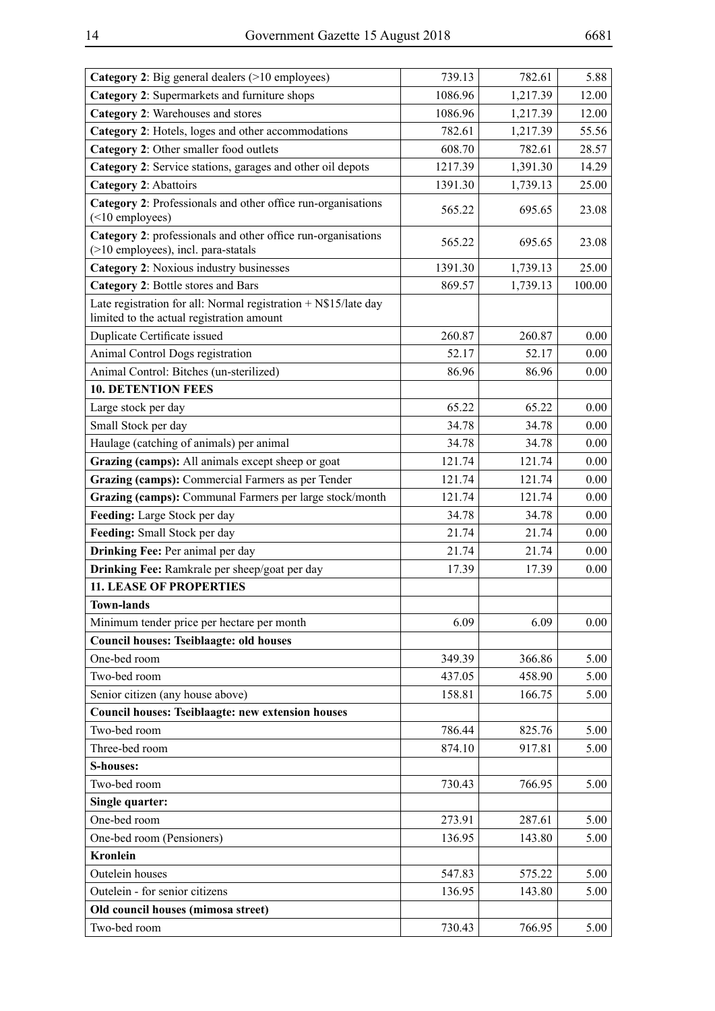| Category 2: Big general dealers (>10 employees)                                                              | 739.13  | 782.61   | 5.88   |
|--------------------------------------------------------------------------------------------------------------|---------|----------|--------|
| Category 2: Supermarkets and furniture shops                                                                 | 1086.96 | 1,217.39 | 12.00  |
| Category 2: Warehouses and stores                                                                            | 1086.96 | 1,217.39 | 12.00  |
| Category 2: Hotels, loges and other accommodations                                                           | 782.61  | 1,217.39 | 55.56  |
| Category 2: Other smaller food outlets                                                                       | 608.70  | 782.61   | 28.57  |
| Category 2: Service stations, garages and other oil depots                                                   | 1217.39 | 1,391.30 | 14.29  |
| Category 2: Abattoirs                                                                                        | 1391.30 | 1,739.13 | 25.00  |
| Category 2: Professionals and other office run-organisations<br>$($ <10 employees)                           | 565.22  | 695.65   | 23.08  |
| Category 2: professionals and other office run-organisations<br>(>10 employees), incl. para-statals          | 565.22  | 695.65   | 23.08  |
| Category 2: Noxious industry businesses                                                                      | 1391.30 | 1,739.13 | 25.00  |
| Category 2: Bottle stores and Bars                                                                           | 869.57  | 1,739.13 | 100.00 |
| Late registration for all: Normal registration + N\$15/late day<br>limited to the actual registration amount |         |          |        |
| Duplicate Certificate issued                                                                                 | 260.87  | 260.87   | 0.00   |
| Animal Control Dogs registration                                                                             | 52.17   | 52.17    | 0.00   |
| Animal Control: Bitches (un-sterilized)                                                                      | 86.96   | 86.96    | 0.00   |
| <b>10. DETENTION FEES</b>                                                                                    |         |          |        |
| Large stock per day                                                                                          | 65.22   | 65.22    | 0.00   |
| Small Stock per day                                                                                          | 34.78   | 34.78    | 0.00   |
| Haulage (catching of animals) per animal                                                                     | 34.78   | 34.78    | 0.00   |
| Grazing (camps): All animals except sheep or goat                                                            | 121.74  | 121.74   | 0.00   |
| Grazing (camps): Commercial Farmers as per Tender                                                            | 121.74  | 121.74   | 0.00   |
| Grazing (camps): Communal Farmers per large stock/month                                                      | 121.74  | 121.74   | 0.00   |
| Feeding: Large Stock per day                                                                                 | 34.78   | 34.78    | 0.00   |
| Feeding: Small Stock per day                                                                                 | 21.74   | 21.74    | 0.00   |
| Drinking Fee: Per animal per day                                                                             | 21.74   | 21.74    | 0.00   |
| Drinking Fee: Ramkrale per sheep/goat per day                                                                | 17.39   | 17.39    | 0.00   |
| <b>11. LEASE OF PROPERTIES</b>                                                                               |         |          |        |
| <b>Town-lands</b>                                                                                            |         |          |        |
| Minimum tender price per hectare per month                                                                   | 6.09    | 6.09     | 0.00   |
| <b>Council houses: Tseiblaagte: old houses</b>                                                               |         |          |        |
| One-bed room                                                                                                 | 349.39  | 366.86   | 5.00   |
| Two-bed room                                                                                                 | 437.05  | 458.90   | 5.00   |
| Senior citizen (any house above)                                                                             | 158.81  | 166.75   | 5.00   |
| <b>Council houses: Tseiblaagte: new extension houses</b>                                                     |         |          |        |
| Two-bed room                                                                                                 | 786.44  | 825.76   | 5.00   |
| Three-bed room                                                                                               | 874.10  | 917.81   | 5.00   |
| <b>S-houses:</b>                                                                                             |         |          |        |
| Two-bed room                                                                                                 | 730.43  | 766.95   | 5.00   |
| Single quarter:                                                                                              |         |          |        |
| One-bed room                                                                                                 | 273.91  | 287.61   | 5.00   |
| One-bed room (Pensioners)                                                                                    | 136.95  | 143.80   | 5.00   |
| <b>Kronlein</b>                                                                                              |         |          |        |
| Outelein houses                                                                                              | 547.83  | 575.22   | 5.00   |
| Outelein - for senior citizens                                                                               | 136.95  | 143.80   | 5.00   |
| Old council houses (mimosa street)                                                                           |         |          |        |
| Two-bed room                                                                                                 | 730.43  | 766.95   | 5.00   |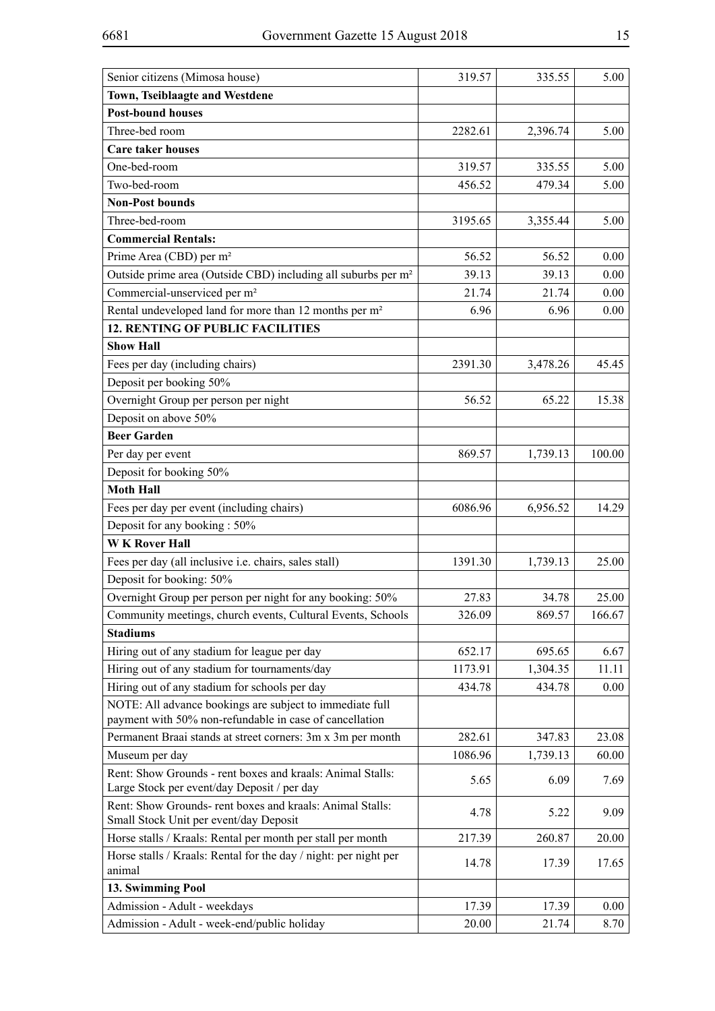| Senior citizens (Mimosa house)                                                                      | 319.57  | 335.55   | 5.00   |
|-----------------------------------------------------------------------------------------------------|---------|----------|--------|
| Town, Tseiblaagte and Westdene                                                                      |         |          |        |
| <b>Post-bound houses</b>                                                                            |         |          |        |
| Three-bed room                                                                                      | 2282.61 | 2,396.74 | 5.00   |
| <b>Care taker houses</b>                                                                            |         |          |        |
| One-bed-room                                                                                        | 319.57  | 335.55   | 5.00   |
| Two-bed-room                                                                                        | 456.52  | 479.34   | 5.00   |
| <b>Non-Post bounds</b>                                                                              |         |          |        |
| Three-bed-room                                                                                      | 3195.65 | 3,355.44 | 5.00   |
| <b>Commercial Rentals:</b>                                                                          |         |          |        |
| Prime Area (CBD) per m <sup>2</sup>                                                                 | 56.52   | 56.52    | 0.00   |
| Outside prime area (Outside CBD) including all suburbs per m <sup>2</sup>                           | 39.13   | 39.13    | 0.00   |
| Commercial-unserviced per m <sup>2</sup>                                                            | 21.74   | 21.74    | 0.00   |
| Rental undeveloped land for more than 12 months per m <sup>2</sup>                                  | 6.96    | 6.96     | 0.00   |
| <b>12. RENTING OF PUBLIC FACILITIES</b>                                                             |         |          |        |
| <b>Show Hall</b>                                                                                    |         |          |        |
| Fees per day (including chairs)                                                                     | 2391.30 | 3,478.26 | 45.45  |
| Deposit per booking 50%                                                                             |         |          |        |
| Overnight Group per person per night                                                                | 56.52   | 65.22    | 15.38  |
| Deposit on above 50%                                                                                |         |          |        |
| <b>Beer Garden</b>                                                                                  |         |          |        |
| Per day per event                                                                                   | 869.57  | 1,739.13 | 100.00 |
| Deposit for booking 50%                                                                             |         |          |        |
| <b>Moth Hall</b>                                                                                    |         |          |        |
| Fees per day per event (including chairs)                                                           | 6086.96 | 6,956.52 | 14.29  |
| Deposit for any booking: 50%                                                                        |         |          |        |
| <b>WK Rover Hall</b>                                                                                |         |          |        |
| Fees per day (all inclusive i.e. chairs, sales stall)                                               | 1391.30 | 1,739.13 | 25.00  |
| Deposit for booking: 50%                                                                            |         |          |        |
| Overnight Group per person per night for any booking: 50%                                           | 27.83   | 34.78    | 25.00  |
| Community meetings, church events, Cultural Events, Schools                                         | 326.09  | 869.57   | 166.67 |
| <b>Stadiums</b>                                                                                     |         |          |        |
| Hiring out of any stadium for league per day                                                        | 652.17  | 695.65   | 6.67   |
| Hiring out of any stadium for tournaments/day                                                       | 1173.91 | 1,304.35 | 11.11  |
| Hiring out of any stadium for schools per day                                                       | 434.78  | 434.78   | 0.00   |
| NOTE: All advance bookings are subject to immediate full                                            |         |          |        |
| payment with 50% non-refundable in case of cancellation                                             |         |          |        |
| Permanent Braai stands at street corners: 3m x 3m per month                                         | 282.61  | 347.83   | 23.08  |
| Museum per day                                                                                      | 1086.96 | 1,739.13 | 60.00  |
| Rent: Show Grounds - rent boxes and kraals: Animal Stalls:                                          |         |          |        |
| Large Stock per event/day Deposit / per day                                                         | 5.65    | 6.09     | 7.69   |
| Rent: Show Grounds- rent boxes and kraals: Animal Stalls:<br>Small Stock Unit per event/day Deposit | 4.78    | 5.22     | 9.09   |
| Horse stalls / Kraals: Rental per month per stall per month                                         | 217.39  | 260.87   | 20.00  |
| Horse stalls / Kraals: Rental for the day / night: per night per                                    |         |          |        |
| animal                                                                                              | 14.78   | 17.39    | 17.65  |
| 13. Swimming Pool                                                                                   |         |          |        |
| Admission - Adult - weekdays                                                                        | 17.39   | 17.39    | 0.00   |
| Admission - Adult - week-end/public holiday                                                         | 20.00   | 21.74    | 8.70   |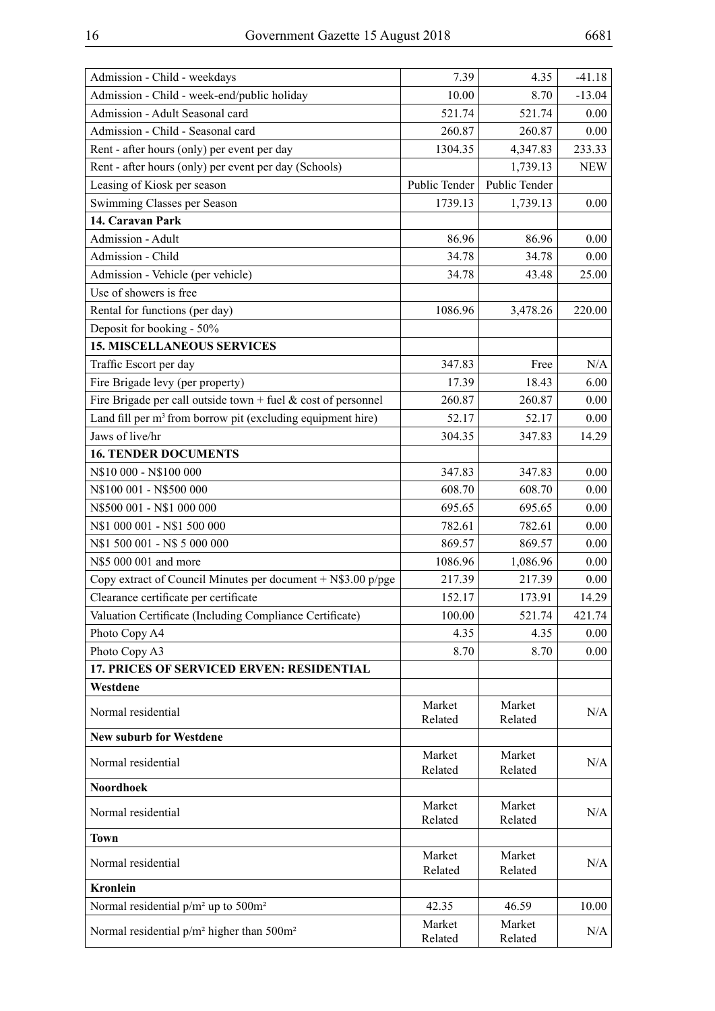| Admission - Child - weekdays                                            | 7.39              | 4.35              | $-41.18$   |
|-------------------------------------------------------------------------|-------------------|-------------------|------------|
| Admission - Child - week-end/public holiday                             | 10.00             | 8.70              | $-13.04$   |
| Admission - Adult Seasonal card                                         | 521.74            | 521.74            | 0.00       |
| Admission - Child - Seasonal card                                       | 260.87            | 260.87            | 0.00       |
| Rent - after hours (only) per event per day                             | 1304.35           | 4,347.83          | 233.33     |
| Rent - after hours (only) per event per day (Schools)                   |                   | 1,739.13          | <b>NEW</b> |
| Leasing of Kiosk per season                                             | Public Tender     | Public Tender     |            |
| Swimming Classes per Season                                             | 1739.13           | 1,739.13          | 0.00       |
| 14. Caravan Park                                                        |                   |                   |            |
| Admission - Adult                                                       | 86.96             | 86.96             | 0.00       |
| Admission - Child                                                       | 34.78             | 34.78             | 0.00       |
| Admission - Vehicle (per vehicle)                                       | 34.78             | 43.48             | 25.00      |
| Use of showers is free                                                  |                   |                   |            |
| Rental for functions (per day)                                          | 1086.96           | 3,478.26          | 220.00     |
| Deposit for booking - 50%                                               |                   |                   |            |
| <b>15. MISCELLANEOUS SERVICES</b>                                       |                   |                   |            |
| Traffic Escort per day                                                  | 347.83            | Free              | N/A        |
| Fire Brigade levy (per property)                                        | 17.39             | 18.43             | 6.00       |
| Fire Brigade per call outside town + fuel $& cost of personnel$         | 260.87            | 260.87            | 0.00       |
| Land fill per m <sup>3</sup> from borrow pit (excluding equipment hire) | 52.17             | 52.17             | 0.00       |
| Jaws of live/hr                                                         | 304.35            | 347.83            | 14.29      |
| <b>16. TENDER DOCUMENTS</b>                                             |                   |                   |            |
| N\$10 000 - N\$100 000                                                  | 347.83            | 347.83            | 0.00       |
| N\$100 001 - N\$500 000                                                 | 608.70            | 608.70            | 0.00       |
| N\$500 001 - N\$1 000 000                                               | 695.65            | 695.65            | 0.00       |
| N\$1 000 001 - N\$1 500 000                                             | 782.61            | 782.61            | 0.00       |
| N\$1 500 001 - N\$ 5 000 000                                            | 869.57            | 869.57            | 0.00       |
| N\$5 000 001 and more                                                   | 1086.96           | 1,086.96          | 0.00       |
| Copy extract of Council Minutes per document $+$ N\$3.00 p/pge          | 217.39            | 217.39            | 0.00       |
| Clearance certificate per certificate                                   | 152.17            | 173.91            | 14.29      |
| Valuation Certificate (Including Compliance Certificate)                | 100.00            | 521.74            | 421.74     |
| Photo Copy A4                                                           | 4.35              | 4.35              | 0.00       |
| Photo Copy A3                                                           | 8.70              | 8.70              | 0.00       |
| 17. PRICES OF SERVICED ERVEN: RESIDENTIAL                               |                   |                   |            |
| Westdene                                                                |                   |                   |            |
| Normal residential                                                      | Market<br>Related | Market<br>Related | N/A        |
| <b>New suburb for Westdene</b>                                          |                   |                   |            |
| Normal residential                                                      | Market<br>Related | Market<br>Related | N/A        |
| <b>Noordhoek</b>                                                        |                   |                   |            |
| Normal residential                                                      | Market<br>Related | Market<br>Related | N/A        |
| <b>Town</b>                                                             |                   |                   |            |
| Normal residential                                                      | Market<br>Related | Market<br>Related | N/A        |
| <b>Kronlein</b>                                                         |                   |                   |            |
| Normal residential $p/m^2$ up to 500m <sup>2</sup>                      | 42.35             | 46.59             | 10.00      |
| Normal residential $p/m^2$ higher than 500 $m^2$                        | Market<br>Related | Market<br>Related | N/A        |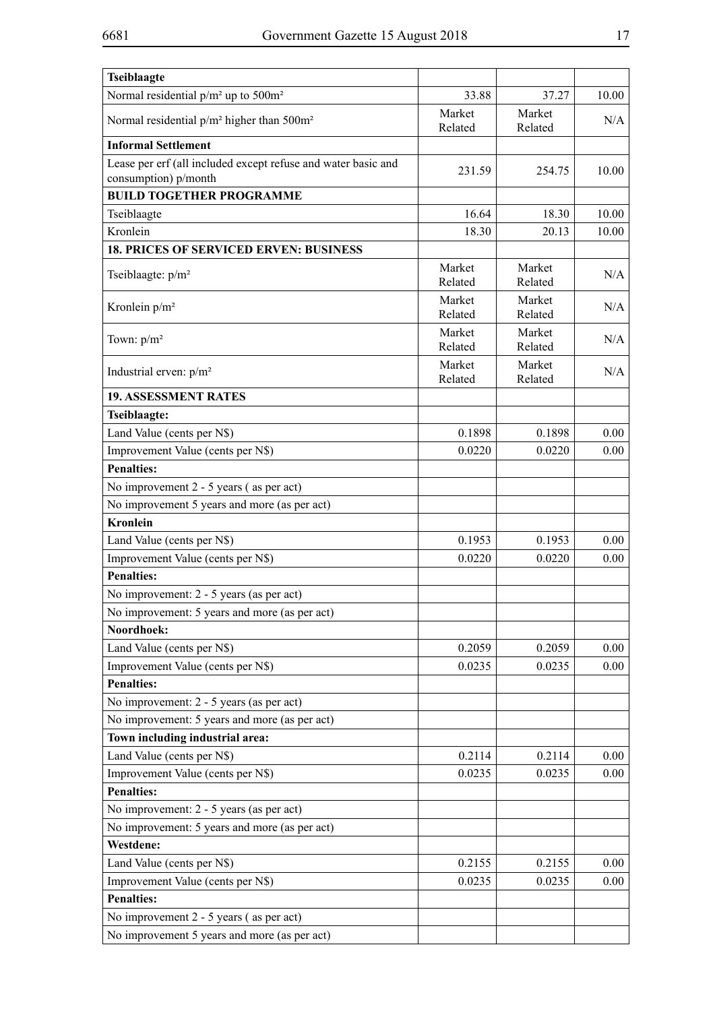| Tseiblaagte                                                                           |                   |                   |       |
|---------------------------------------------------------------------------------------|-------------------|-------------------|-------|
| Normal residential $p/m^2$ up to 500m <sup>2</sup>                                    | 33.88             | 37.27             | 10.00 |
| Normal residential p/m <sup>2</sup> higher than 500m <sup>2</sup>                     | Market<br>Related | Market<br>Related | N/A   |
| <b>Informal Settlement</b>                                                            |                   |                   |       |
| Lease per erf (all included except refuse and water basic and<br>consumption) p/month | 231.59            | 254.75            | 10.00 |
| <b>BUILD TOGETHER PROGRAMME</b>                                                       |                   |                   |       |
| Tseiblaagte                                                                           | 16.64             | 18.30             | 10.00 |
| Kronlein                                                                              | 18.30             | 20.13             | 10.00 |
| <b>18. PRICES OF SERVICED ERVEN: BUSINESS</b>                                         |                   |                   |       |
| Tseiblaagte: p/m <sup>2</sup>                                                         | Market            | Market            | N/A   |
|                                                                                       | Related           | Related           |       |
| Kronlein $p/m^2$                                                                      | Market<br>Related | Market<br>Related | N/A   |
| Town: $p/m^2$                                                                         | Market<br>Related | Market<br>Related | N/A   |
| Industrial erven: $p/m^2$                                                             | Market<br>Related | Market<br>Related | N/A   |
| <b>19. ASSESSMENT RATES</b>                                                           |                   |                   |       |
| Tseiblaagte:                                                                          |                   |                   |       |
| Land Value (cents per N\$)                                                            | 0.1898            | 0.1898            | 0.00  |
| Improvement Value (cents per N\$)                                                     | 0.0220            | 0.0220            | 0.00  |
| <b>Penalties:</b>                                                                     |                   |                   |       |
| No improvement 2 - 5 years (as per act)                                               |                   |                   |       |
| No improvement 5 years and more (as per act)                                          |                   |                   |       |
| <b>Kronlein</b>                                                                       |                   |                   |       |
| Land Value (cents per N\$)                                                            | 0.1953            | 0.1953            | 0.00  |
| Improvement Value (cents per N\$)                                                     | 0.0220            | 0.0220            | 0.00  |
| <b>Penalties:</b>                                                                     |                   |                   |       |
| No improvement: 2 - 5 years (as per act)                                              |                   |                   |       |
| No improvement: 5 years and more (as per act)                                         |                   |                   |       |
| Noordhoek:                                                                            |                   |                   |       |
| Land Value (cents per N\$)                                                            | 0.2059            | 0.2059            | 0.00  |
| Improvement Value (cents per N\$)                                                     | 0.0235            | 0.0235            | 0.00  |
| <b>Penalties:</b>                                                                     |                   |                   |       |
| No improvement: 2 - 5 years (as per act)                                              |                   |                   |       |
| No improvement: 5 years and more (as per act)                                         |                   |                   |       |
| Town including industrial area:                                                       |                   |                   |       |
| Land Value (cents per N\$)                                                            | 0.2114            | 0.2114            | 0.00  |
| Improvement Value (cents per N\$)                                                     | 0.0235            | 0.0235            | 0.00  |
| <b>Penalties:</b>                                                                     |                   |                   |       |
| No improvement: 2 - 5 years (as per act)                                              |                   |                   |       |
| No improvement: 5 years and more (as per act)                                         |                   |                   |       |
| Westdene:                                                                             |                   |                   |       |
| Land Value (cents per N\$)                                                            | 0.2155            | 0.2155            | 0.00  |
| Improvement Value (cents per N\$)                                                     | 0.0235            | 0.0235            | 0.00  |
| <b>Penalties:</b>                                                                     |                   |                   |       |
| No improvement 2 - 5 years (as per act)                                               |                   |                   |       |
| No improvement 5 years and more (as per act)                                          |                   |                   |       |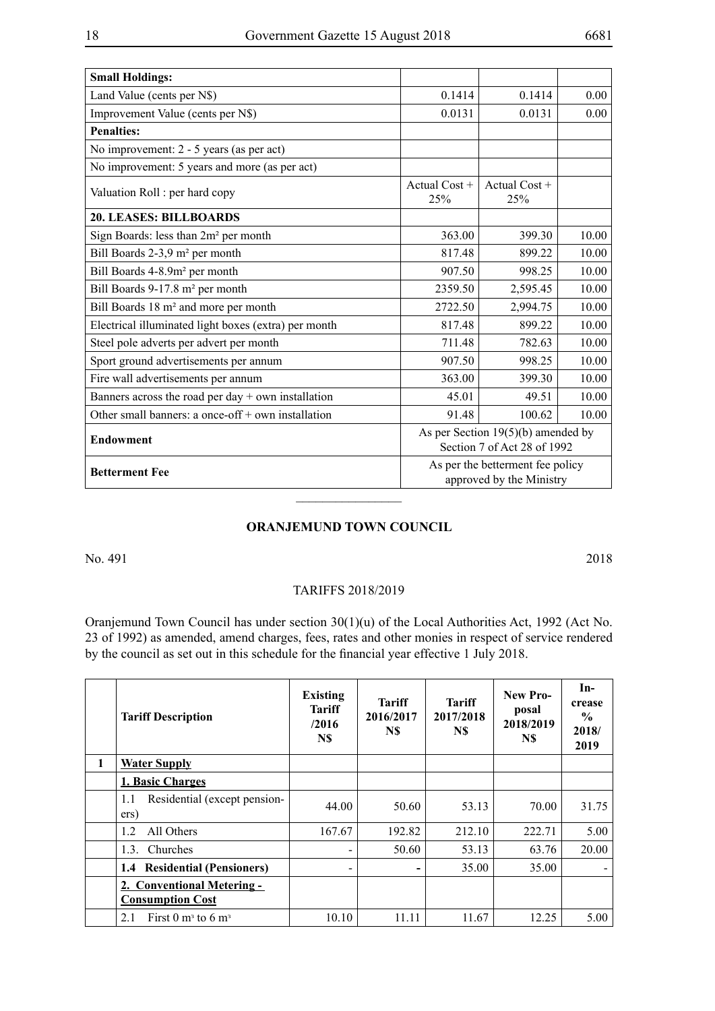| <b>Small Holdings:</b>                               |                        |                                                                     |       |  |
|------------------------------------------------------|------------------------|---------------------------------------------------------------------|-------|--|
| Land Value (cents per N\$)                           | 0.1414                 | 0.1414                                                              | 0.00  |  |
| Improvement Value (cents per N\$)                    | 0.0131                 | 0.0131                                                              | 0.00  |  |
| <b>Penalties:</b>                                    |                        |                                                                     |       |  |
| No improvement: 2 - 5 years (as per act)             |                        |                                                                     |       |  |
| No improvement: 5 years and more (as per act)        |                        |                                                                     |       |  |
| Valuation Roll : per hard copy                       | Actual $Cost +$<br>25% | Actual $Cost +$<br>25%                                              |       |  |
| <b>20. LEASES: BILLBOARDS</b>                        |                        |                                                                     |       |  |
| Sign Boards: less than 2m <sup>2</sup> per month     | 363.00                 | 399.30                                                              | 10.00 |  |
| Bill Boards 2-3,9 m <sup>2</sup> per month           | 817.48                 | 899.22                                                              | 10.00 |  |
| Bill Boards 4-8.9m <sup>2</sup> per month            | 907.50                 | 998.25                                                              | 10.00 |  |
| Bill Boards 9-17.8 m <sup>2</sup> per month          | 2359.50                | 2,595.45                                                            | 10.00 |  |
| Bill Boards 18 m <sup>2</sup> and more per month     | 2722.50                | 2,994.75                                                            | 10.00 |  |
| Electrical illuminated light boxes (extra) per month | 817.48                 | 899.22                                                              | 10.00 |  |
| Steel pole adverts per advert per month              | 711.48                 | 782.63                                                              | 10.00 |  |
| Sport ground advertisements per annum                | 907.50                 | 998.25                                                              | 10.00 |  |
| Fire wall advertisements per annum                   | 363.00                 | 399.30                                                              | 10.00 |  |
| Banners across the road per day $+$ own installation | 45.01                  | 49.51                                                               | 10.00 |  |
| Other small banners: a once-off $+$ own installation | 91.48                  | 100.62                                                              | 10.00 |  |
| <b>Endowment</b>                                     |                        | As per Section $19(5)(b)$ amended by<br>Section 7 of Act 28 of 1992 |       |  |
| <b>Betterment Fee</b>                                |                        | As per the betterment fee policy<br>approved by the Ministry        |       |  |

### **ORANJEMUND TOWN COUNCIL**

No. 491 2018

#### TARIFFS 2018/2019

Oranjemund Town Council has under section 30(1)(u) of the Local Authorities Act, 1992 (Act No. 23 of 1992) as amended, amend charges, fees, rates and other monies in respect of service rendered by the council as set out in this schedule for the financial year effective 1 July 2018.

|   | <b>Tariff Description</b>                             | <b>Existing</b><br><b>Tariff</b><br>/2016<br>N\$ | <b>Tariff</b><br>2016/2017<br>N\$ | <b>Tariff</b><br>2017/2018<br>N\$ | New Pro-<br>posal<br>2018/2019<br>N\$ | $In-$<br>crease<br>$\frac{0}{0}$<br>2018/<br>2019 |
|---|-------------------------------------------------------|--------------------------------------------------|-----------------------------------|-----------------------------------|---------------------------------------|---------------------------------------------------|
| 1 | <b>Water Supply</b>                                   |                                                  |                                   |                                   |                                       |                                                   |
|   | <b>1. Basic Charges</b>                               |                                                  |                                   |                                   |                                       |                                                   |
|   | Residential (except pension-<br>1.1<br>ers)           | 44.00                                            | 50.60                             | 53.13                             | 70.00                                 | 31.75                                             |
|   | All Others<br>1.2                                     | 167.67                                           | 192.82                            | 212.10                            | 222.71                                | 5.00                                              |
|   | Churches<br>1.3.                                      |                                                  | 50.60                             | 53.13                             | 63.76                                 | 20.00                                             |
|   | <b>Residential (Pensioners)</b><br>1.4                |                                                  |                                   | 35.00                             | 35.00                                 |                                                   |
|   | 2. Conventional Metering -<br><b>Consumption Cost</b> |                                                  |                                   |                                   |                                       |                                                   |
|   | First 0 $m3$ to 6 $m3$<br>2.1                         | 10.10                                            | 11.11                             | 11.67                             | 12.25                                 | 5.00                                              |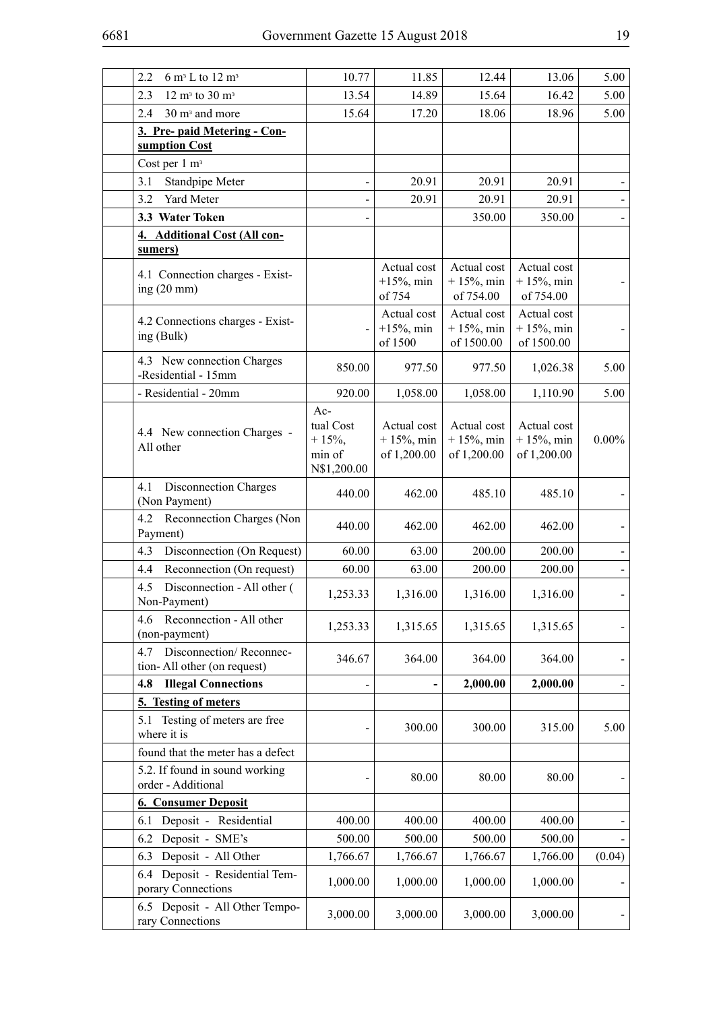| 2.2<br>6 m <sup>3</sup> L to 12 m <sup>3</sup>                | 10.77                                                   | 11.85                                      | 12.44                                      | 13.06                                      | 5.00     |
|---------------------------------------------------------------|---------------------------------------------------------|--------------------------------------------|--------------------------------------------|--------------------------------------------|----------|
| 2.3<br>$12 \text{ m}^3$ to $30 \text{ m}^3$                   | 13.54                                                   | 14.89                                      | 15.64                                      | 16.42                                      | 5.00     |
| 30 m <sup>3</sup> and more<br>2.4                             | 15.64                                                   | 17.20                                      | 18.06                                      | 18.96                                      | 5.00     |
| 3. Pre- paid Metering - Con-                                  |                                                         |                                            |                                            |                                            |          |
| sumption Cost                                                 |                                                         |                                            |                                            |                                            |          |
| Cost per $1 \text{ m}^3$                                      |                                                         |                                            |                                            |                                            |          |
| Standpipe Meter<br>3.1                                        |                                                         | 20.91                                      | 20.91                                      | 20.91                                      |          |
| 3.2<br>Yard Meter                                             |                                                         | 20.91                                      | 20.91                                      | 20.91                                      |          |
| 3.3 Water Token                                               |                                                         |                                            | 350.00                                     | 350.00                                     |          |
| 4. Additional Cost (All con-<br>sumers)                       |                                                         |                                            |                                            |                                            |          |
| 4.1 Connection charges - Exist-<br>ing $(20 \text{ mm})$      |                                                         | Actual cost<br>$+15%$ , min<br>of 754      | Actual cost<br>$+15%$ , min<br>of 754.00   | Actual cost<br>$+15%$ , min<br>of 754.00   |          |
| 4.2 Connections charges - Exist-<br>ing (Bulk)                |                                                         | Actual cost<br>$+15%$ , min<br>of 1500     | Actual cost<br>$+15%$ , min<br>of 1500.00  | Actual cost<br>$+15%$ , min<br>of 1500.00  |          |
| 4.3 New connection Charges<br>-Residential - 15mm             | 850.00                                                  | 977.50                                     | 977.50                                     | 1,026.38                                   | 5.00     |
| - Residential - 20mm                                          | 920.00                                                  | 1,058.00                                   | 1,058.00                                   | 1,110.90                                   | 5.00     |
| 4.4 New connection Charges -<br>All other                     | $Ac-$<br>tual Cost<br>$+15%$ ,<br>min of<br>N\$1,200.00 | Actual cost<br>$+15%$ , min<br>of 1,200.00 | Actual cost<br>$+15%$ , min<br>of 1,200.00 | Actual cost<br>$+15%$ , min<br>of 1,200.00 | $0.00\%$ |
| <b>Disconnection Charges</b><br>4.1<br>(Non Payment)          | 440.00                                                  | 462.00                                     | 485.10                                     | 485.10                                     |          |
| Reconnection Charges (Non<br>4.2<br>Payment)                  | 440.00                                                  | 462.00                                     | 462.00                                     | 462.00                                     |          |
| Disconnection (On Request)<br>4.3                             | 60.00                                                   | 63.00                                      | 200.00                                     | 200.00                                     |          |
| Reconnection (On request)<br>4.4                              | 60.00                                                   | 63.00                                      | 200.00                                     | 200.00                                     |          |
| Disconnection - All other (<br>4.5<br>Non-Payment)            | 1,253.33                                                | 1,316.00                                   | 1,316.00                                   | 1,316.00                                   |          |
| 4.6 Reconnection - All other<br>(non-payment)                 | 1,253.33                                                | 1,315.65                                   | 1,315.65                                   | 1,315.65                                   |          |
| Disconnection/Reconnec-<br>4.7<br>tion-All other (on request) | 346.67                                                  | 364.00                                     | 364.00                                     | 364.00                                     |          |
| <b>Illegal Connections</b><br>4.8                             |                                                         |                                            | 2,000.00                                   | 2,000.00                                   |          |
| 5. Testing of meters                                          |                                                         |                                            |                                            |                                            |          |
| 5.1 Testing of meters are free<br>where it is                 |                                                         | 300.00                                     | 300.00                                     | 315.00                                     | 5.00     |
| found that the meter has a defect                             |                                                         |                                            |                                            |                                            |          |
| 5.2. If found in sound working<br>order - Additional          |                                                         | 80.00                                      | 80.00                                      | 80.00                                      |          |
| <b>6. Consumer Deposit</b>                                    |                                                         |                                            |                                            |                                            |          |
| 6.1 Deposit - Residential                                     | 400.00                                                  | 400.00                                     | 400.00                                     | 400.00                                     |          |
| 6.2 Deposit - SME's                                           | 500.00                                                  | 500.00                                     | 500.00                                     | 500.00                                     |          |
| 6.3 Deposit - All Other                                       | 1,766.67                                                | 1,766.67                                   | 1,766.67                                   | 1,766.00                                   | (0.04)   |
| 6.4 Deposit - Residential Tem-<br>porary Connections          | 1,000.00                                                | 1,000.00                                   | 1,000.00                                   | 1,000.00                                   |          |
| 6.5 Deposit - All Other Tempo-<br>rary Connections            | 3,000.00                                                | 3,000.00                                   | 3,000.00                                   | 3,000.00                                   |          |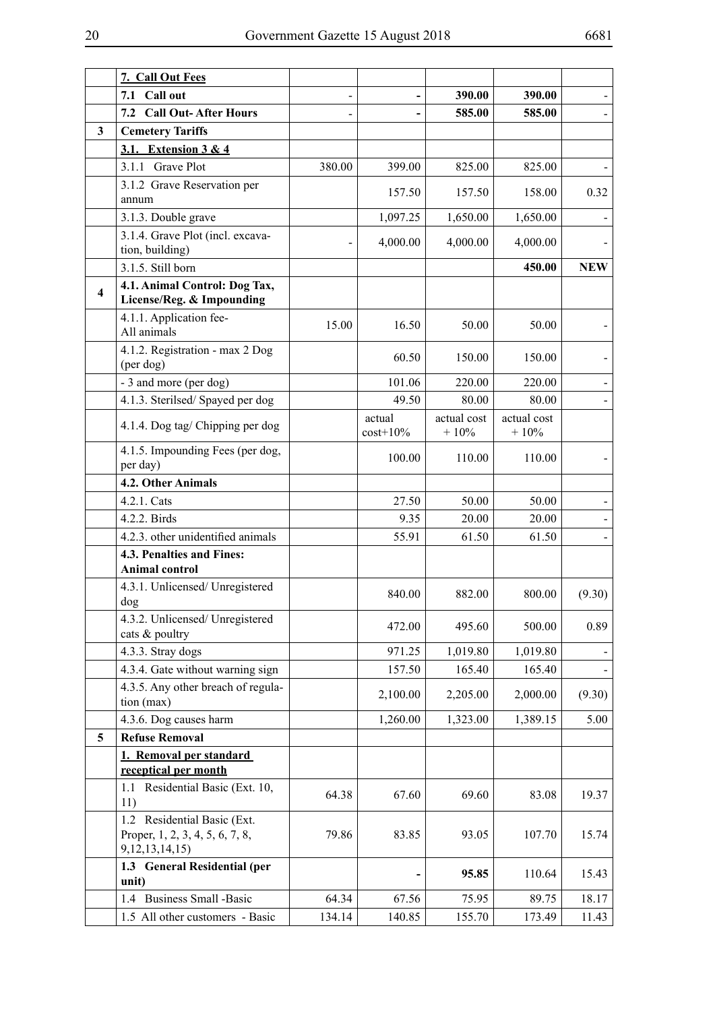|                         | 7. Call Out Fees                                                                    |        |             |             |             |            |
|-------------------------|-------------------------------------------------------------------------------------|--------|-------------|-------------|-------------|------------|
|                         | 7.1 Call out                                                                        |        |             | 390.00      | 390.00      |            |
|                         | 7.2 Call Out-After Hours                                                            |        |             | 585.00      | 585.00      |            |
| $\overline{\mathbf{3}}$ | <b>Cemetery Tariffs</b>                                                             |        |             |             |             |            |
|                         | 3.1. Extension $3 & 4$                                                              |        |             |             |             |            |
|                         | 3.1.1 Grave Plot                                                                    | 380.00 | 399.00      | 825.00      | 825.00      |            |
|                         | 3.1.2 Grave Reservation per                                                         |        |             |             | 158.00      | 0.32       |
|                         | annum                                                                               |        | 157.50      | 157.50      |             |            |
|                         | 3.1.3. Double grave                                                                 |        | 1,097.25    | 1,650.00    | 1,650.00    |            |
|                         | 3.1.4. Grave Plot (incl. excava-<br>tion, building)                                 |        | 4,000.00    | 4,000.00    | 4,000.00    |            |
|                         | 3.1.5. Still born                                                                   |        |             |             | 450.00      | <b>NEW</b> |
| $\overline{\mathbf{4}}$ | 4.1. Animal Control: Dog Tax,<br>License/Reg. & Impounding                          |        |             |             |             |            |
|                         | 4.1.1. Application fee-<br>All animals                                              | 15.00  | 16.50       | 50.00       | 50.00       |            |
|                         | 4.1.2. Registration - max 2 Dog<br>(per dog)                                        |        | 60.50       | 150.00      | 150.00      |            |
|                         | - 3 and more (per dog)                                                              |        | 101.06      | 220.00      | 220.00      |            |
|                         | 4.1.3. Sterilsed/Spayed per dog                                                     |        | 49.50       | 80.00       | 80.00       |            |
|                         | 4.1.4. Dog tag/ Chipping per dog                                                    |        | actual      | actual cost | actual cost |            |
|                         |                                                                                     |        | $cost+10\%$ | $+10%$      | $+10%$      |            |
|                         | 4.1.5. Impounding Fees (per dog,<br>per day)                                        |        | 100.00      | 110.00      | 110.00      |            |
|                         | 4.2. Other Animals                                                                  |        |             |             |             |            |
|                         | 4.2.1. Cats                                                                         |        | 27.50       | 50.00       | 50.00       |            |
|                         | 4.2.2. Birds                                                                        |        | 9.35        | 20.00       | 20.00       |            |
|                         | 4.2.3. other unidentified animals                                                   |        | 55.91       | 61.50       | 61.50       |            |
|                         | 4.3. Penalties and Fines:<br><b>Animal control</b>                                  |        |             |             |             |            |
|                         | 4.3.1. Unlicensed/ Unregistered<br>dog                                              |        | 840.00      | 882.00      | 800.00      | (9.30)     |
|                         | 4.3.2. Unlicensed/ Unregistered<br>cats & poultry                                   |        | 472.00      | 495.60      | 500.00      | 0.89       |
|                         | 4.3.3. Stray dogs                                                                   |        | 971.25      | 1,019.80    | 1,019.80    |            |
|                         | 4.3.4. Gate without warning sign                                                    |        | 157.50      | 165.40      | 165.40      |            |
|                         | 4.3.5. Any other breach of regula-<br>tion (max)                                    |        | 2,100.00    | 2,205.00    | 2,000.00    | (9.30)     |
|                         | 4.3.6. Dog causes harm                                                              |        | 1,260.00    | 1,323.00    | 1,389.15    | 5.00       |
| 5                       | <b>Refuse Removal</b>                                                               |        |             |             |             |            |
|                         | 1. Removal per standard<br>receptical per month                                     |        |             |             |             |            |
|                         | Residential Basic (Ext. 10,<br>1.1<br>11)                                           | 64.38  | 67.60       | 69.60       | 83.08       | 19.37      |
|                         | 1.2 Residential Basic (Ext.<br>Proper, 1, 2, 3, 4, 5, 6, 7, 8,<br>9, 12, 13, 14, 15 | 79.86  | 83.85       | 93.05       | 107.70      | 15.74      |
|                         | 1.3 General Residential (per<br>unit)                                               |        |             | 95.85       | 110.64      | 15.43      |
|                         | 1.4 Business Small -Basic                                                           | 64.34  | 67.56       | 75.95       | 89.75       | 18.17      |
|                         | 1.5 All other customers - Basic                                                     | 134.14 | 140.85      | 155.70      | 173.49      | 11.43      |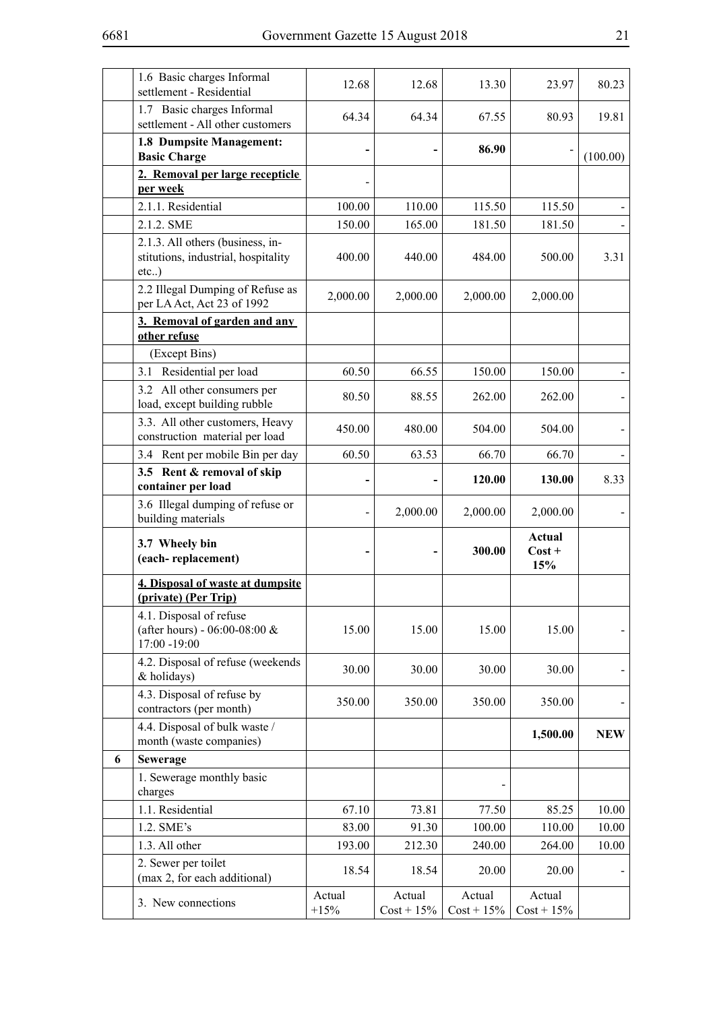|   | 1.6 Basic charges Informal<br>settlement - Residential                        | 12.68    | 12.68    | 13.30    | 23.97                     | 80.23      |
|---|-------------------------------------------------------------------------------|----------|----------|----------|---------------------------|------------|
|   | 1.7 Basic charges Informal<br>settlement - All other customers                | 64.34    | 64.34    | 67.55    | 80.93                     | 19.81      |
|   | 1.8 Dumpsite Management:<br><b>Basic Charge</b>                               |          |          | 86.90    |                           | (100.00)   |
|   | 2. Removal per large recepticle<br>per week                                   |          |          |          |                           |            |
|   | 2.1.1. Residential                                                            | 100.00   | 110.00   | 115.50   | 115.50                    |            |
|   | 2.1.2. SME                                                                    | 150.00   | 165.00   | 181.50   | 181.50                    |            |
|   | 2.1.3. All others (business, in-                                              |          |          |          |                           |            |
|   | stitutions, industrial, hospitality<br>etc)                                   | 400.00   | 440.00   | 484.00   | 500.00                    | 3.31       |
|   | 2.2 Illegal Dumping of Refuse as<br>per LA Act, Act 23 of 1992                | 2,000.00 | 2,000.00 | 2,000.00 | 2,000.00                  |            |
|   | 3. Removal of garden and any                                                  |          |          |          |                           |            |
|   | other refuse                                                                  |          |          |          |                           |            |
|   | (Except Bins)                                                                 |          |          |          |                           |            |
|   | Residential per load<br>3.1                                                   | 60.50    | 66.55    | 150.00   | 150.00                    |            |
|   | 3.2 All other consumers per<br>load, except building rubble                   | 80.50    | 88.55    | 262.00   | 262.00                    |            |
|   | 3.3. All other customers, Heavy<br>construction material per load             | 450.00   | 480.00   | 504.00   | 504.00                    |            |
|   | 3.4 Rent per mobile Bin per day                                               | 60.50    | 63.53    | 66.70    | 66.70                     |            |
|   | 3.5 Rent & removal of skip<br>container per load                              |          |          | 120.00   | 130.00                    | 8.33       |
|   | 3.6 Illegal dumping of refuse or<br>building materials                        |          | 2,000.00 | 2,000.00 | 2,000.00                  |            |
|   | 3.7 Wheely bin<br>(each-replacement)                                          |          |          | 300.00   | Actual<br>$Cost +$<br>15% |            |
|   | 4. Disposal of waste at dumpsite<br>(private) (Per Trip)                      |          |          |          |                           |            |
|   | 4.1. Disposal of refuse<br>(after hours) - 06:00-08:00 $&$<br>$17:00 - 19:00$ | 15.00    | 15.00    | 15.00    | 15.00                     |            |
|   | 4.2. Disposal of refuse (weekends<br>& holidays)                              | 30.00    | 30.00    | 30.00    | 30.00                     |            |
|   | 4.3. Disposal of refuse by<br>contractors (per month)                         | 350.00   | 350.00   | 350.00   | 350.00                    |            |
|   | 4.4. Disposal of bulk waste /<br>month (waste companies)                      |          |          |          | 1,500.00                  | <b>NEW</b> |
| 6 | Sewerage                                                                      |          |          |          |                           |            |
|   | 1. Sewerage monthly basic<br>charges                                          |          |          |          |                           |            |
|   | 1.1. Residential                                                              | 67.10    | 73.81    | 77.50    | 85.25                     | 10.00      |
|   | 1.2. SME's                                                                    | 83.00    | 91.30    | 100.00   | 110.00                    | 10.00      |
|   | 1.3. All other                                                                | 193.00   | 212.30   | 240.00   | 264.00                    | 10.00      |
|   | 2. Sewer per toilet<br>(max 2, for each additional)                           | 18.54    | 18.54    | 20.00    | 20.00                     |            |
|   | 3. New connections                                                            | Actual   | Actual   | Actual   | Actual                    |            |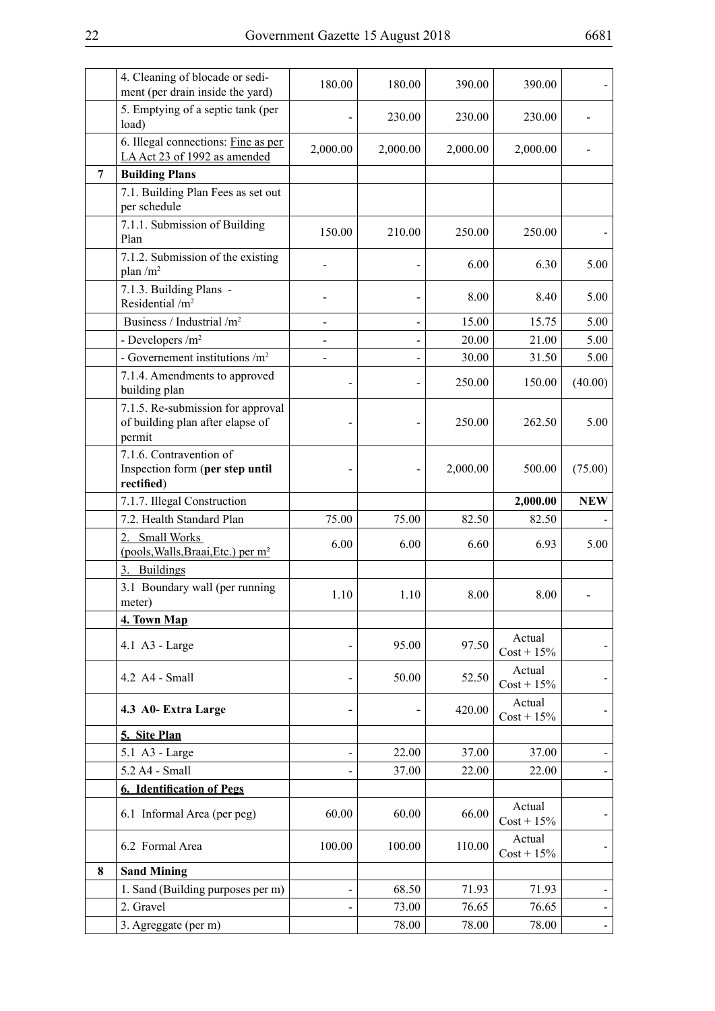|   | 4. Cleaning of blocade or sedi-<br>ment (per drain inside the yard)             | 180.00   | 180.00   | 390.00   | 390.00                  |            |
|---|---------------------------------------------------------------------------------|----------|----------|----------|-------------------------|------------|
|   | 5. Emptying of a septic tank (per<br>load)                                      |          | 230.00   | 230.00   | 230.00                  |            |
|   | 6. Illegal connections: Fine as per<br>LA Act 23 of 1992 as amended             | 2,000.00 | 2,000.00 | 2,000.00 | 2,000.00                |            |
| 7 | <b>Building Plans</b>                                                           |          |          |          |                         |            |
|   | 7.1. Building Plan Fees as set out<br>per schedule                              |          |          |          |                         |            |
|   | 7.1.1. Submission of Building<br>Plan                                           | 150.00   | 210.00   | 250.00   | 250.00                  |            |
|   | 7.1.2. Submission of the existing<br>plan $/m^2$                                |          |          | 6.00     | 6.30                    | 5.00       |
|   | 7.1.3. Building Plans -<br>Residential /m <sup>2</sup>                          |          |          | 8.00     | 8.40                    | 5.00       |
|   | Business / Industrial /m <sup>2</sup>                                           |          |          | 15.00    | 15.75                   | 5.00       |
|   | - Developers $/m2$                                                              |          |          | 20.00    | 21.00                   | 5.00       |
|   | - Governement institutions $/m2$                                                |          |          | 30.00    | 31.50                   | 5.00       |
|   | 7.1.4. Amendments to approved<br>building plan                                  |          |          | 250.00   | 150.00                  | (40.00)    |
|   | 7.1.5. Re-submission for approval<br>of building plan after elapse of<br>permit |          |          | 250.00   | 262.50                  | 5.00       |
|   | 7.1.6. Contravention of<br>Inspection form (per step until<br>rectified)        |          |          | 2,000.00 | 500.00                  | (75.00)    |
|   | 7.1.7. Illegal Construction                                                     |          |          |          | 2,000.00                | <b>NEW</b> |
|   | 7.2. Health Standard Plan                                                       | 75.00    | 75.00    | 82.50    | 82.50                   |            |
|   | Small Works<br>2.<br>(pools, Walls, Braai, Etc.) per m <sup>2</sup>             | 6.00     | 6.00     | 6.60     | 6.93                    | 5.00       |
|   | 3. Buildings                                                                    |          |          |          |                         |            |
|   | 3.1 Boundary wall (per running<br>meter)                                        | 1.10     | 1.10     | 8.00     | 8.00                    |            |
|   | 4. Town Map                                                                     |          |          |          |                         |            |
|   | 4.1 A3 - Large                                                                  |          | 95.00    | 97.50    | Actual<br>$Cost + 15\%$ |            |
|   | 4.2 A4 - Small                                                                  |          | 50.00    | 52.50    | Actual<br>$Cost + 15\%$ |            |
|   | 4.3 A0- Extra Large                                                             |          |          | 420.00   | Actual<br>$Cost + 15\%$ |            |
|   | 5. Site Plan                                                                    |          |          |          |                         |            |
|   | 5.1 A3 - Large                                                                  |          | 22.00    | 37.00    | 37.00                   |            |
|   | 5.2 A4 - Small                                                                  |          | 37.00    | 22.00    | 22.00                   |            |
|   | <b>6. Identification of Pegs</b>                                                |          |          |          |                         |            |
|   | 6.1 Informal Area (per peg)                                                     | 60.00    | 60.00    | 66.00    | Actual<br>$Cost + 15\%$ |            |
|   | 6.2 Formal Area                                                                 | 100.00   | 100.00   | 110.00   | Actual<br>$Cost + 15\%$ |            |
| 8 | <b>Sand Mining</b>                                                              |          |          |          |                         |            |
|   | 1. Sand (Building purposes per m)                                               |          | 68.50    | 71.93    | 71.93                   |            |
|   | 2. Gravel                                                                       |          | 73.00    | 76.65    | 76.65                   |            |
|   | 3. Agreggate (per m)                                                            |          | 78.00    | 78.00    | 78.00                   |            |

 $\overline{a}$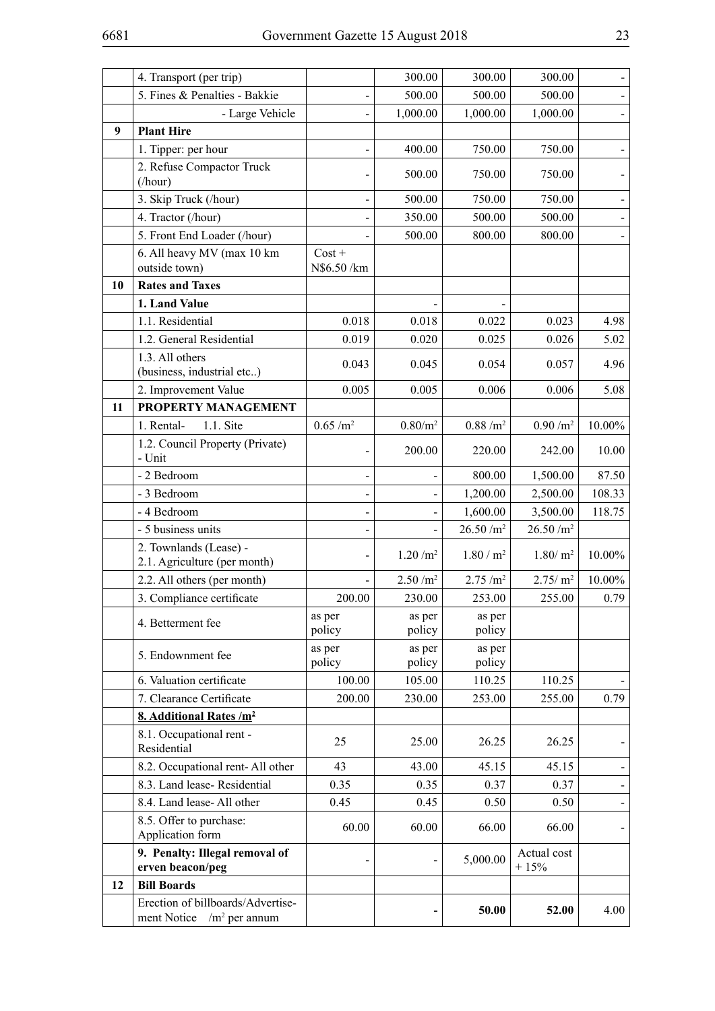|    | 4. Transport (per trip)                                             |                         | 300.00              | 300.00                | 300.00                |        |
|----|---------------------------------------------------------------------|-------------------------|---------------------|-----------------------|-----------------------|--------|
|    | 5. Fines & Penalties - Bakkie                                       |                         | 500.00              | 500.00                | 500.00                |        |
|    | - Large Vehicle                                                     |                         | 1,000.00            | 1,000.00              | 1,000.00              |        |
| 9  | <b>Plant Hire</b>                                                   |                         |                     |                       |                       |        |
|    | 1. Tipper: per hour                                                 |                         | 400.00              | 750.00                | 750.00                |        |
|    | 2. Refuse Compactor Truck<br>$($ /hour $)$                          |                         | 500.00              | 750.00                | 750.00                |        |
|    | 3. Skip Truck (/hour)                                               |                         | 500.00              | 750.00                | 750.00                |        |
|    | 4. Tractor (/hour)                                                  |                         | 350.00              | 500.00                | 500.00                |        |
|    | 5. Front End Loader (/hour)                                         |                         | 500.00              | 800.00                | 800.00                |        |
|    | 6. All heavy MV (max 10 km<br>outside town)                         | $Cost +$<br>N\$6.50 /km |                     |                       |                       |        |
| 10 | <b>Rates and Taxes</b>                                              |                         |                     |                       |                       |        |
|    | 1. Land Value                                                       |                         |                     |                       |                       |        |
|    | 1.1. Residential                                                    | 0.018                   | 0.018               | 0.022                 | 0.023                 | 4.98   |
|    | 1.2. General Residential                                            | 0.019                   | 0.020               | 0.025                 | 0.026                 | 5.02   |
|    | 1.3. All others<br>(business, industrial etc)                       | 0.043                   | 0.045               | 0.054                 | 0.057                 | 4.96   |
|    | 2. Improvement Value                                                | 0.005                   | 0.005               | 0.006                 | 0.006                 | 5.08   |
| 11 | PROPERTY MANAGEMENT                                                 |                         |                     |                       |                       |        |
|    | 1. Rental-<br>1.1. Site                                             | 0.65/m <sup>2</sup>     | 0.80/m <sup>2</sup> | 0.88/m <sup>2</sup>   | $0.90/m^2$            | 10.00% |
|    | 1.2. Council Property (Private)<br>- Unit                           |                         | 200.00              | 220.00                | 242.00                | 10.00  |
|    | - 2 Bedroom                                                         |                         |                     | 800.00                | 1,500.00              | 87.50  |
|    | - 3 Bedroom                                                         |                         |                     | 1,200.00              | 2,500.00              | 108.33 |
|    | - 4 Bedroom                                                         |                         |                     | 1,600.00              | 3,500.00              | 118.75 |
|    | - 5 business units                                                  |                         |                     | 26.50/m <sup>2</sup>  | 26.50/m <sup>2</sup>  |        |
|    | 2. Townlands (Lease) -<br>2.1. Agriculture (per month)              |                         | 1.20/m <sup>2</sup> | 1.80 / m <sup>2</sup> | 1.80/m <sup>2</sup>   | 10.00% |
|    | 2.2. All others (per month)                                         |                         | 2.50/m <sup>2</sup> | 2.75/m <sup>2</sup>   | 2.75/m <sup>2</sup>   | 10.00% |
|    | 3. Compliance certificate                                           | 200.00                  | 230.00              | 253.00                | 255.00                | 0.79   |
|    | 4. Betterment fee                                                   | as per<br>policy        | as per<br>policy    | as per<br>policy      |                       |        |
|    | 5. Endownment fee                                                   | as per<br>policy        | as per<br>policy    | as per<br>policy      |                       |        |
|    | 6. Valuation certificate                                            | 100.00                  | 105.00              | 110.25                | 110.25                |        |
|    | 7. Clearance Certificate                                            | 200.00                  | 230.00              | 253.00                | 255.00                | 0.79   |
|    | 8. Additional Rates /m <sup>2</sup>                                 |                         |                     |                       |                       |        |
|    | 8.1. Occupational rent -<br>Residential                             | 25                      | 25.00               | 26.25                 | 26.25                 |        |
|    | 8.2. Occupational rent-All other                                    | 43                      | 43.00               | 45.15                 | 45.15                 |        |
|    | 8.3. Land lease-Residential                                         | 0.35                    | 0.35                | 0.37                  | 0.37                  |        |
|    | 8.4. Land lease-All other                                           | 0.45                    | 0.45                | 0.50                  | 0.50                  |        |
|    | 8.5. Offer to purchase:<br>Application form                         | 60.00                   | 60.00               | 66.00                 | 66.00                 |        |
|    | 9. Penalty: Illegal removal of<br>erven beacon/peg                  |                         |                     | 5,000.00              | Actual cost<br>$+15%$ |        |
| 12 | <b>Bill Boards</b>                                                  |                         |                     |                       |                       |        |
|    | Erection of billboards/Advertise-<br>ment Notice<br>$/m2$ per annum |                         |                     | 50.00                 | 52.00                 | 4.00   |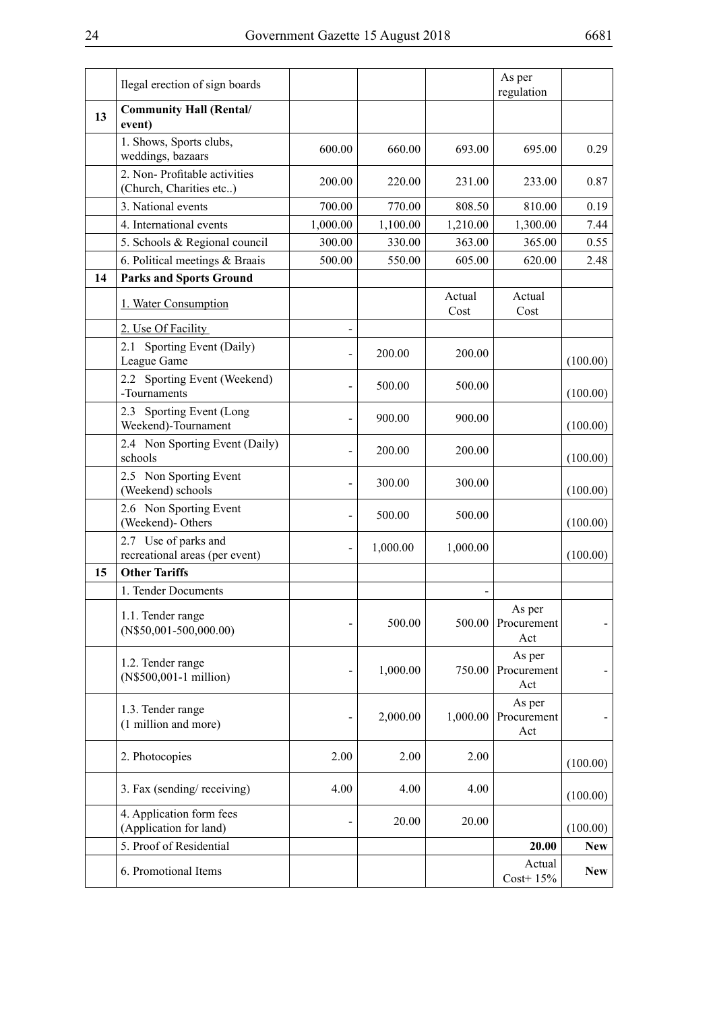|    | Ilegal erection of sign boards                          |          |          |                | As per<br>regulation         |            |
|----|---------------------------------------------------------|----------|----------|----------------|------------------------------|------------|
| 13 | <b>Community Hall (Rental/</b>                          |          |          |                |                              |            |
|    | event)                                                  |          |          |                |                              |            |
|    | 1. Shows, Sports clubs,<br>weddings, bazaars            | 600.00   | 660.00   | 693.00         | 695.00                       | 0.29       |
|    | 2. Non-Profitable activities<br>(Church, Charities etc) | 200.00   | 220.00   | 231.00         | 233.00                       | 0.87       |
|    | 3. National events                                      | 700.00   | 770.00   | 808.50         | 810.00                       | 0.19       |
|    | 4. International events                                 | 1,000.00 | 1,100.00 | 1,210.00       | 1,300.00                     | 7.44       |
|    | 5. Schools & Regional council                           | 300.00   | 330.00   | 363.00         | 365.00                       | 0.55       |
|    | 6. Political meetings & Braais                          | 500.00   | 550.00   | 605.00         | 620.00                       | 2.48       |
| 14 | <b>Parks and Sports Ground</b>                          |          |          |                |                              |            |
|    | 1. Water Consumption                                    |          |          | Actual<br>Cost | Actual<br>Cost               |            |
|    | 2. Use Of Facility                                      |          |          |                |                              |            |
|    | 2.1 Sporting Event (Daily)<br>League Game               |          | 200.00   | 200.00         |                              | (100.00)   |
|    | 2.2 Sporting Event (Weekend)<br>-Tournaments            |          | 500.00   | 500.00         |                              | (100.00)   |
|    | 2.3 Sporting Event (Long<br>Weekend)-Tournament         |          | 900.00   | 900.00         |                              | (100.00)   |
|    | 2.4 Non Sporting Event (Daily)<br>schools               |          | 200.00   | 200.00         |                              | (100.00)   |
|    | 2.5 Non Sporting Event<br>(Weekend) schools             |          | 300.00   | 300.00         |                              | (100.00)   |
|    | 2.6 Non Sporting Event<br>(Weekend)- Others             |          | 500.00   | 500.00         |                              | (100.00)   |
|    | 2.7 Use of parks and<br>recreational areas (per event)  |          | 1,000.00 | 1,000.00       |                              | (100.00)   |
| 15 | <b>Other Tariffs</b>                                    |          |          |                |                              |            |
|    | 1. Tender Documents                                     |          |          |                |                              |            |
|    | 1.1. Tender range<br>$(N$50,001-500,000.00)$            |          | 500.00   | 500.00         | As per<br>Procurement<br>Act |            |
|    | 1.2. Tender range<br>(N\$500,001-1 million)             |          | 1,000.00 | 750.00         | As per<br>Procurement<br>Act |            |
|    | 1.3. Tender range<br>(1 million and more)               |          | 2,000.00 | 1,000.00       | As per<br>Procurement<br>Act |            |
|    | 2. Photocopies                                          | 2.00     | 2.00     | 2.00           |                              | (100.00)   |
|    | 3. Fax (sending/receiving)                              | 4.00     | 4.00     | 4.00           |                              | (100.00)   |
|    | 4. Application form fees<br>(Application for land)      |          | 20.00    | 20.00          |                              | (100.00)   |
|    | 5. Proof of Residential                                 |          |          |                | 20.00                        | <b>New</b> |
|    | 6. Promotional Items                                    |          |          |                | Actual<br>$Cost+15%$         | <b>New</b> |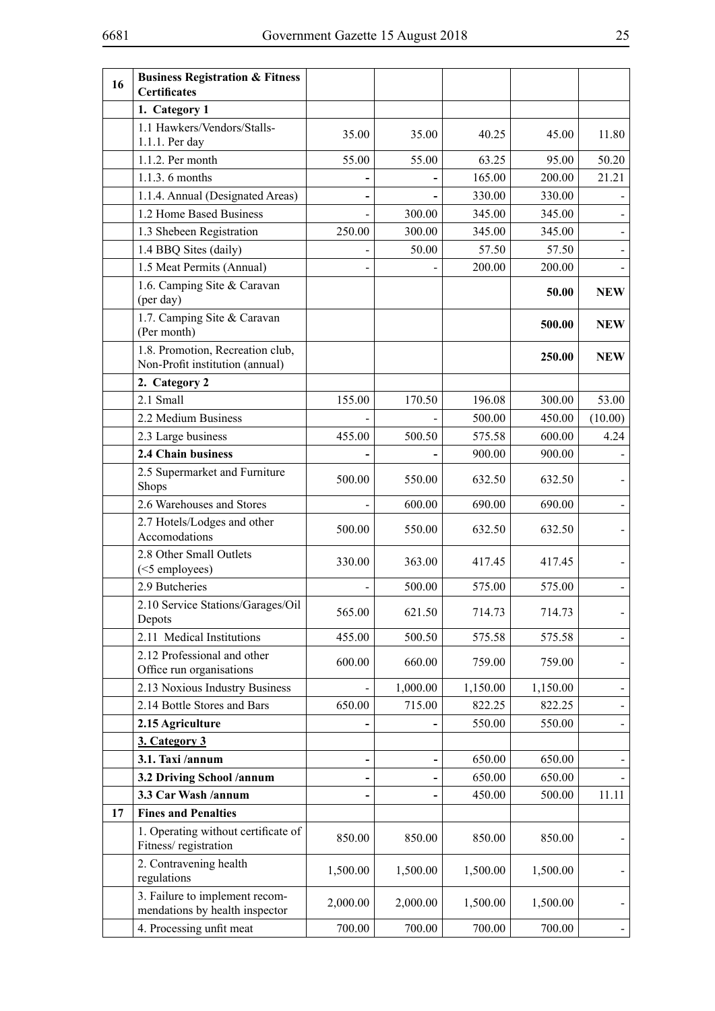| 16 | <b>Business Registration &amp; Fitness</b><br><b>Certificates</b>   |          |          |          |          |            |
|----|---------------------------------------------------------------------|----------|----------|----------|----------|------------|
|    | 1. Category 1                                                       |          |          |          |          |            |
|    | 1.1 Hawkers/Vendors/Stalls-<br>1.1.1. Per day                       | 35.00    | 35.00    | 40.25    | 45.00    | 11.80      |
|    | 1.1.2. Per month                                                    | 55.00    | 55.00    | 63.25    | 95.00    | 50.20      |
|    | 1.1.3.6 months                                                      |          |          | 165.00   | 200.00   | 21.21      |
|    | 1.1.4. Annual (Designated Areas)                                    |          |          | 330.00   | 330.00   |            |
|    | 1.2 Home Based Business                                             |          | 300.00   | 345.00   | 345.00   |            |
|    | 1.3 Shebeen Registration                                            | 250.00   | 300.00   | 345.00   | 345.00   |            |
|    | 1.4 BBQ Sites (daily)                                               |          | 50.00    | 57.50    | 57.50    |            |
|    | 1.5 Meat Permits (Annual)                                           |          |          | 200.00   | 200.00   |            |
|    | 1.6. Camping Site & Caravan<br>(per day)                            |          |          |          | 50.00    | <b>NEW</b> |
|    | 1.7. Camping Site & Caravan<br>(Per month)                          |          |          |          | 500.00   | <b>NEW</b> |
|    | 1.8. Promotion, Recreation club,<br>Non-Profit institution (annual) |          |          |          | 250.00   | <b>NEW</b> |
|    | 2. Category 2                                                       |          |          |          |          |            |
|    | 2.1 Small                                                           | 155.00   | 170.50   | 196.08   | 300.00   | 53.00      |
|    | 2.2 Medium Business                                                 |          |          | 500.00   | 450.00   | (10.00)    |
|    | 2.3 Large business                                                  | 455.00   | 500.50   | 575.58   | 600.00   | 4.24       |
|    | 2.4 Chain business                                                  |          |          | 900.00   | 900.00   |            |
|    | 2.5 Supermarket and Furniture<br>Shops                              | 500.00   | 550.00   | 632.50   | 632.50   |            |
|    | 2.6 Warehouses and Stores                                           |          | 600.00   | 690.00   | 690.00   |            |
|    | 2.7 Hotels/Lodges and other<br>Accomodations                        | 500.00   | 550.00   | 632.50   | 632.50   |            |
|    | 2.8 Other Small Outlets<br>(<5 employees)                           | 330.00   | 363.00   | 417.45   | 417.45   |            |
|    | 2.9 Butcheries                                                      |          | 500.00   | 575.00   | 575.00   |            |
|    | 2.10 Service Stations/Garages/Oil<br>Depots                         | 565.00   | 621.50   | 714.73   | 714.73   |            |
|    | 2.11 Medical Institutions                                           | 455.00   | 500.50   | 575.58   | 575.58   |            |
|    | 2.12 Professional and other<br>Office run organisations             | 600.00   | 660.00   | 759.00   | 759.00   |            |
|    | 2.13 Noxious Industry Business                                      |          | 1,000.00 | 1,150.00 | 1,150.00 |            |
|    | 2.14 Bottle Stores and Bars                                         | 650.00   | 715.00   | 822.25   | 822.25   |            |
|    | 2.15 Agriculture                                                    |          |          | 550.00   | 550.00   |            |
|    | 3. Category 3                                                       |          |          |          |          |            |
|    | 3.1. Taxi /annum                                                    |          |          | 650.00   | 650.00   |            |
|    | 3.2 Driving School /annum                                           |          |          | 650.00   | 650.00   |            |
|    | 3.3 Car Wash /annum                                                 |          |          | 450.00   | 500.00   | 11.11      |
| 17 | <b>Fines and Penalties</b>                                          |          |          |          |          |            |
|    | 1. Operating without certificate of<br>Fitness/registration         | 850.00   | 850.00   | 850.00   | 850.00   |            |
|    | 2. Contravening health<br>regulations                               | 1,500.00 | 1,500.00 | 1,500.00 | 1,500.00 |            |
|    | 3. Failure to implement recom-<br>mendations by health inspector    | 2,000.00 | 2,000.00 | 1,500.00 | 1,500.00 |            |
|    | 4. Processing unfit meat                                            | 700.00   | 700.00   | 700.00   | 700.00   |            |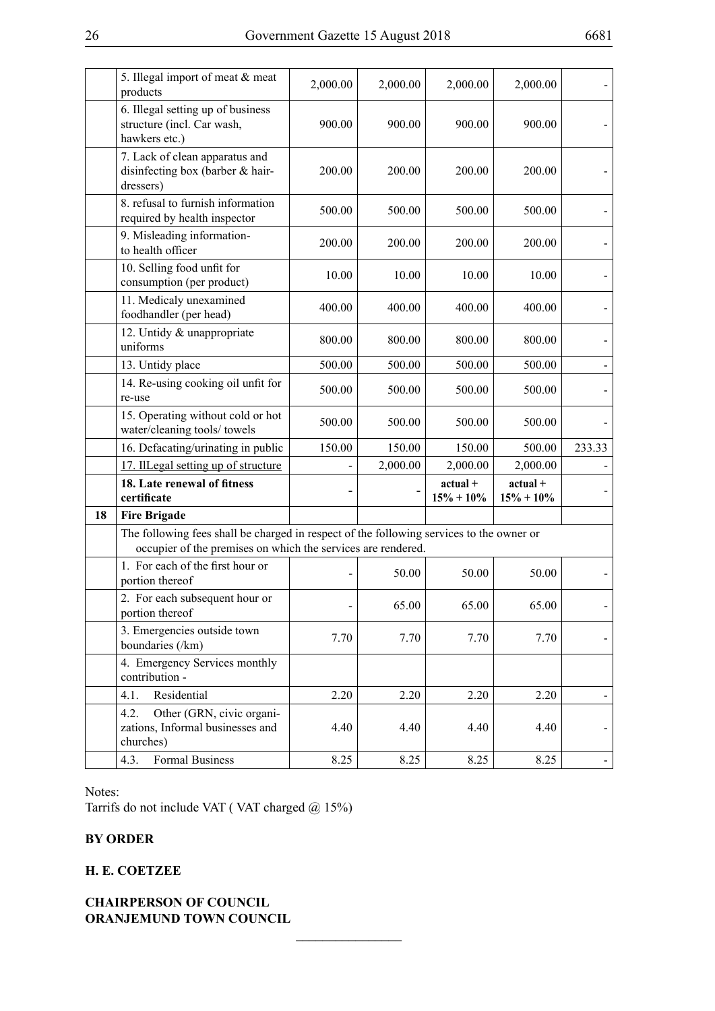|    | 5. Illegal import of meat & meat<br>products                                                     | 2,000.00 | 2,000.00 | 2,000.00    | 2,000.00    |        |
|----|--------------------------------------------------------------------------------------------------|----------|----------|-------------|-------------|--------|
|    | 6. Illegal setting up of business<br>structure (incl. Car wash,<br>hawkers etc.)                 | 900.00   | 900.00   | 900.00      | 900.00      |        |
|    | 7. Lack of clean apparatus and<br>disinfecting box (barber & hair-<br>dressers)                  | 200.00   | 200.00   | 200.00      | 200.00      |        |
|    | 8. refusal to furnish information<br>required by health inspector                                | 500.00   | 500.00   | 500.00      | 500.00      |        |
|    | 9. Misleading information-<br>to health officer                                                  | 200.00   | 200.00   | 200.00      | 200.00      |        |
|    | 10. Selling food unfit for<br>consumption (per product)                                          | 10.00    | 10.00    | 10.00       | 10.00       |        |
|    | 11. Medicaly unexamined<br>foodhandler (per head)                                                | 400.00   | 400.00   | 400.00      | 400.00      |        |
|    | 12. Untidy & unappropriate<br>uniforms                                                           | 800.00   | 800.00   | 800.00      | 800.00      |        |
|    | 13. Untidy place                                                                                 | 500.00   | 500.00   | 500.00      | 500.00      |        |
|    | 14. Re-using cooking oil unfit for<br>re-use                                                     | 500.00   | 500.00   | 500.00      | 500.00      |        |
|    | 15. Operating without cold or hot<br>water/cleaning tools/ towels                                | 500.00   | 500.00   | 500.00      | 500.00      |        |
|    | 16. Defacating/urinating in public                                                               | 150.00   | 150.00   | 150.00      | 500.00      | 233.33 |
|    | 17. IlLegal setting up of structure                                                              |          | 2,000.00 | 2,000.00    | 2,000.00    |        |
|    | 18. Late renewal of fitness                                                                      |          |          | $actual +$  | $actual +$  |        |
|    | certificate                                                                                      |          |          | $15% + 10%$ | $15% + 10%$ |        |
| 18 | <b>Fire Brigade</b>                                                                              |          |          |             |             |        |
|    | The following fees shall be charged in respect of the following services to the owner or         |          |          |             |             |        |
|    | occupier of the premises on which the services are rendered.<br>1. For each of the first hour or |          |          |             |             |        |
|    | portion thereof                                                                                  |          | 50.00    | 50.00       | 50.00       |        |
|    | 2. For each subsequent hour or<br>portion thereof                                                |          | 65.00    | 65.00       | 65.00       |        |
|    | 3. Emergencies outside town<br>boundaries (/km)                                                  | 7.70     | 7.70     | 7.70        | 7.70        |        |
|    | 4. Emergency Services monthly<br>contribution -                                                  |          |          |             |             |        |
|    | Residential<br>4.1.                                                                              | 2.20     | 2.20     | 2.20        | 2.20        |        |
|    | Other (GRN, civic organi-<br>4.2.<br>zations, Informal businesses and<br>churches)               | 4.40     | 4.40     | 4.40        | 4.40        |        |
|    | 4.3.<br>Formal Business                                                                          | 8.25     | 8.25     | 8.25        | 8.25        |        |

 $\overline{\phantom{a}}$  , where  $\overline{\phantom{a}}$ 

Notes:

Tarrifs do not include VAT ( VAT charged @ 15%)

# **By order**

#### **H. E. Coetzee**

**Chairperson of Council Oranjemund Town Council**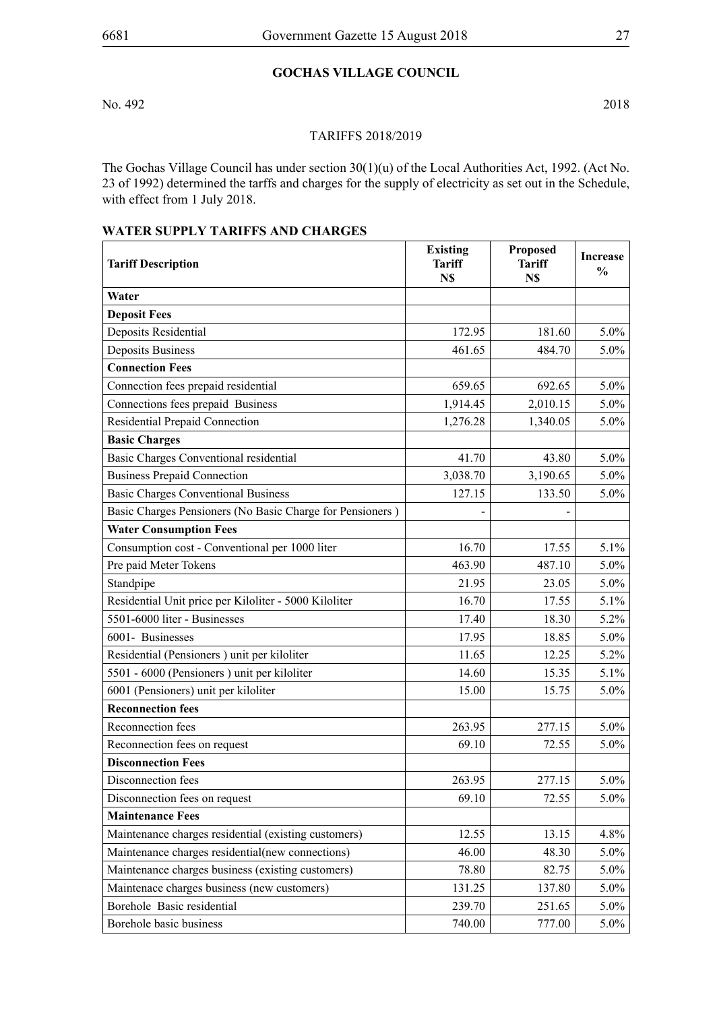#### **Gochas Village Council**

No. 492 2018

#### TARIFFS 2018/2019

The Gochas Village Council has under section 30(1)(u) of the Local Authorities Act, 1992. (Act No. 23 of 1992) determined the tarffs and charges for the supply of electricity as set out in the Schedule, with effect from 1 July 2018.

#### **WATER SUPPLY TARIFFS AND CHARGES**

| <b>Tariff Description</b>                                 | <b>Existing</b><br><b>Tariff</b><br>N\$ | Proposed<br><b>Tariff</b><br>N\$ | <b>Increase</b><br>$\frac{0}{0}$ |
|-----------------------------------------------------------|-----------------------------------------|----------------------------------|----------------------------------|
| Water                                                     |                                         |                                  |                                  |
| <b>Deposit Fees</b>                                       |                                         |                                  |                                  |
| Deposits Residential                                      | 172.95                                  | 181.60                           | $5.0\%$                          |
| <b>Deposits Business</b>                                  | 461.65                                  | 484.70                           | 5.0%                             |
| <b>Connection Fees</b>                                    |                                         |                                  |                                  |
| Connection fees prepaid residential                       | 659.65                                  | 692.65                           | 5.0%                             |
| Connections fees prepaid Business                         | 1,914.45                                | 2,010.15                         | $5.0\%$                          |
| Residential Prepaid Connection                            | 1,276.28                                | 1,340.05                         | 5.0%                             |
| <b>Basic Charges</b>                                      |                                         |                                  |                                  |
| Basic Charges Conventional residential                    | 41.70                                   | 43.80                            | 5.0%                             |
| <b>Business Prepaid Connection</b>                        | 3,038.70                                | 3,190.65                         | $5.0\%$                          |
| <b>Basic Charges Conventional Business</b>                | 127.15                                  | 133.50                           | 5.0%                             |
| Basic Charges Pensioners (No Basic Charge for Pensioners) |                                         |                                  |                                  |
| <b>Water Consumption Fees</b>                             |                                         |                                  |                                  |
| Consumption cost - Conventional per 1000 liter            | 16.70                                   | 17.55                            | 5.1%                             |
| Pre paid Meter Tokens                                     | 463.90                                  | 487.10                           | 5.0%                             |
| Standpipe                                                 | 21.95                                   | 23.05                            | $5.0\%$                          |
| Residential Unit price per Kiloliter - 5000 Kiloliter     | 16.70                                   | 17.55                            | 5.1%                             |
| 5501-6000 liter - Businesses                              | 17.40                                   | 18.30                            | 5.2%                             |
| 6001- Businesses                                          | 17.95                                   | 18.85                            | 5.0%                             |
| Residential (Pensioners) unit per kiloliter               | 11.65                                   | 12.25                            | 5.2%                             |
| 5501 - 6000 (Pensioners) unit per kiloliter               | 14.60                                   | 15.35                            | 5.1%                             |
| 6001 (Pensioners) unit per kiloliter                      | 15.00                                   | 15.75                            | 5.0%                             |
| <b>Reconnection fees</b>                                  |                                         |                                  |                                  |
| Reconnection fees                                         | 263.95                                  | 277.15                           | 5.0%                             |
| Reconnection fees on request                              | 69.10                                   | 72.55                            | 5.0%                             |
| <b>Disconnection Fees</b>                                 |                                         |                                  |                                  |
| Disconnection fees                                        | 263.95                                  | 277.15                           | $5.0\%$                          |
| Disconnection fees on request                             | 69.10                                   | 72.55                            | $5.0\%$                          |
| <b>Maintenance Fees</b>                                   |                                         |                                  |                                  |
| Maintenance charges residential (existing customers)      | 12.55                                   | 13.15                            | 4.8%                             |
| Maintenance charges residential(new connections)          | 46.00                                   | 48.30                            | $5.0\%$                          |
| Maintenance charges business (existing customers)         | 78.80                                   | 82.75                            | $5.0\%$                          |
| Maintenace charges business (new customers)               | 131.25                                  | 137.80                           | $5.0\%$                          |
| Borehole Basic residential                                | 239.70                                  | 251.65                           | $5.0\%$                          |
| Borehole basic business                                   | 740.00                                  | 777.00                           | $5.0\%$                          |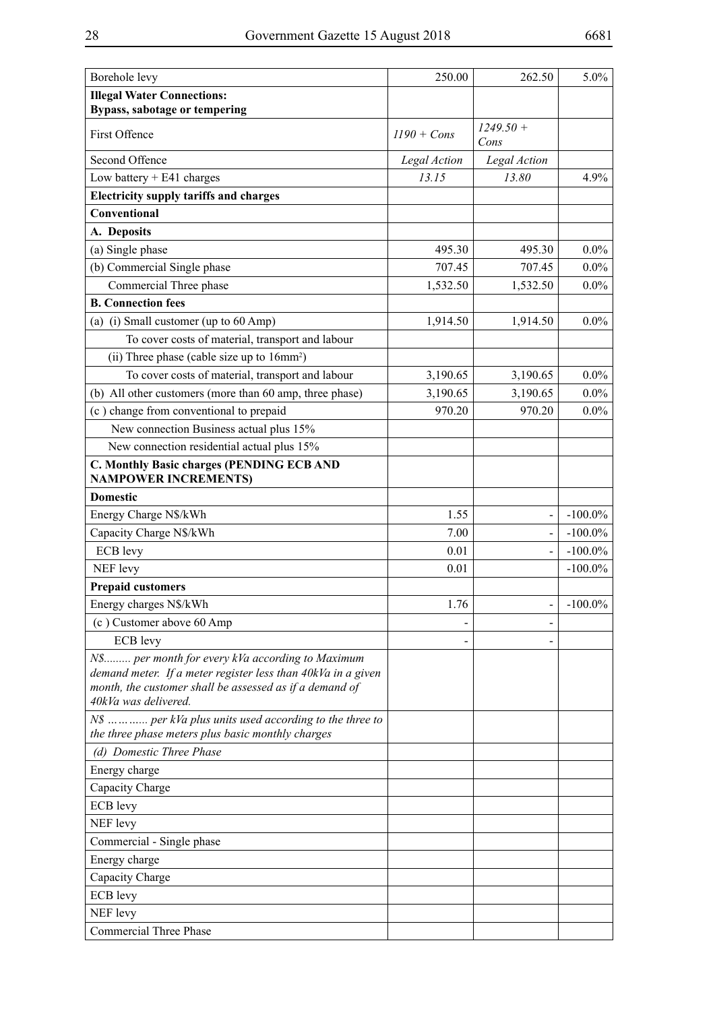| Borehole levy                                                                                                    | 250.00        | 262.50              | $5.0\%$    |
|------------------------------------------------------------------------------------------------------------------|---------------|---------------------|------------|
| <b>Illegal Water Connections:</b>                                                                                |               |                     |            |
| Bypass, sabotage or tempering                                                                                    |               |                     |            |
| First Offence                                                                                                    | $1190 + Cons$ | $1249.50 +$<br>Cons |            |
| Second Offence                                                                                                   | Legal Action  | Legal Action        |            |
| Low battery $+ E41$ charges                                                                                      | 13.15         | 13.80               | 4.9%       |
| <b>Electricity supply tariffs and charges</b>                                                                    |               |                     |            |
| Conventional                                                                                                     |               |                     |            |
| A. Deposits                                                                                                      |               |                     |            |
| (a) Single phase                                                                                                 | 495.30        | 495.30              | $0.0\%$    |
| (b) Commercial Single phase                                                                                      | 707.45        | 707.45              | $0.0\%$    |
| Commercial Three phase                                                                                           | 1,532.50      | 1,532.50            | $0.0\%$    |
| <b>B.</b> Connection fees                                                                                        |               |                     |            |
| (a) (i) Small customer (up to 60 Amp)                                                                            | 1,914.50      | 1,914.50            | $0.0\%$    |
| To cover costs of material, transport and labour                                                                 |               |                     |            |
| (ii) Three phase (cable size up to 16mm <sup>2</sup> )                                                           |               |                     |            |
| To cover costs of material, transport and labour                                                                 | 3,190.65      | 3,190.65            | $0.0\%$    |
| (b) All other customers (more than 60 amp, three phase)                                                          | 3,190.65      | 3,190.65            | $0.0\%$    |
| (c) change from conventional to prepaid                                                                          | 970.20        | 970.20              | $0.0\%$    |
| New connection Business actual plus 15%                                                                          |               |                     |            |
| New connection residential actual plus 15%                                                                       |               |                     |            |
| C. Monthly Basic charges (PENDING ECB AND                                                                        |               |                     |            |
| <b>NAMPOWER INCREMENTS)</b>                                                                                      |               |                     |            |
| <b>Domestic</b>                                                                                                  |               |                     |            |
| Energy Charge N\$/kWh                                                                                            | 1.55          |                     | $-100.0\%$ |
| Capacity Charge N\$/kWh                                                                                          | 7.00          |                     | $-100.0\%$ |
| <b>ECB</b> levy                                                                                                  | 0.01          |                     | $-100.0\%$ |
| NEF levy                                                                                                         | 0.01          |                     | $-100.0\%$ |
| <b>Prepaid customers</b>                                                                                         |               |                     |            |
| Energy charges N\$/kWh                                                                                           | 1.76          |                     | $-100.0\%$ |
| (c) Customer above 60 Amp                                                                                        |               |                     |            |
| ECB levy                                                                                                         |               |                     |            |
| N\$ per month for every kVa according to Maximum<br>demand meter. If a meter register less than 40kVa in a given |               |                     |            |
| month, the customer shall be assessed as if a demand of                                                          |               |                     |            |
| 40kVa was delivered.                                                                                             |               |                     |            |
| N\$  per kVa plus units used according to the three to                                                           |               |                     |            |
| the three phase meters plus basic monthly charges<br>(d) Domestic Three Phase                                    |               |                     |            |
|                                                                                                                  |               |                     |            |
| Energy charge                                                                                                    |               |                     |            |
| Capacity Charge                                                                                                  |               |                     |            |
| <b>ECB</b> levy                                                                                                  |               |                     |            |
| NEF levy                                                                                                         |               |                     |            |
| Commercial - Single phase                                                                                        |               |                     |            |
| Energy charge                                                                                                    |               |                     |            |
| Capacity Charge                                                                                                  |               |                     |            |
| <b>ECB</b> levy                                                                                                  |               |                     |            |
| NEF levy                                                                                                         |               |                     |            |
| <b>Commercial Three Phase</b>                                                                                    |               |                     |            |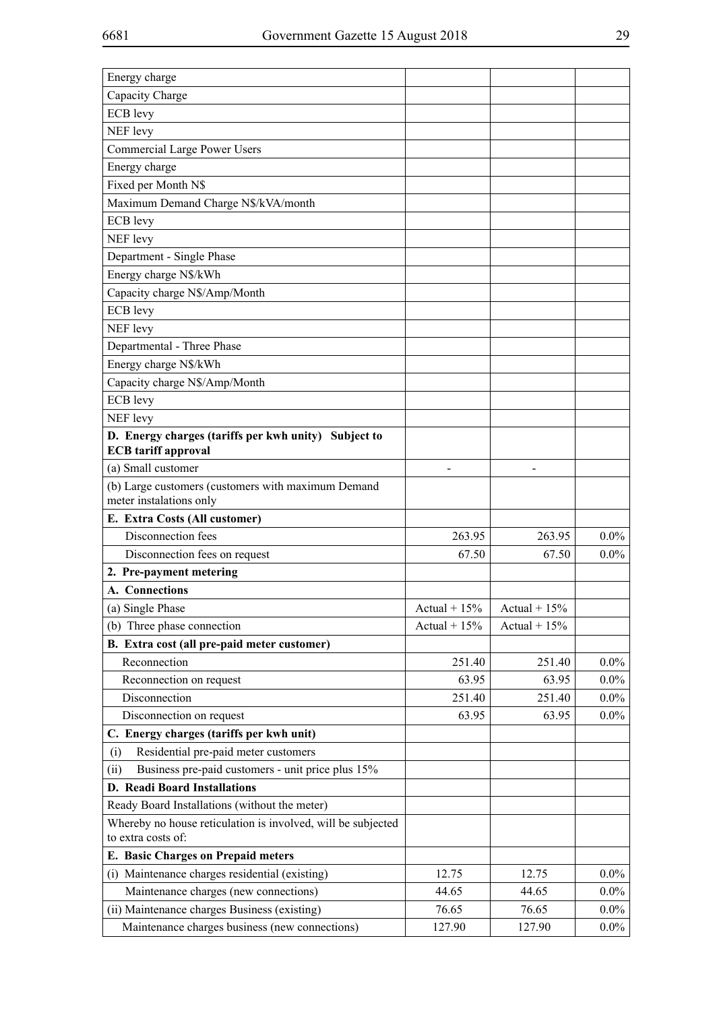| Energy charge                                                |                |                |         |
|--------------------------------------------------------------|----------------|----------------|---------|
| Capacity Charge                                              |                |                |         |
| ECB levy                                                     |                |                |         |
| NEF levy                                                     |                |                |         |
| <b>Commercial Large Power Users</b>                          |                |                |         |
| Energy charge                                                |                |                |         |
| Fixed per Month N\$                                          |                |                |         |
| Maximum Demand Charge N\$/kVA/month                          |                |                |         |
| ECB levy                                                     |                |                |         |
| NEF levy                                                     |                |                |         |
| Department - Single Phase                                    |                |                |         |
| Energy charge N\$/kWh                                        |                |                |         |
| Capacity charge N\$/Amp/Month                                |                |                |         |
| ECB levy                                                     |                |                |         |
| NEF levy                                                     |                |                |         |
| Departmental - Three Phase                                   |                |                |         |
| Energy charge N\$/kWh                                        |                |                |         |
| Capacity charge N\$/Amp/Month                                |                |                |         |
| <b>ECB</b> levy                                              |                |                |         |
| NEF levy                                                     |                |                |         |
| D. Energy charges (tariffs per kwh unity) Subject to         |                |                |         |
| <b>ECB</b> tariff approval                                   |                |                |         |
| (a) Small customer                                           |                |                |         |
| (b) Large customers (customers with maximum Demand           |                |                |         |
| meter instalations only                                      |                |                |         |
| E. Extra Costs (All customer)                                |                |                |         |
| Disconnection fees                                           | 263.95         | 263.95         | $0.0\%$ |
| Disconnection fees on request                                | 67.50          | 67.50          | $0.0\%$ |
| 2. Pre-payment metering                                      |                |                |         |
| A. Connections                                               |                |                |         |
| (a) Single Phase                                             | Actual + $15%$ | Actual + $15%$ |         |
| (b) Three phase connection                                   | Actual + $15%$ | Actual + $15%$ |         |
| B. Extra cost (all pre-paid meter customer)                  |                |                |         |
| Reconnection                                                 | 251.40         | 251.40         | $0.0\%$ |
| Reconnection on request                                      | 63.95          | 63.95          | $0.0\%$ |
| Disconnection                                                | 251.40         | 251.40         | $0.0\%$ |
| Disconnection on request                                     | 63.95          | 63.95          | $0.0\%$ |
| C. Energy charges (tariffs per kwh unit)                     |                |                |         |
| Residential pre-paid meter customers<br>(i)                  |                |                |         |
| Business pre-paid customers - unit price plus 15%<br>(ii)    |                |                |         |
| <b>D. Readi Board Installations</b>                          |                |                |         |
| Ready Board Installations (without the meter)                |                |                |         |
| Whereby no house reticulation is involved, will be subjected |                |                |         |
| to extra costs of:                                           |                |                |         |
| E. Basic Charges on Prepaid meters                           |                |                |         |
| (i) Maintenance charges residential (existing)               | 12.75          | 12.75          | $0.0\%$ |
| Maintenance charges (new connections)                        | 44.65          | 44.65          | $0.0\%$ |
| (ii) Maintenance charges Business (existing)                 | 76.65          | 76.65          | $0.0\%$ |
| Maintenance charges business (new connections)               | 127.90         | 127.90         | $0.0\%$ |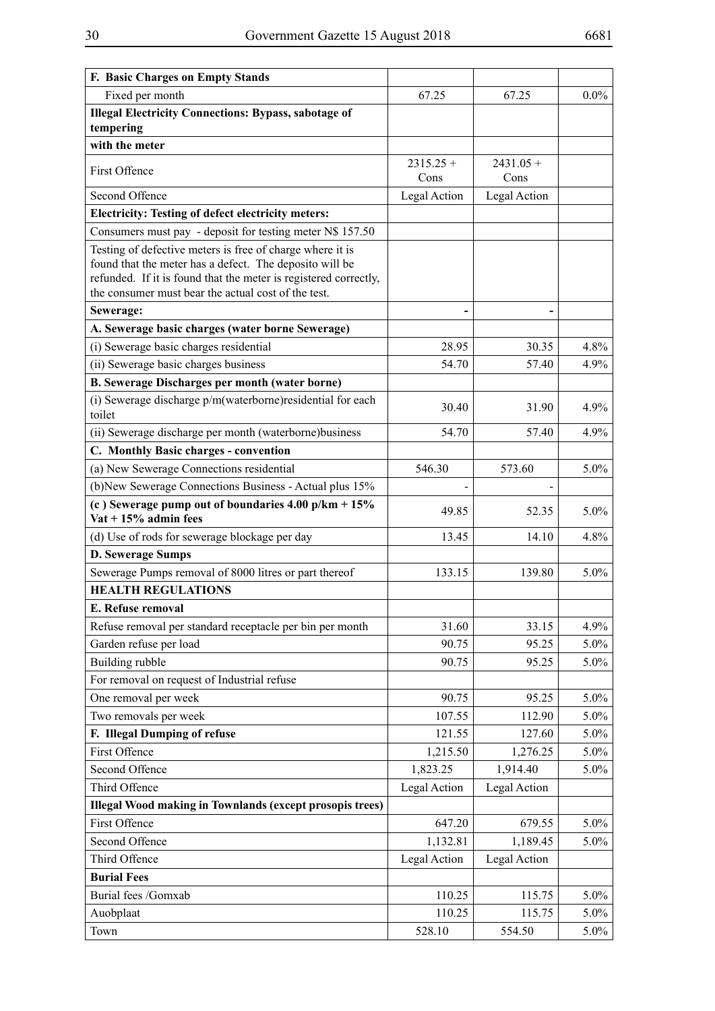| <b>F. Basic Charges on Empty Stands</b>                                                                                                                                                                                                         |                     |                     |         |
|-------------------------------------------------------------------------------------------------------------------------------------------------------------------------------------------------------------------------------------------------|---------------------|---------------------|---------|
| Fixed per month                                                                                                                                                                                                                                 | 67.25               | 67.25               | $0.0\%$ |
| <b>Illegal Electricity Connections: Bypass, sabotage of</b><br>tempering                                                                                                                                                                        |                     |                     |         |
| with the meter                                                                                                                                                                                                                                  |                     |                     |         |
| First Offence                                                                                                                                                                                                                                   | $2315.25 +$<br>Cons | $2431.05 +$<br>Cons |         |
| Second Offence                                                                                                                                                                                                                                  | Legal Action        | Legal Action        |         |
| <b>Electricity: Testing of defect electricity meters:</b>                                                                                                                                                                                       |                     |                     |         |
| Consumers must pay - deposit for testing meter N\$ 157.50                                                                                                                                                                                       |                     |                     |         |
| Testing of defective meters is free of charge where it is<br>found that the meter has a defect. The deposito will be<br>refunded. If it is found that the meter is registered correctly,<br>the consumer must bear the actual cost of the test. |                     |                     |         |
| Sewerage:                                                                                                                                                                                                                                       |                     |                     |         |
| A. Sewerage basic charges (water borne Sewerage)                                                                                                                                                                                                |                     |                     |         |
| (i) Sewerage basic charges residential                                                                                                                                                                                                          | 28.95               | 30.35               | 4.8%    |
| (ii) Sewerage basic charges business                                                                                                                                                                                                            | 54.70               | 57.40               | 4.9%    |
| B. Sewerage Discharges per month (water borne)                                                                                                                                                                                                  |                     |                     |         |
| (i) Sewerage discharge p/m(waterborne) residential for each<br>toilet                                                                                                                                                                           | 30.40               | 31.90               | 4.9%    |
| (ii) Sewerage discharge per month (waterborne)business                                                                                                                                                                                          | 54.70               | 57.40               | 4.9%    |
| C. Monthly Basic charges - convention                                                                                                                                                                                                           |                     |                     |         |
| (a) New Sewerage Connections residential                                                                                                                                                                                                        | 546.30              | 573.60              | 5.0%    |
| (b)New Sewerage Connections Business - Actual plus 15%                                                                                                                                                                                          |                     |                     |         |
| (c) Sewerage pump out of boundaries $4.00$ p/km + $15\%$<br>Vat + $15%$ admin fees                                                                                                                                                              | 49.85               | 52.35               | 5.0%    |
| (d) Use of rods for sewerage blockage per day                                                                                                                                                                                                   | 13.45               | 14.10               | 4.8%    |
| D. Sewerage Sumps                                                                                                                                                                                                                               |                     |                     |         |
| Sewerage Pumps removal of 8000 litres or part thereof                                                                                                                                                                                           | 133.15              | 139.80              | 5.0%    |
| <b>HEALTH REGULATIONS</b>                                                                                                                                                                                                                       |                     |                     |         |
| E. Refuse removal                                                                                                                                                                                                                               |                     |                     |         |
| Refuse removal per standard receptacle per bin per month                                                                                                                                                                                        | 31.60               | 33.15               | 4.9%    |
| Garden refuse per load                                                                                                                                                                                                                          | 90.75               | 95.25               | 5.0%    |
| Building rubble                                                                                                                                                                                                                                 | 90.75               | 95.25               | 5.0%    |
| For removal on request of Industrial refuse                                                                                                                                                                                                     |                     |                     |         |
| One removal per week                                                                                                                                                                                                                            | 90.75               | 95.25               | $5.0\%$ |
| Two removals per week                                                                                                                                                                                                                           | 107.55              | 112.90              | 5.0%    |
| F. Illegal Dumping of refuse                                                                                                                                                                                                                    | 121.55              | 127.60              | $5.0\%$ |
| First Offence                                                                                                                                                                                                                                   | 1,215.50            | 1,276.25            | 5.0%    |
| Second Offence                                                                                                                                                                                                                                  | 1,823.25            | 1,914.40            | 5.0%    |
| Third Offence                                                                                                                                                                                                                                   | Legal Action        | Legal Action        |         |
| <b>Illegal Wood making in Townlands (except prosopis trees)</b>                                                                                                                                                                                 |                     |                     |         |
| First Offence                                                                                                                                                                                                                                   | 647.20              | 679.55              | 5.0%    |
| Second Offence                                                                                                                                                                                                                                  | 1,132.81            | 1,189.45            | 5.0%    |
| Third Offence                                                                                                                                                                                                                                   | Legal Action        | Legal Action        |         |
| <b>Burial Fees</b>                                                                                                                                                                                                                              |                     |                     |         |
| Burial fees /Gomxab                                                                                                                                                                                                                             | 110.25              | 115.75              | $5.0\%$ |
| Auobplaat                                                                                                                                                                                                                                       | 110.25              | 115.75              | 5.0%    |
| Town                                                                                                                                                                                                                                            | 528.10              | 554.50              | 5.0%    |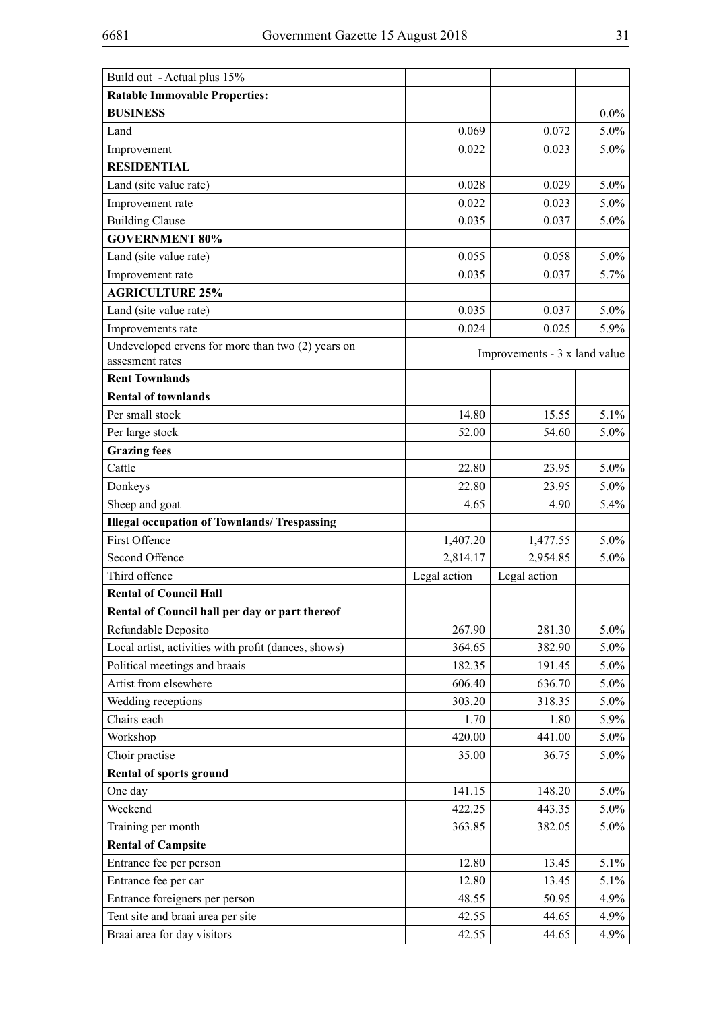| Build out - Actual plus 15%                          |                |                               |              |  |
|------------------------------------------------------|----------------|-------------------------------|--------------|--|
| <b>Ratable Immovable Properties:</b>                 |                |                               |              |  |
| <b>BUSINESS</b>                                      |                |                               | $0.0\%$      |  |
| Land                                                 | 0.069          | 0.072                         | 5.0%         |  |
| Improvement                                          | 0.022          | 0.023                         | $5.0\%$      |  |
| <b>RESIDENTIAL</b>                                   |                |                               |              |  |
| Land (site value rate)                               | 0.028          | 0.029                         | 5.0%         |  |
| Improvement rate                                     | 0.022          | 0.023                         | 5.0%         |  |
| <b>Building Clause</b>                               | 0.035          | 0.037                         | 5.0%         |  |
| <b>GOVERNMENT 80%</b>                                |                |                               |              |  |
| Land (site value rate)                               | 0.055          | 0.058                         | 5.0%         |  |
| Improvement rate                                     | 0.035          | 0.037                         | 5.7%         |  |
| <b>AGRICULTURE 25%</b>                               |                |                               |              |  |
| Land (site value rate)                               | 0.035          | 0.037                         | 5.0%         |  |
| Improvements rate                                    | 0.024          | 0.025                         | 5.9%         |  |
| Undeveloped ervens for more than two (2) years on    |                |                               |              |  |
| assesment rates                                      |                | Improvements - 3 x land value |              |  |
| <b>Rent Townlands</b>                                |                |                               |              |  |
| <b>Rental of townlands</b>                           |                |                               |              |  |
| Per small stock                                      | 14.80          | 15.55                         | 5.1%         |  |
| Per large stock                                      | 52.00          | 54.60                         | 5.0%         |  |
| <b>Grazing fees</b>                                  |                |                               |              |  |
| Cattle                                               | 22.80          | 23.95                         | 5.0%         |  |
| Donkeys                                              | 22.80          | 23.95                         | 5.0%         |  |
| Sheep and goat                                       | 4.65           | 4.90                          | 5.4%         |  |
| <b>Illegal occupation of Townlands/ Trespassing</b>  |                |                               |              |  |
| First Offence                                        | 1,407.20       | 1,477.55                      | 5.0%         |  |
| Second Offence                                       | 2,814.17       | 2,954.85                      | 5.0%         |  |
| Third offence                                        | Legal action   | Legal action                  |              |  |
| <b>Rental of Council Hall</b>                        |                |                               |              |  |
| Rental of Council hall per day or part thereof       |                |                               |              |  |
| Refundable Deposito                                  | 267.90         | 281.30                        | 5.0%         |  |
| Local artist, activities with profit (dances, shows) | 364.65         | 382.90                        | 5.0%         |  |
| Political meetings and braais                        | 182.35         | 191.45                        | 5.0%         |  |
| Artist from elsewhere                                | 606.40         | 636.70                        | 5.0%         |  |
| Wedding receptions                                   | 303.20         | 318.35                        | $5.0\%$      |  |
| Chairs each                                          | 1.70           | 1.80                          | 5.9%         |  |
| Workshop                                             | 420.00         | 441.00                        | 5.0%         |  |
| Choir practise                                       | 35.00          | 36.75                         | 5.0%         |  |
| <b>Rental of sports ground</b>                       |                |                               |              |  |
| One day                                              | 141.15         | 148.20                        | $5.0\%$      |  |
| Weekend                                              | 422.25         | 443.35                        | 5.0%         |  |
| Training per month                                   | 363.85         | 382.05                        | 5.0%         |  |
| <b>Rental of Campsite</b>                            |                |                               |              |  |
| Entrance fee per person                              | 12.80          | 13.45                         | 5.1%         |  |
| Entrance fee per car                                 | 12.80          | 13.45                         | 5.1%         |  |
| Entrance foreigners per person                       | 48.55          | 50.95                         | 4.9%         |  |
| Tent site and braai area per site                    |                |                               |              |  |
| Braai area for day visitors                          | 42.55<br>42.55 | 44.65<br>44.65                | 4.9%<br>4.9% |  |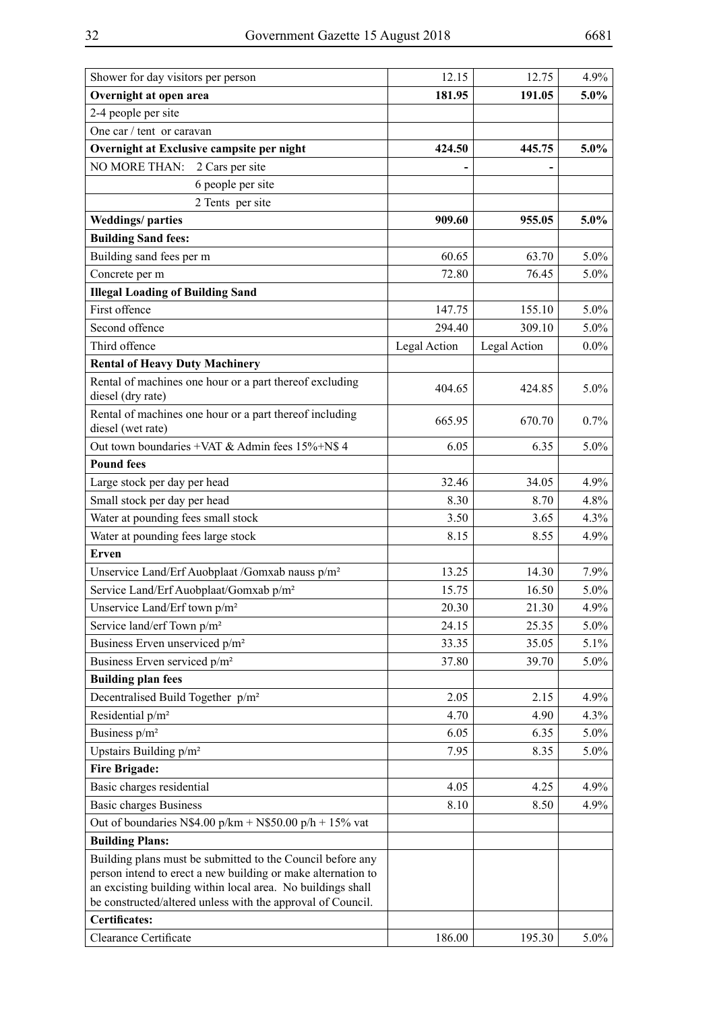| Shower for day visitors per person                                                                                         | 12.15        | 12.75        | 4.9%    |
|----------------------------------------------------------------------------------------------------------------------------|--------------|--------------|---------|
| Overnight at open area                                                                                                     | 181.95       | 191.05       | 5.0%    |
| 2-4 people per site                                                                                                        |              |              |         |
| One car / tent or caravan                                                                                                  |              |              |         |
| Overnight at Exclusive campsite per night                                                                                  | 424.50       | 445.75       | $5.0\%$ |
| NO MORE THAN:<br>2 Cars per site                                                                                           |              |              |         |
| 6 people per site                                                                                                          |              |              |         |
| 2 Tents per site                                                                                                           |              |              |         |
| <b>Weddings/parties</b>                                                                                                    | 909.60       | 955.05       | 5.0%    |
| <b>Building Sand fees:</b>                                                                                                 |              |              |         |
| Building sand fees per m                                                                                                   | 60.65        | 63.70        | 5.0%    |
| Concrete per m                                                                                                             | 72.80        | 76.45        | 5.0%    |
| <b>Illegal Loading of Building Sand</b>                                                                                    |              |              |         |
| First offence                                                                                                              | 147.75       | 155.10       | $5.0\%$ |
| Second offence                                                                                                             | 294.40       | 309.10       | 5.0%    |
| Third offence                                                                                                              | Legal Action | Legal Action | $0.0\%$ |
| <b>Rental of Heavy Duty Machinery</b>                                                                                      |              |              |         |
| Rental of machines one hour or a part thereof excluding                                                                    |              |              |         |
| diesel (dry rate)                                                                                                          | 404.65       | 424.85       | 5.0%    |
| Rental of machines one hour or a part thereof including<br>diesel (wet rate)                                               | 665.95       | 670.70       | $0.7\%$ |
| Out town boundaries +VAT & Admin fees 15%+N\$ 4                                                                            | 6.05         | 6.35         | 5.0%    |
| <b>Pound fees</b>                                                                                                          |              |              |         |
| Large stock per day per head                                                                                               | 32.46        | 34.05        | $4.9\%$ |
| Small stock per day per head                                                                                               | 8.30         | 8.70         | 4.8%    |
| Water at pounding fees small stock                                                                                         | 3.50         | 3.65         | 4.3%    |
| Water at pounding fees large stock                                                                                         | 8.15         | 8.55         | 4.9%    |
| Erven                                                                                                                      |              |              |         |
| Unservice Land/Erf Auobplaat /Gomxab nauss p/m <sup>2</sup>                                                                | 13.25        | 14.30        | 7.9%    |
| Service Land/Erf Auobplaat/Gomxab p/m <sup>2</sup>                                                                         | 15.75        | 16.50        | $5.0\%$ |
| Unservice Land/Erf town p/m <sup>2</sup>                                                                                   | 20.30        | 21.30        | 4.9%    |
| Service land/erf Town p/m <sup>2</sup>                                                                                     | 24.15        | 25.35        | $5.0\%$ |
| Business Erven unserviced p/m <sup>2</sup>                                                                                 | 33.35        | 35.05        | 5.1%    |
| Business Erven serviced p/m <sup>2</sup>                                                                                   | 37.80        | 39.70        | $5.0\%$ |
| <b>Building plan fees</b>                                                                                                  |              |              |         |
|                                                                                                                            | 2.05         |              | 4.9%    |
| Decentralised Build Together p/m <sup>2</sup><br>Residential p/m <sup>2</sup>                                              | 4.70         | 2.15<br>4.90 | 4.3%    |
| Business p/m <sup>2</sup>                                                                                                  | 6.05         | 6.35         | $5.0\%$ |
|                                                                                                                            | 7.95         | 8.35         | $5.0\%$ |
| Upstairs Building p/m <sup>2</sup><br><b>Fire Brigade:</b>                                                                 |              |              |         |
|                                                                                                                            | 4.05         |              |         |
| Basic charges residential                                                                                                  |              | 4.25         | 4.9%    |
| <b>Basic charges Business</b>                                                                                              | 8.10         | 8.50         | 4.9%    |
| Out of boundaries N\$4.00 p/km + N\$50.00 p/h + $15\%$ vat                                                                 |              |              |         |
| <b>Building Plans:</b>                                                                                                     |              |              |         |
| Building plans must be submitted to the Council before any<br>person intend to erect a new building or make alternation to |              |              |         |
| an excisting building within local area. No buildings shall                                                                |              |              |         |
| be constructed/altered unless with the approval of Council.                                                                |              |              |         |
| <b>Certificates:</b>                                                                                                       |              |              |         |
| Clearance Certificate                                                                                                      | 186.00       | 195.30       | $5.0\%$ |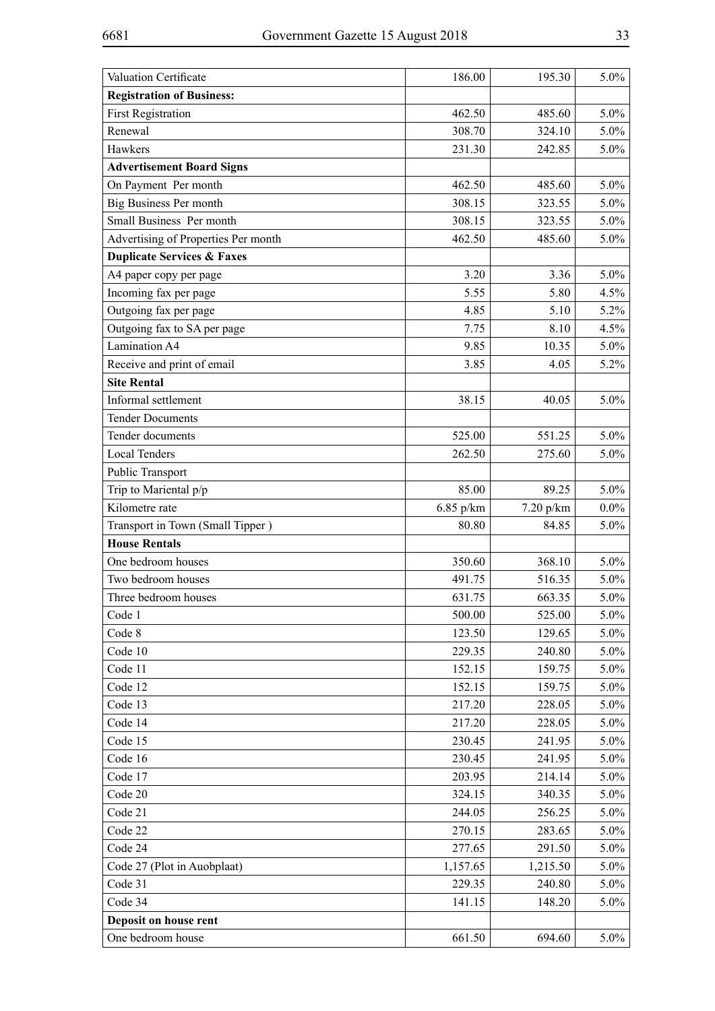| Valuation Certificate                      | 186.00    | 195.30                | 5.0%    |
|--------------------------------------------|-----------|-----------------------|---------|
| <b>Registration of Business:</b>           |           |                       |         |
| <b>First Registration</b>                  | 462.50    | 485.60                | 5.0%    |
| Renewal                                    | 308.70    | 324.10                | 5.0%    |
| Hawkers                                    | 231.30    | 242.85                | 5.0%    |
| <b>Advertisement Board Signs</b>           |           |                       |         |
| On Payment Per month                       | 462.50    | 485.60                | 5.0%    |
| Big Business Per month                     | 308.15    | 323.55                | 5.0%    |
| Small Business Per month                   | 308.15    | 323.55                | 5.0%    |
| Advertising of Properties Per month        | 462.50    | 485.60                | 5.0%    |
| <b>Duplicate Services &amp; Faxes</b>      |           |                       |         |
| A4 paper copy per page                     | 3.20      | 3.36                  | 5.0%    |
| Incoming fax per page                      | 5.55      | 5.80                  | 4.5%    |
| Outgoing fax per page                      | 4.85      | 5.10                  | 5.2%    |
| Outgoing fax to SA per page                | 7.75      | 8.10                  | 4.5%    |
| <b>Lamination A4</b>                       | 9.85      | 10.35                 | $5.0\%$ |
| Receive and print of email                 | 3.85      | 4.05                  | 5.2%    |
| <b>Site Rental</b>                         |           |                       |         |
| Informal settlement                        | 38.15     | 40.05                 | 5.0%    |
| <b>Tender Documents</b>                    |           |                       |         |
| Tender documents                           | 525.00    | 551.25                | $5.0\%$ |
| <b>Local Tenders</b>                       | 262.50    | 275.60                | 5.0%    |
| Public Transport                           |           |                       |         |
| Trip to Mariental p/p                      | 85.00     | 89.25                 | 5.0%    |
| Kilometre rate                             | 6.85 p/km | $7.20\ \mathrm{p/km}$ | $0.0\%$ |
| Transport in Town (Small Tipper)           | 80.80     | 84.85                 | 5.0%    |
| <b>House Rentals</b>                       |           |                       |         |
| One bedroom houses                         | 350.60    | 368.10                | $5.0\%$ |
| Two bedroom houses                         | 491.75    | 516.35                | $5.0\%$ |
| Three bedroom houses                       | 631.75    | 663.35                | $5.0\%$ |
|                                            |           |                       |         |
| Code 1                                     | 500.00    | 525.00                | 5.0%    |
| Code 8                                     | 123.50    | 129.65                | 5.0%    |
| Code 10                                    | 229.35    | 240.80                | 5.0%    |
| Code 11                                    | 152.15    | 159.75                | 5.0%    |
| Code 12                                    | 152.15    | 159.75                | 5.0%    |
| Code 13                                    | 217.20    | 228.05                | 5.0%    |
| Code 14                                    | 217.20    | 228.05                | 5.0%    |
| Code 15                                    | 230.45    | 241.95                | 5.0%    |
| Code 16                                    | 230.45    | 241.95                | 5.0%    |
| Code 17                                    | 203.95    | 214.14                | 5.0%    |
| Code 20                                    | 324.15    | 340.35                | 5.0%    |
| Code 21                                    | 244.05    | 256.25                | 5.0%    |
| Code 22                                    | 270.15    | 283.65                | $5.0\%$ |
| Code 24                                    | 277.65    | 291.50                | 5.0%    |
| Code 27 (Plot in Auobplaat)                | 1,157.65  | 1,215.50              | 5.0%    |
| Code 31                                    | 229.35    | 240.80                | 5.0%    |
| Code 34                                    | 141.15    | 148.20                | 5.0%    |
| Deposit on house rent<br>One bedroom house | 661.50    | 694.60                | $5.0\%$ |